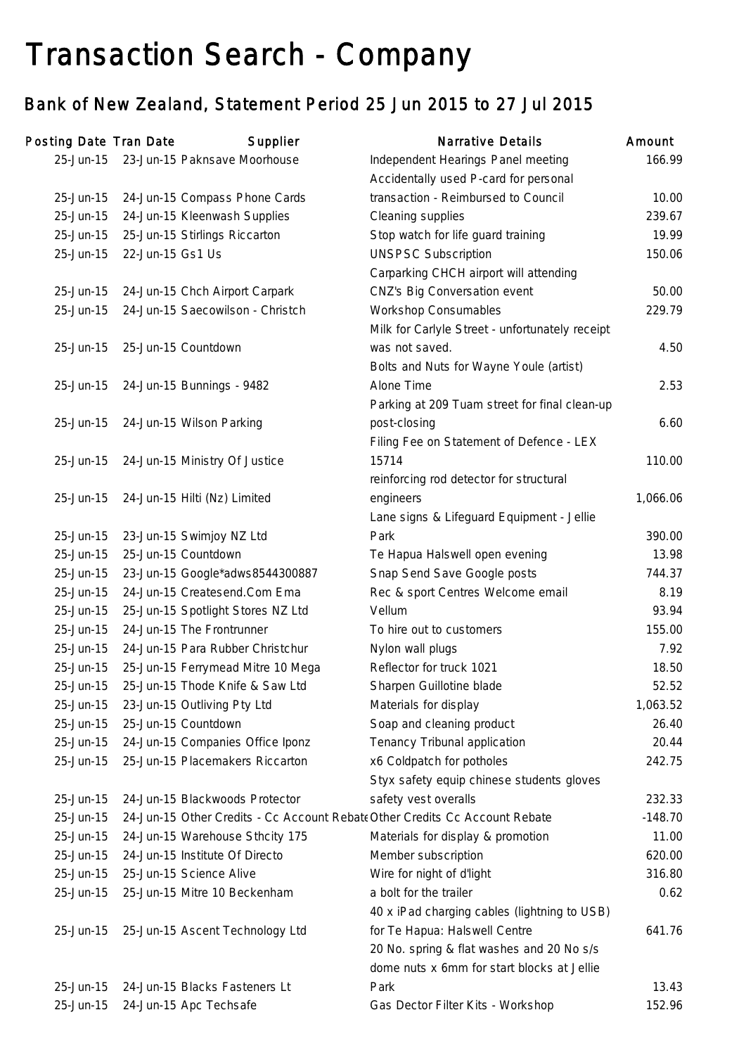## Transaction Search - Company

## Bank of New Zealand, Statement Period 25 Jun 2015 to 27 Jul 2015

| Posting Date Tran Date |                  | Supplier                                                                    | <b>Narrative Details</b>                        | Amount    |
|------------------------|------------------|-----------------------------------------------------------------------------|-------------------------------------------------|-----------|
| 25-Jun-15              |                  | 23-Jun-15 Paknsave Moorhouse                                                | Independent Hearings Panel meeting              | 166.99    |
|                        |                  |                                                                             | Accidentally used P-card for personal           |           |
| 25-Jun-15              |                  | 24-Jun-15 Compass Phone Cards                                               | transaction - Reimbursed to Council             | 10.00     |
| 25-Jun-15              |                  | 24-Jun-15 Kleenwash Supplies                                                | Cleaning supplies                               | 239.67    |
| 25-Jun-15              |                  | 25-Jun-15 Stirlings Riccarton                                               | Stop watch for life guard training              | 19.99     |
| 25-Jun-15              | 22-Jun-15 Gs1 Us |                                                                             | <b>UNSPSC Subscription</b>                      | 150.06    |
|                        |                  |                                                                             | Carparking CHCH airport will attending          |           |
| 25-Jun-15              |                  | 24-Jun-15 Chch Airport Carpark                                              | CNZ's Big Conversation event                    | 50.00     |
| 25-Jun-15              |                  | 24-Jun-15 Saecowilson - Christch                                            | <b>Workshop Consumables</b>                     | 229.79    |
|                        |                  |                                                                             | Milk for Carlyle Street - unfortunately receipt |           |
| 25-Jun-15              |                  | 25-Jun-15 Countdown                                                         | was not saved.                                  | 4.50      |
|                        |                  |                                                                             | Bolts and Nuts for Wayne Youle (artist)         |           |
| 25-Jun-15              |                  | 24-Jun-15 Bunnings - 9482                                                   | Alone Time                                      | 2.53      |
|                        |                  |                                                                             | Parking at 209 Tuam street for final clean-up   |           |
| 25-Jun-15              |                  | 24-Jun-15 Wilson Parking                                                    | post-closing                                    | 6.60      |
|                        |                  |                                                                             | Filing Fee on Statement of Defence - LEX        |           |
| 25-Jun-15              |                  | 24-Jun-15 Ministry Of Justice                                               | 15714                                           | 110.00    |
|                        |                  |                                                                             | reinforcing rod detector for structural         |           |
| 25-Jun-15              |                  | 24-Jun-15 Hilti (Nz) Limited                                                | engineers                                       | 1,066.06  |
|                        |                  |                                                                             | Lane signs & Lifeguard Equipment - Jellie       |           |
| 25-Jun-15              |                  | 23-Jun-15 Swimjoy NZ Ltd                                                    | Park                                            | 390.00    |
| 25-Jun-15              |                  | 25-Jun-15 Countdown                                                         | Te Hapua Halswell open evening                  | 13.98     |
| 25-Jun-15              |                  | 23-Jun-15 Google*adws8544300887                                             | Snap Send Save Google posts                     | 744.37    |
| 25-Jun-15              |                  | 24-Jun-15 Createsend.Com Ema                                                | Rec & sport Centres Welcome email               | 8.19      |
| 25-Jun-15              |                  | 25-Jun-15 Spotlight Stores NZ Ltd                                           | Vellum                                          | 93.94     |
| 25-Jun-15              |                  | 24-Jun-15 The Frontrunner                                                   | To hire out to customers                        | 155.00    |
| 25-Jun-15              |                  | 24-Jun-15 Para Rubber Christchur                                            | Nylon wall plugs                                | 7.92      |
| 25-Jun-15              |                  | 25-Jun-15 Ferrymead Mitre 10 Mega                                           | Reflector for truck 1021                        | 18.50     |
| 25-Jun-15              |                  | 25-Jun-15 Thode Knife & Saw Ltd                                             | Sharpen Guillotine blade                        | 52.52     |
| 25-Jun-15              |                  | 23-Jun-15 Outliving Pty Ltd                                                 | Materials for display                           | 1,063.52  |
| 25-Jun-15              |                  | 25-Jun-15 Countdown                                                         | Soap and cleaning product                       | 26.40     |
| 25-Jun-15              |                  | 24-Jun-15 Companies Office Iponz                                            | Tenancy Tribunal application                    | 20.44     |
| 25-Jun-15              |                  | 25-Jun-15 Placemakers Riccarton                                             | x6 Coldpatch for potholes                       | 242.75    |
|                        |                  |                                                                             | Styx safety equip chinese students gloves       |           |
| 25-Jun-15              |                  | 24-Jun-15 Blackwoods Protector                                              | safety vest overalls                            | 232.33    |
| 25-Jun-15              |                  | 24-Jun-15 Other Credits - Cc Account Rebate Other Credits Cc Account Rebate |                                                 | $-148.70$ |
| 25-Jun-15              |                  | 24-Jun-15 Warehouse Sthcity 175                                             | Materials for display & promotion               | 11.00     |
| 25-Jun-15              |                  | 24-Jun-15 Institute Of Directo                                              | Member subscription                             | 620.00    |
| 25-Jun-15              |                  | 25-Jun-15 Science Alive                                                     | Wire for night of d'light                       | 316.80    |
| 25-Jun-15              |                  | 25-Jun-15 Mitre 10 Beckenham                                                | a bolt for the trailer                          | 0.62      |
|                        |                  |                                                                             | 40 x iPad charging cables (lightning to USB)    |           |
| 25-Jun-15              |                  | 25-Jun-15 Ascent Technology Ltd                                             | for Te Hapua: Halswell Centre                   | 641.76    |
|                        |                  |                                                                             | 20 No. spring & flat washes and 20 No s/s       |           |
|                        |                  |                                                                             | dome nuts x 6mm for start blocks at Jellie      |           |
| 25-Jun-15              |                  | 24-Jun-15 Blacks Fasteners Lt                                               | Park                                            | 13.43     |
| 25-Jun-15              |                  | 24-Jun-15 Apc Techsafe                                                      | Gas Dector Filter Kits - Workshop               | 152.96    |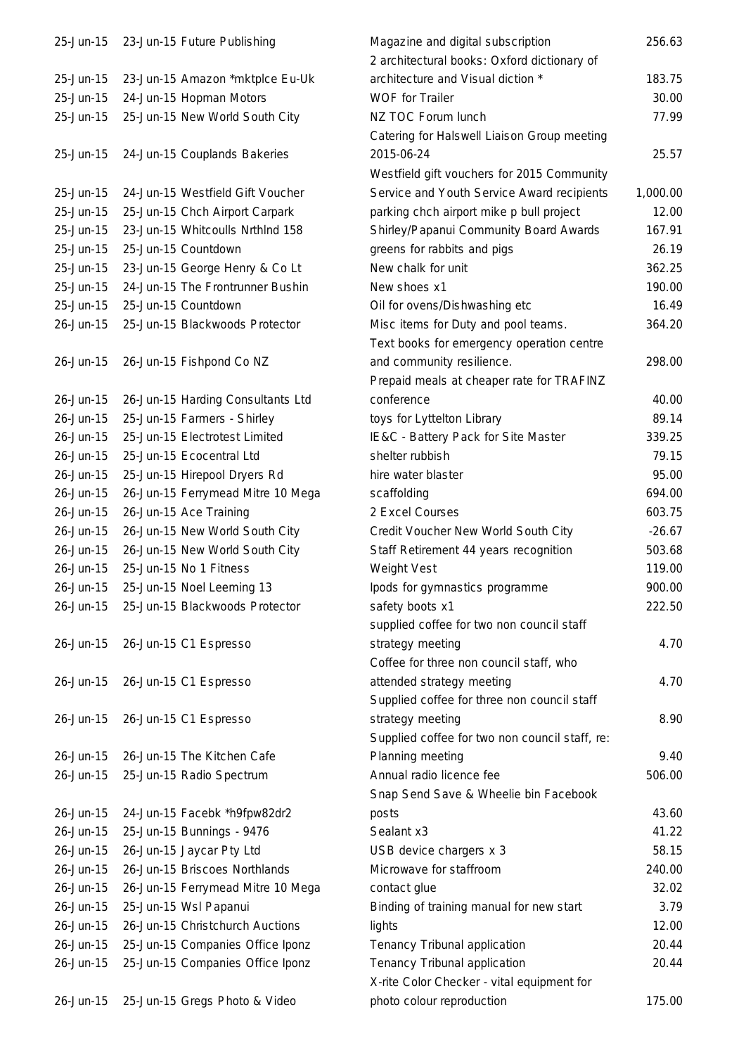| 25-Jun-15 | 23-Jun-15 Future Publishing       | Magazine and digital subscription<br>2 architectural books: Oxford dictionary of         | 256.63   |
|-----------|-----------------------------------|------------------------------------------------------------------------------------------|----------|
| 25-Jun-15 | 23-Jun-15 Amazon *mktplce Eu-Uk   | architecture and Visual diction *                                                        | 183.75   |
| 25-Jun-15 | 24-Jun-15 Hopman Motors           | <b>WOF for Trailer</b>                                                                   | 30.00    |
| 25-Jun-15 | 25-Jun-15 New World South City    | NZ TOC Forum lunch                                                                       | 77.99    |
|           |                                   | Catering for Halswell Liaison Group meeting                                              |          |
| 25-Jun-15 | 24-Jun-15 Couplands Bakeries      | 2015-06-24                                                                               | 25.57    |
|           |                                   |                                                                                          |          |
|           |                                   | Westfield gift vouchers for 2015 Community<br>Service and Youth Service Award recipients | 1,000.00 |
| 25-Jun-15 | 24-Jun-15 Westfield Gift Voucher  |                                                                                          |          |
| 25-Jun-15 | 25-Jun-15 Chch Airport Carpark    | parking chch airport mike p bull project                                                 | 12.00    |
| 25-Jun-15 | 23-Jun-15 Whitcoulls NrthInd 158  | Shirley/Papanui Community Board Awards                                                   | 167.91   |
| 25-Jun-15 | 25-Jun-15 Countdown               | greens for rabbits and pigs                                                              | 26.19    |
| 25-Jun-15 | 23-Jun-15 George Henry & Co Lt    | New chalk for unit                                                                       | 362.25   |
| 25-Jun-15 | 24-Jun-15 The Frontrunner Bushin  | New shoes x1                                                                             | 190.00   |
| 25-Jun-15 | 25-Jun-15 Countdown               | Oil for ovens/Dishwashing etc                                                            | 16.49    |
| 26-Jun-15 | 25-Jun-15 Blackwoods Protector    | Misc items for Duty and pool teams.                                                      | 364.20   |
|           |                                   | Text books for emergency operation centre                                                |          |
| 26-Jun-15 | 26-Jun-15 Fishpond Co NZ          | and community resilience.                                                                | 298.00   |
|           |                                   | Prepaid meals at cheaper rate for TRAFINZ                                                |          |
| 26-Jun-15 | 26-Jun-15 Harding Consultants Ltd | conference                                                                               | 40.00    |
| 26-Jun-15 | 25-Jun-15 Farmers - Shirley       | toys for Lyttelton Library                                                               | 89.14    |
| 26-Jun-15 | 25-Jun-15 Electrotest Limited     | IE&C - Battery Pack for Site Master                                                      | 339.25   |
| 26-Jun-15 | 25-Jun-15 Ecocentral Ltd          | shelter rubbish                                                                          | 79.15    |
| 26-Jun-15 | 25-Jun-15 Hirepool Dryers Rd      | hire water blaster                                                                       | 95.00    |
| 26-Jun-15 | 26-Jun-15 Ferrymead Mitre 10 Mega | scaffolding                                                                              | 694.00   |
| 26-Jun-15 | 26-Jun-15 Ace Training            | 2 Excel Courses                                                                          | 603.75   |
| 26-Jun-15 | 26-Jun-15 New World South City    | Credit Voucher New World South City                                                      | $-26.67$ |
| 26-Jun-15 | 26-Jun-15 New World South City    | Staff Retirement 44 years recognition                                                    | 503.68   |
| 26-Jun-15 | 25-Jun-15 No 1 Fitness            | Weight Vest                                                                              | 119.00   |
| 26-Jun-15 | 25-Jun-15 Noel Leeming 13         | lpods for gymnastics programme                                                           | 900.00   |
|           |                                   |                                                                                          | 222.50   |
| 26-Jun-15 | 25-Jun-15 Blackwoods Protector    | safety boots x1                                                                          |          |
|           |                                   | supplied coffee for two non council staff                                                |          |
| 26-Jun-15 | 26-Jun-15 C1 Espresso             | strategy meeting                                                                         | 4.70     |
|           |                                   | Coffee for three non council staff, who                                                  |          |
| 26-Jun-15 | 26-Jun-15 C1 Espresso             | attended strategy meeting                                                                | 4.70     |
|           |                                   | Supplied coffee for three non council staff                                              |          |
| 26-Jun-15 | 26-Jun-15 C1 Espresso             | strategy meeting                                                                         | 8.90     |
|           |                                   | Supplied coffee for two non council staff, re:                                           |          |
| 26-Jun-15 | 26-Jun-15 The Kitchen Cafe        | Planning meeting                                                                         | 9.40     |
| 26-Jun-15 | 25-Jun-15 Radio Spectrum          | Annual radio licence fee                                                                 | 506.00   |
|           |                                   | Snap Send Save & Wheelie bin Facebook                                                    |          |
| 26-Jun-15 | 24-Jun-15 Facebk *h9fpw82dr2      | posts                                                                                    | 43.60    |
| 26-Jun-15 | 25-Jun-15 Bunnings - 9476         | Sealant x3                                                                               | 41.22    |
| 26-Jun-15 | 26-Jun-15 Jaycar Pty Ltd          | USB device chargers x 3                                                                  | 58.15    |
| 26-Jun-15 | 26-Jun-15 Briscoes Northlands     | Microwave for staffroom                                                                  | 240.00   |
| 26-Jun-15 | 26-Jun-15 Ferrymead Mitre 10 Mega | contact glue                                                                             | 32.02    |
| 26-Jun-15 | 25-Jun-15 Wsl Papanui             | Binding of training manual for new start                                                 | 3.79     |
| 26-Jun-15 | 26-Jun-15 Christchurch Auctions   | lights                                                                                   | 12.00    |
| 26-Jun-15 | 25-Jun-15 Companies Office Iponz  | Tenancy Tribunal application                                                             | 20.44    |
| 26-Jun-15 | 25-Jun-15 Companies Office Iponz  | Tenancy Tribunal application                                                             | 20.44    |
|           |                                   | X-rite Color Checker - vital equipment for                                               |          |
| 26-Jun-15 | 25-Jun-15 Gregs Photo & Video     | photo colour reproduction                                                                | 175.00   |
|           |                                   |                                                                                          |          |

| 25-JUN-15 | 23-Jun-15 Future Publishing       | Magazine and digital subscription              | 256.63   |
|-----------|-----------------------------------|------------------------------------------------|----------|
|           |                                   | 2 architectural books: Oxford dictionary of    |          |
| 25-Jun-15 | 23-Jun-15 Amazon *mktplce Eu-Uk   | architecture and Visual diction *              | 183.75   |
| 25-Jun-15 | 24-Jun-15 Hopman Motors           | WOF for Trailer                                | 30.00    |
| 25-Jun-15 | 25-Jun-15 New World South City    | NZ TOC Forum lunch                             | 77.99    |
|           |                                   | Catering for Halswell Liaison Group meeting    |          |
| 25-Jun-15 | 24-Jun-15 Couplands Bakeries      | 2015-06-24                                     | 25.57    |
|           |                                   | Westfield gift vouchers for 2015 Community     |          |
| 25-Jun-15 | 24-Jun-15 Westfield Gift Voucher  | Service and Youth Service Award recipients     | 1,000.00 |
| 25-Jun-15 | 25-Jun-15 Chch Airport Carpark    | parking chch airport mike p bull project       | 12.00    |
| 25-Jun-15 | 23-Jun-15 Whitcoulls Nrthlnd 158  | Shirley/Papanui Community Board Awards         | 167.91   |
| 25-Jun-15 | 25-Jun-15 Countdown               | greens for rabbits and pigs                    | 26.19    |
| 25-Jun-15 | 23-Jun-15 George Henry & Co Lt    | New chalk for unit                             | 362.25   |
| 25-Jun-15 | 24-Jun-15 The Frontrunner Bushin  | New shoes x1                                   | 190.00   |
| 25-Jun-15 | 25-Jun-15 Countdown               | Oil for ovens/Dishwashing etc                  | 16.49    |
| 26-Jun-15 | 25-Jun-15 Blackwoods Protector    | Misc items for Duty and pool teams.            | 364.20   |
|           |                                   | Text books for emergency operation centre      |          |
| 26-Jun-15 | 26-Jun-15 Fishpond Co NZ          | and community resilience.                      | 298.00   |
|           |                                   | Prepaid meals at cheaper rate for TRAFINZ      |          |
| 26-Jun-15 | 26-Jun-15 Harding Consultants Ltd | conference                                     | 40.00    |
| 26-Jun-15 | 25-Jun-15 Farmers - Shirley       | toys for Lyttelton Library                     | 89.14    |
| 26-Jun-15 | 25-Jun-15 Electrotest Limited     | IE&C - Battery Pack for Site Master            | 339.25   |
| 26-Jun-15 | 25-Jun-15 Ecocentral Ltd          | shelter rubbish                                | 79.15    |
| 26-Jun-15 | 25-Jun-15 Hirepool Dryers Rd      | hire water blaster                             | 95.00    |
| 26-Jun-15 | 26-Jun-15 Ferrymead Mitre 10 Mega | scaffolding                                    | 694.00   |
| 26-Jun-15 | 26-Jun-15 Ace Training            | 2 Excel Courses                                | 603.75   |
| 26-Jun-15 | 26-Jun-15 New World South City    | Credit Voucher New World South City            | $-26.67$ |
| 26-Jun-15 | 26-Jun-15 New World South City    | Staff Retirement 44 years recognition          | 503.68   |
| 26-Jun-15 | 25-Jun-15 No 1 Fitness            | Weight Vest                                    | 119.00   |
| 26-Jun-15 | 25-Jun-15 Noel Leeming 13         | lpods for gymnastics programme                 | 900.00   |
| 26-Jun-15 | 25-Jun-15 Blackwoods Protector    | safety boots x1                                | 222.50   |
|           |                                   | supplied coffee for two non council staff      |          |
| 26-Jun-15 | 26-Jun-15 C1 Espresso             | strategy meeting                               | 4.70     |
|           |                                   | Coffee for three non council staff, who        |          |
| 26-Jun-15 | 26-Jun-15 C1 Espresso             | attended strategy meeting                      | 4.70     |
|           |                                   | Supplied coffee for three non council staff    |          |
| 26-Jun-15 | 26-Jun-15 C1 Espresso             | strategy meeting                               | 8.90     |
|           |                                   | Supplied coffee for two non council staff, re: |          |
| 26-Jun-15 | 26-Jun-15 The Kitchen Cafe        | Planning meeting                               | 9.40     |
| 26-Jun-15 | 25-Jun-15 Radio Spectrum          | Annual radio licence fee                       | 506.00   |
|           |                                   | Snap Send Save & Wheelie bin Facebook          |          |
| 26-Jun-15 | 24-Jun-15 Facebk *h9fpw82dr2      | posts                                          | 43.60    |
| 26-Jun-15 | 25-Jun-15 Bunnings - 9476         | Sealant x3                                     | 41.22    |
| 26-Jun-15 | 26-Jun-15 Jaycar Pty Ltd          | USB device chargers x 3                        | 58.15    |
| 26-Jun-15 | 26-Jun-15 Briscoes Northlands     | Microwave for staffroom                        | 240.00   |
| 26-Jun-15 | 26-Jun-15 Ferrymead Mitre 10 Mega | contact glue                                   | 32.02    |
| 26-Jun-15 | 25-Jun-15 Wsl Papanui             | Binding of training manual for new start       | 3.79     |
| 26-Jun-15 | 26-Jun-15 Christchurch Auctions   | lights                                         | 12.00    |
| 26-Jun-15 | 25-Jun-15 Companies Office Iponz  | Tenancy Tribunal application                   | 20.44    |
| 26-Jun-15 | 25-Jun-15 Companies Office Iponz  | Tenancy Tribunal application                   | 20.44    |
|           |                                   | X-rite Color Checker - vital equipment for     |          |
| 26-Jun-15 | 25-Jun-15 Gregs Photo & Video     | photo colour reproduction                      | 175.00   |
|           |                                   |                                                |          |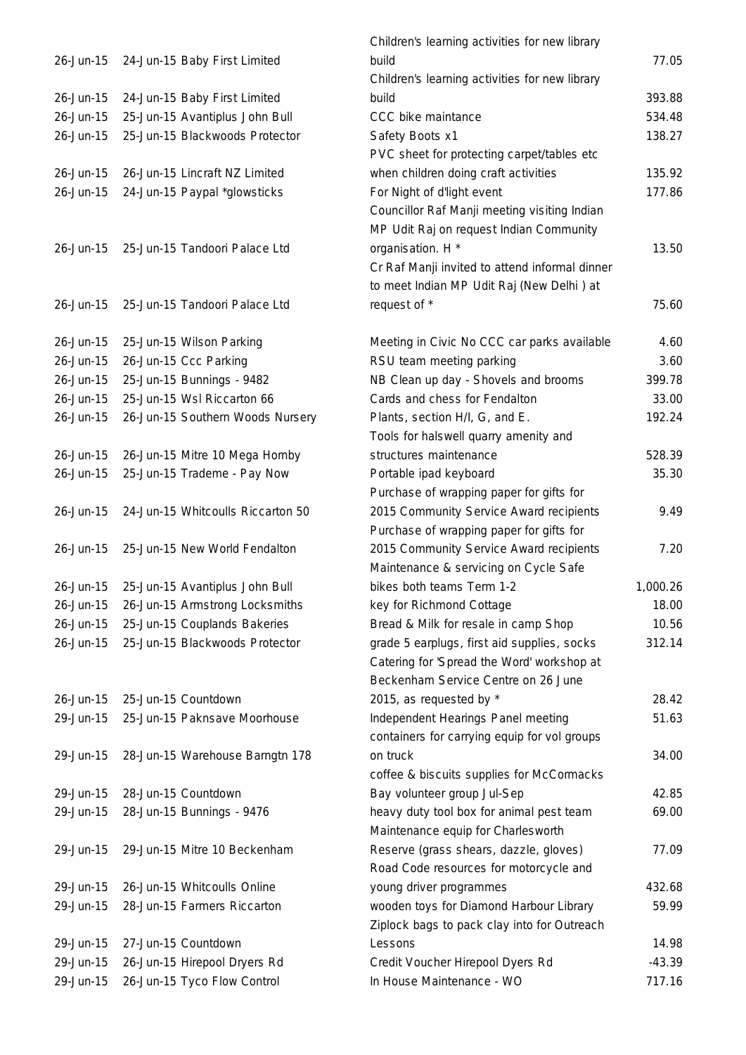| 26-Jun-15 | 24-Jun-15 Baby First Limited                      |
|-----------|---------------------------------------------------|
| 26-Jun-15 | 24-Jun-15 Baby First Limited                      |
| 26-Jun-15 | 25-Jun-15 Avantiplus John Bull                    |
| 26-Jun-15 | 25-Jun-15 Blackwoods Protector                    |
|           |                                                   |
| 26-Jun-15 | 26-Jun-15 Lincraft NZ Limited                     |
| 26-Jun-15 | 24-Jun-15 Paypal *glowsticks                      |
|           |                                                   |
| 26-Jun-15 | 25-Jun-15 Tandoori Palace Ltd                     |
|           |                                                   |
| 26-Jun-15 | 25-Jun-15 Tandoori Palace Ltd                     |
| 26-Jun-15 |                                                   |
| 26-Jun-15 | 25-Jun-15 Wilson Parking<br>26-Jun-15 Ccc Parking |
| 26-Jun-15 | 25-Jun-15 Bunnings - 9482                         |
| 26-Jun-15 | 25-Jun-15 Wsl Riccarton 66                        |
| 26-Jun-15 | 26-Jun-15 Southern Woods Nursery                  |
|           |                                                   |
| 26-Jun-15 | 26-Jun-15 Mitre 10 Mega Hornby                    |
| 26-Jun-15 | 25-Jun-15 Trademe - Pay Now                       |
|           |                                                   |
| 26-Jun-15 | 24-Jun-15 Whitcoulls Riccarton 50                 |
| 26-Jun-15 | 25-Jun-15 New World Fendalton                     |
|           |                                                   |
| 26-Jun-15 | 25-Jun-15 Avantiplus John Bull                    |
| 26-Jun-15 | 26-Jun-15 Armstrong Locksmiths                    |
| 26-Jun-15 | 25-Jun-15 Couplands Bakeries                      |
| 26-Jun-15 | 25-Jun-15 Blackwoods Protector                    |
|           |                                                   |
| 26-Jun-15 | 25-Jun-15 Countdown                               |
| 29-Jun-15 | 25-Jun-15 Paknsave Moorhouse                      |
|           |                                                   |
| 29-Jun-15 | 28-Jun-15 Warehouse Barngtn 178                   |
|           |                                                   |
| 29-Jun-15 | 28-Jun-15 Countdown                               |
| 29-Jun-15 | 28-Jun-15 Bunnings - 9476                         |
| 29-Jun-15 | 29-Jun-15 Mitre 10 Beckenham                      |
|           |                                                   |
| 29-Jun-15 | 26-Jun-15 Whitcoulls Online                       |
| 29-Jun-15 | 28-Jun-15 Farmers Riccarton                       |
| 29-Jun-15 | 27-Jun-15 Countdown                               |
| 29-Jun-15 | 26-Jun-15 Hirepool Dryers Rd                      |
| 29-Jun-15 | 26-Jun-15 Tyco Flow Control                       |
|           |                                                   |

|           |                                   | Children's learning activities for new library |          |
|-----------|-----------------------------------|------------------------------------------------|----------|
| 26-Jun-15 | 24-Jun-15 Baby First Limited      | build                                          | 77.05    |
|           |                                   | Children's learning activities for new library |          |
| 26-Jun-15 | 24-Jun-15 Baby First Limited      | build                                          | 393.88   |
| 26-Jun-15 | 25-Jun-15 Avantiplus John Bull    | CCC bike maintance                             | 534.48   |
| 26-Jun-15 | 25-Jun-15 Blackwoods Protector    | Safety Boots x1                                | 138.27   |
|           |                                   | PVC sheet for protecting carpet/tables etc     |          |
| 26-Jun-15 | 26-Jun-15 Lincraft NZ Limited     | when children doing craft activities           | 135.92   |
| 26-Jun-15 | 24-Jun-15 Paypal *glowsticks      | For Night of d'light event                     | 177.86   |
|           |                                   | Councillor Raf Manji meeting visiting Indian   |          |
|           |                                   | MP Udit Raj on request Indian Community        |          |
| 26-Jun-15 | 25-Jun-15 Tandoori Palace Ltd     | organisation. H *                              | 13.50    |
|           |                                   | Cr Raf Manji invited to attend informal dinner |          |
|           |                                   | to meet Indian MP Udit Raj (New Delhi) at      |          |
| 26-Jun-15 | 25-Jun-15 Tandoori Palace Ltd     | request of *                                   | 75.60    |
|           |                                   |                                                |          |
| 26-Jun-15 | 25-Jun-15 Wilson Parking          | Meeting in Civic No CCC car parks available    | 4.60     |
| 26-Jun-15 | 26-Jun-15 Ccc Parking             | RSU team meeting parking                       | 3.60     |
| 26-Jun-15 | 25-Jun-15 Bunnings - 9482         | NB Clean up day - Shovels and brooms           | 399.78   |
| 26-Jun-15 | 25-Jun-15 Wsl Riccarton 66        | Cards and chess for Fendalton                  | 33.00    |
| 26-Jun-15 | 26-Jun-15 Southern Woods Nursery  | Plants, section H/I, G, and E.                 | 192.24   |
|           |                                   | Tools for halswell quarry amenity and          |          |
| 26-Jun-15 | 26-Jun-15 Mitre 10 Mega Hornby    | structures maintenance                         | 528.39   |
| 26-Jun-15 | 25-Jun-15 Trademe - Pay Now       | Portable ipad keyboard                         | 35.30    |
|           |                                   | Purchase of wrapping paper for gifts for       |          |
| 26-Jun-15 | 24-Jun-15 Whitcoulls Riccarton 50 | 2015 Community Service Award recipients        | 9.49     |
|           |                                   | Purchase of wrapping paper for gifts for       |          |
| 26-Jun-15 | 25-Jun-15 New World Fendalton     | 2015 Community Service Award recipients        | 7.20     |
|           |                                   | Maintenance & servicing on Cycle Safe          |          |
| 26-Jun-15 | 25-Jun-15 Avantiplus John Bull    | bikes both teams Term 1-2                      | 1,000.26 |
| 26-Jun-15 | 26-Jun-15 Armstrong Locksmiths    | key for Richmond Cottage                       | 18.00    |
| 26-Jun-15 | 25-Jun-15 Couplands Bakeries      | Bread & Milk for resale in camp Shop           | 10.56    |
| 26-Jun-15 | 25-Jun-15 Blackwoods Protector    | grade 5 earplugs, first aid supplies, socks    | 312.14   |
|           |                                   | Catering for 'Spread the Word' workshop at     |          |
|           |                                   | Beckenham Service Centre on 26 June            |          |
| 26-Jun-15 | 25-Jun-15 Countdown               | 2015, as requested by *                        | 28.42    |
| 29-Jun-15 | 25-Jun-15 Paknsave Moorhouse      | Independent Hearings Panel meeting             | 51.63    |
|           |                                   | containers for carrying equip for vol groups   |          |
| 29-Jun-15 | 28-Jun-15 Warehouse Barngtn 178   | on truck                                       | 34.00    |
|           |                                   | coffee & biscuits supplies for McCormacks      |          |
| 29-Jun-15 | 28-Jun-15 Countdown               | Bay volunteer group Jul-Sep                    | 42.85    |
| 29-Jun-15 | 28-Jun-15 Bunnings - 9476         | heavy duty tool box for animal pest team       | 69.00    |
|           |                                   | Maintenance equip for Charlesworth             |          |
| 29-Jun-15 | 29-Jun-15 Mitre 10 Beckenham      | Reserve (grass shears, dazzle, gloves)         | 77.09    |
|           |                                   | Road Code resources for motorcycle and         |          |
| 29-Jun-15 | 26-Jun-15 Whitcoulls Online       | young driver programmes                        | 432.68   |
| 29-Jun-15 | 28-Jun-15 Farmers Riccarton       | wooden toys for Diamond Harbour Library        | 59.99    |
|           |                                   | Ziplock bags to pack clay into for Outreach    |          |
| 29-Jun-15 | 27-Jun-15 Countdown               | Lessons                                        | 14.98    |
| 29-Jun-15 | 26-Jun-15 Hirepool Dryers Rd      | Credit Voucher Hirepool Dyers Rd               | $-43.39$ |
| 29-Jun-15 | 26-Jun-15 Tyco Flow Control       | In House Maintenance - WO                      | 717.16   |
|           |                                   |                                                |          |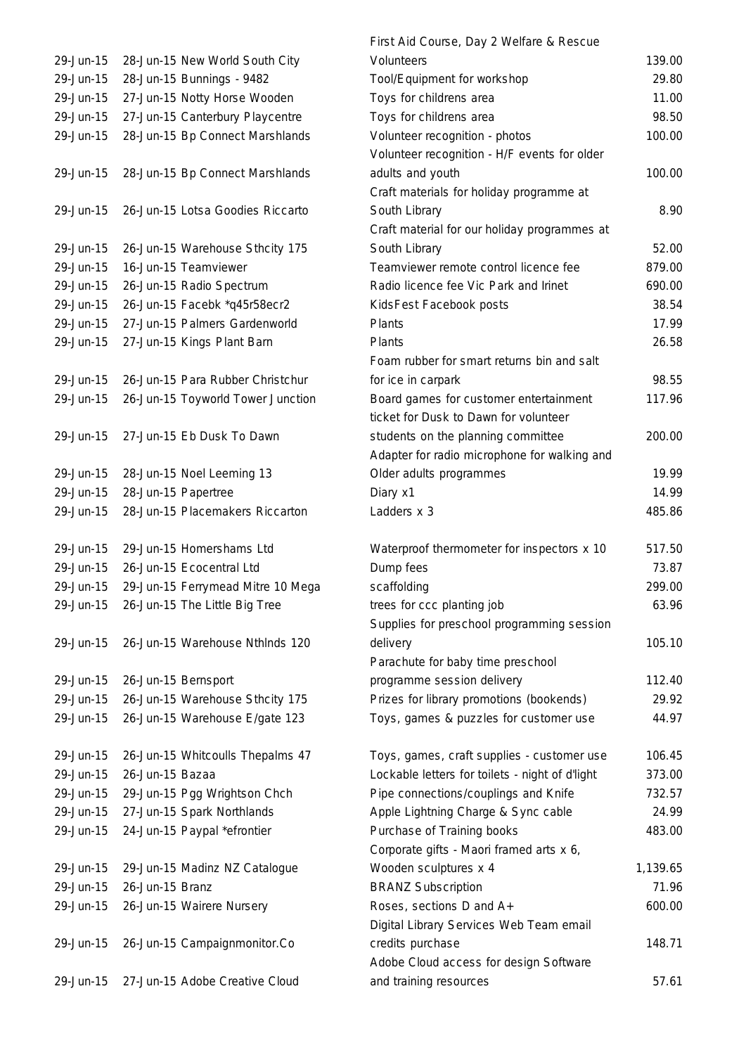|           |                                   | First Aid Course, Day 2 Welfare & Rescue        |          |
|-----------|-----------------------------------|-------------------------------------------------|----------|
| 29-Jun-15 | 28-Jun-15 New World South City    | Volunteers                                      | 139.00   |
| 29-Jun-15 | 28-Jun-15 Bunnings - 9482         | Tool/Equipment for workshop                     | 29.80    |
| 29-Jun-15 | 27-Jun-15 Notty Horse Wooden      | Toys for childrens area                         | 11.00    |
| 29-Jun-15 | 27-Jun-15 Canterbury Playcentre   | Toys for childrens area                         | 98.50    |
| 29-Jun-15 | 28-Jun-15 Bp Connect Marshlands   | Volunteer recognition - photos                  | 100.00   |
|           |                                   | Volunteer recognition - H/F events for older    |          |
| 29-Jun-15 | 28-Jun-15 Bp Connect Marshlands   | adults and youth                                | 100.00   |
|           |                                   | Craft materials for holiday programme at        |          |
| 29-Jun-15 | 26-Jun-15 Lotsa Goodies Riccarto  | South Library                                   | 8.90     |
|           |                                   | Craft material for our holiday programmes at    |          |
| 29-Jun-15 | 26-Jun-15 Warehouse Sthcity 175   | South Library                                   | 52.00    |
| 29-Jun-15 | 16-Jun-15 Teamviewer              | Teamviewer remote control licence fee           | 879.00   |
| 29-Jun-15 | 26-Jun-15 Radio Spectrum          | Radio licence fee Vic Park and Irinet           | 690.00   |
| 29-Jun-15 | 26-Jun-15 Facebk *q45r58ecr2      | KidsFest Facebook posts                         | 38.54    |
| 29-Jun-15 | 27-Jun-15 Palmers Gardenworld     | Plants                                          | 17.99    |
| 29-Jun-15 | 27-Jun-15 Kings Plant Barn        | Plants                                          | 26.58    |
|           |                                   | Foam rubber for smart returns bin and salt      |          |
| 29-Jun-15 | 26-Jun-15 Para Rubber Christchur  | for ice in carpark                              | 98.55    |
| 29-Jun-15 | 26-Jun-15 Toyworld Tower Junction | Board games for customer entertainment          | 117.96   |
|           |                                   | ticket for Dusk to Dawn for volunteer           |          |
| 29-Jun-15 | 27-Jun-15 Eb Dusk To Dawn         |                                                 | 200.00   |
|           |                                   | students on the planning committee              |          |
| 29-Jun-15 |                                   | Adapter for radio microphone for walking and    |          |
|           | 28-Jun-15 Noel Leeming 13         | Older adults programmes                         | 19.99    |
| 29-Jun-15 | 28-Jun-15 Papertree               | Diary x1                                        | 14.99    |
| 29-Jun-15 | 28-Jun-15 Placemakers Riccarton   | Ladders x 3                                     | 485.86   |
| 29-Jun-15 | 29-Jun-15 Homershams Ltd          | Waterproof thermometer for inspectors x 10      | 517.50   |
| 29-Jun-15 | 26-Jun-15 Ecocentral Ltd          | Dump fees                                       | 73.87    |
| 29-Jun-15 | 29-Jun-15 Ferrymead Mitre 10 Mega | scaffolding                                     | 299.00   |
| 29-Jun-15 | 26-Jun-15 The Little Big Tree     | trees for ccc planting job                      | 63.96    |
|           |                                   | Supplies for preschool programming session      |          |
| 29-Jun-15 | 26-Jun-15 Warehouse Nthlnds 120   | delivery                                        | 105.10   |
|           |                                   | Parachute for baby time preschool               |          |
| 29-Jun-15 | 26-Jun-15 Bernsport               | programme session delivery                      | 112.40   |
| 29-Jun-15 | 26-Jun-15 Warehouse Sthcity 175   | Prizes for library promotions (bookends)        | 29.92    |
| 29-Jun-15 | 26-Jun-15 Warehouse E/gate 123    | Toys, games & puzzles for customer use          | 44.97    |
|           |                                   |                                                 |          |
| 29-Jun-15 | 26-Jun-15 Whitcoulls Thepalms 47  | Toys, games, craft supplies - customer use      | 106.45   |
| 29-Jun-15 | 26-Jun-15 Bazaa                   | Lockable letters for toilets - night of d'light | 373.00   |
| 29-Jun-15 | 29-Jun-15 Pgg Wrightson Chch      | Pipe connections/couplings and Knife            | 732.57   |
| 29-Jun-15 | 27-Jun-15 Spark Northlands        | Apple Lightning Charge & Sync cable             | 24.99    |
| 29-Jun-15 | 24-Jun-15 Paypal *efrontier       | Purchase of Training books                      | 483.00   |
|           |                                   | Corporate gifts - Maori framed arts x 6,        |          |
| 29-Jun-15 | 29-Jun-15 Madinz NZ Catalogue     | Wooden sculptures x 4                           | 1,139.65 |
| 29-Jun-15 | 26-Jun-15 Branz                   | <b>BRANZ Subscription</b>                       | 71.96    |
| 29-Jun-15 | 26-Jun-15 Wairere Nursery         | Roses, sections D and A+                        | 600.00   |
|           |                                   | Digital Library Services Web Team email         |          |
| 29-Jun-15 | 26-Jun-15 Campaignmonitor.Co      | credits purchase                                | 148.71   |
|           |                                   | Adobe Cloud access for design Software          |          |
| 29-Jun-15 | 27-Jun-15 Adobe Creative Cloud    | and training resources                          | 57.61    |
|           |                                   |                                                 |          |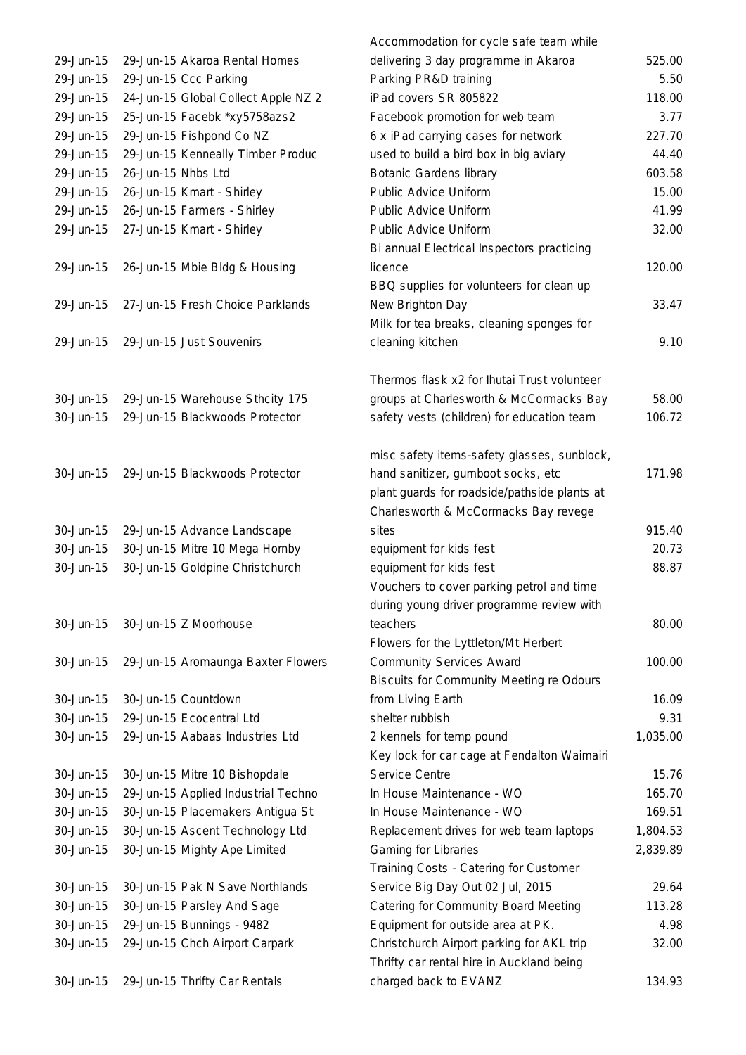|           |                                     | Accommodation for cycle safe team while         |          |
|-----------|-------------------------------------|-------------------------------------------------|----------|
| 29-Jun-15 | 29-Jun-15 Akaroa Rental Homes       | delivering 3 day programme in Akaroa            | 525.00   |
| 29-Jun-15 | 29-Jun-15 Ccc Parking               | Parking PR&D training                           | 5.50     |
| 29-Jun-15 | 24-Jun-15 Global Collect Apple NZ 2 | iPad covers SR 805822                           | 118.00   |
| 29-Jun-15 | 25-Jun-15 Facebk *xy5758azs2        | Facebook promotion for web team                 | 3.77     |
| 29-Jun-15 | 29-Jun-15 Fishpond Co NZ            | 6 x iPad carrying cases for network             | 227.70   |
| 29-Jun-15 | 29-Jun-15 Kenneally Timber Produc   | used to build a bird box in big aviary          | 44.40    |
| 29-Jun-15 | 26-Jun-15 Nhbs Ltd                  | <b>Botanic Gardens library</b>                  | 603.58   |
| 29-Jun-15 | 26-Jun-15 Kmart - Shirley           | Public Advice Uniform                           | 15.00    |
| 29-Jun-15 | 26-Jun-15 Farmers - Shirley         | Public Advice Uniform                           | 41.99    |
| 29-Jun-15 | 27-Jun-15 Kmart - Shirley           | Public Advice Uniform                           | 32.00    |
|           |                                     | Bi annual Electrical Inspectors practicing      |          |
| 29-Jun-15 | 26-Jun-15 Mbie Bldg & Housing       | licence                                         | 120.00   |
|           |                                     | BBQ supplies for volunteers for clean up        |          |
| 29-Jun-15 | 27-Jun-15 Fresh Choice Parklands    | New Brighton Day                                | 33.47    |
|           |                                     | Milk for tea breaks, cleaning sponges for       |          |
| 29-Jun-15 | 29-Jun-15 Just Souvenirs            | cleaning kitchen                                | 9.10     |
|           |                                     | Thermos flask x2 for Ihutai Trust volunteer     |          |
| 30-Jun-15 | 29-Jun-15 Warehouse Sthcity 175     | groups at Charlesworth & McCormacks Bay         | 58.00    |
| 30-Jun-15 | 29-Jun-15 Blackwoods Protector      | safety vests (children) for education team      | 106.72   |
|           |                                     | misc safety items-safety glasses, sunblock,     |          |
| 30-Jun-15 | 29-Jun-15 Blackwoods Protector      | hand sanitizer, gumboot socks, etc              | 171.98   |
|           |                                     | plant guards for roadside/pathside plants at    |          |
|           |                                     | Charlesworth & McCormacks Bay revege            |          |
| 30-Jun-15 | 29-Jun-15 Advance Landscape         | sites                                           | 915.40   |
| 30-Jun-15 | 30-Jun-15 Mitre 10 Mega Hornby      | equipment for kids fest                         | 20.73    |
| 30-Jun-15 | 30-Jun-15 Goldpine Christchurch     | equipment for kids fest                         | 88.87    |
|           |                                     | Vouchers to cover parking petrol and time       |          |
|           |                                     | during young driver programme review with       |          |
| 30-Jun-15 | 30-Jun-15 Z Moorhouse               | teachers                                        | 80.00    |
|           |                                     | Flowers for the Lyttleton/Mt Herbert            |          |
| 30-Jun-15 | 29-Jun-15 Aromaunga Baxter Flowers  | <b>Community Services Award</b>                 | 100.00   |
|           |                                     | <b>Biscuits for Community Meeting re Odours</b> |          |
| 30-Jun-15 | 30-Jun-15 Countdown                 | from Living Earth                               | 16.09    |
| 30-Jun-15 | 29-Jun-15 Ecocentral Ltd            | shelter rubbish                                 | 9.31     |
| 30-Jun-15 | 29-Jun-15 Aabaas Industries Ltd     | 2 kennels for temp pound                        | 1,035.00 |
|           |                                     | Key lock for car cage at Fendalton Waimairi     |          |
| 30-Jun-15 | 30-Jun-15 Mitre 10 Bishopdale       | Service Centre                                  | 15.76    |
| 30-Jun-15 | 29-Jun-15 Applied Industrial Techno | In House Maintenance - WO                       | 165.70   |
| 30-Jun-15 | 30-Jun-15 Placemakers Antigua St    | In House Maintenance - WO                       | 169.51   |
| 30-Jun-15 | 30-Jun-15 Ascent Technology Ltd     | Replacement drives for web team laptops         | 1,804.53 |
| 30-Jun-15 | 30-Jun-15 Mighty Ape Limited        | <b>Gaming for Libraries</b>                     | 2,839.89 |
|           |                                     | Training Costs - Catering for Customer          |          |
| 30-Jun-15 | 30-Jun-15 Pak N Save Northlands     | Service Big Day Out 02 Jul, 2015                | 29.64    |
| 30-Jun-15 | 30-Jun-15 Parsley And Sage          | Catering for Community Board Meeting            | 113.28   |
| 30-Jun-15 | 29-Jun-15 Bunnings - 9482           | Equipment for outside area at PK.               | 4.98     |
| 30-Jun-15 | 29-Jun-15 Chch Airport Carpark      | Christchurch Airport parking for AKL trip       | 32.00    |
|           |                                     | Thrifty car rental hire in Auckland being       |          |
| 30-Jun-15 | 29-Jun-15 Thrifty Car Rentals       | charged back to EVANZ                           | 134.93   |
|           |                                     |                                                 |          |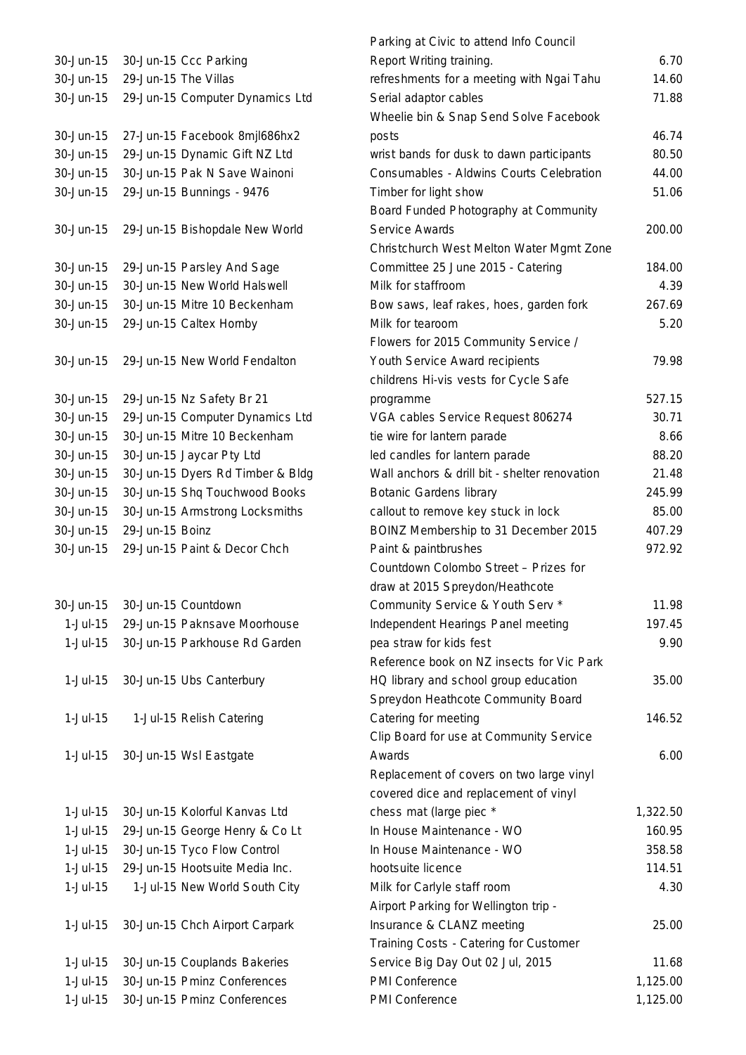| 30-Jun-15  | 30-Jun-15 Ccc Parking            |
|------------|----------------------------------|
| 30-Jun-15  | 29-Jun-15 The Villas             |
| 30-Jun-15  | 29-Jun-15 Computer Dynamics Ltd  |
|            |                                  |
| 30-Jun-15  | 27-Jun-15 Facebook 8mjl686hx2    |
| 30-Jun-15  | 29-Jun-15 Dynamic Gift NZ Ltd    |
| 30-Jun-15  | 30-Jun-15 Pak N Save Wainoni     |
| 30-Jun-15  | 29-Jun-15 Bunnings - 9476        |
|            |                                  |
| 30-Jun-15  | 29-Jun-15 Bishopdale New World   |
| 30-Jun-15  | 29-Jun-15 Parsley And Sage       |
| 30-Jun-15  | 30-Jun-15 New World Halswell     |
| 30-Jun-15  | 30-Jun-15 Mitre 10 Beckenham     |
| 30-Jun-15  | 29-Jun-15 Caltex Hornby          |
|            |                                  |
| 30-Jun-15  | 29-Jun-15 New World Fendalton    |
|            |                                  |
| 30-Jun-15  | 29-Jun-15 Nz Safety Br 21        |
| 30-Jun-15  | 29-Jun-15 Computer Dynamics Ltd  |
| 30-Jun-15  | 30-Jun-15 Mitre 10 Beckenham     |
| 30-Jun-15  | 30-Jun-15 Jaycar Pty Ltd         |
| 30-Jun-15  | 30-Jun-15 Dyers Rd Timber & Bldg |
| 30-Jun-15  | 30-Jun-15 Shq Touchwood Books    |
| 30-Jun-15  | 30-Jun-15 Armstrong Locksmiths   |
| 30-Jun-15  | 29-Jun-15 Boinz                  |
| 30-Jun-15  | 29-Jun-15 Paint & Decor Chch     |
|            |                                  |
|            |                                  |
|            |                                  |
| 30-Jun-15  | 30-Jun-15 Countdown              |
| $1-Jul-15$ | 29-Jun-15 Paknsave Moorhouse     |
| $1-Jul-15$ | 30-Jun-15 Parkhouse Rd Garden    |
|            |                                  |
| $1-Jul-15$ | 30-Jun-15 Ubs Canterbury         |
|            |                                  |
| $1-Jul-15$ | 1-Jul-15 Relish Catering         |
|            |                                  |
| $1-Jul-15$ | 30-Jun-15 Wsl Eastgate           |
|            |                                  |
|            |                                  |
| $1-Jul-15$ | 30-Jun-15 Kolorful Kanvas Ltd    |
| $1-Jul-15$ | 29-Jun-15 George Henry & Co Lt   |
| $1-Jul-15$ | 30-Jun-15 Tyco Flow Control      |
| $1-Jul-15$ | 29-Jun-15 Hootsuite Media Inc.   |
| $1-Jul-15$ | 1-Jul-15 New World South City    |
|            |                                  |
| $1-Jul-15$ | 30-Jun-15 Chch Airport Carpark   |
|            |                                  |
| $1-Jul-15$ | 30-Jun-15 Couplands Bakeries     |
| 1-Jul-15   | 30-Jun-15 Pminz Conferences      |

|            |                                  | Parking at Civic to attend Info Council       |          |
|------------|----------------------------------|-----------------------------------------------|----------|
| 30-Jun-15  | 30-Jun-15 Ccc Parking            | Report Writing training.                      | 6.70     |
| 30-Jun-15  | 29-Jun-15 The Villas             | refreshments for a meeting with Ngai Tahu     | 14.60    |
| 30-Jun-15  | 29-Jun-15 Computer Dynamics Ltd  | Serial adaptor cables                         | 71.88    |
|            |                                  | Wheelie bin & Snap Send Solve Facebook        |          |
| 30-Jun-15  | 27-Jun-15 Facebook 8mjl686hx2    | posts                                         | 46.74    |
| 30-Jun-15  | 29-Jun-15 Dynamic Gift NZ Ltd    | wrist bands for dusk to dawn participants     | 80.50    |
| 30-Jun-15  | 30-Jun-15 Pak N Save Wainoni     | Consumables - Aldwins Courts Celebration      | 44.00    |
| 30-Jun-15  | 29-Jun-15 Bunnings - 9476        | Timber for light show                         | 51.06    |
|            |                                  | Board Funded Photography at Community         |          |
| 30-Jun-15  | 29-Jun-15 Bishopdale New World   | Service Awards                                | 200.00   |
|            |                                  | Christchurch West Melton Water Mgmt Zone      |          |
| 30-Jun-15  | 29-Jun-15 Parsley And Sage       | Committee 25 June 2015 - Catering             | 184.00   |
| 30-Jun-15  | 30-Jun-15 New World Halswell     | Milk for staffroom                            | 4.39     |
| 30-Jun-15  | 30-Jun-15 Mitre 10 Beckenham     | Bow saws, leaf rakes, hoes, garden fork       | 267.69   |
| 30-Jun-15  | 29-Jun-15 Caltex Hornby          | Milk for tearoom                              | 5.20     |
|            |                                  | Flowers for 2015 Community Service /          |          |
| 30-Jun-15  | 29-Jun-15 New World Fendalton    | Youth Service Award recipients                | 79.98    |
|            |                                  | childrens Hi-vis vests for Cycle Safe         |          |
| 30-Jun-15  | 29-Jun-15 Nz Safety Br 21        | programme                                     | 527.15   |
| 30-Jun-15  | 29-Jun-15 Computer Dynamics Ltd  | VGA cables Service Request 806274             | 30.71    |
| 30-Jun-15  | 30-Jun-15 Mitre 10 Beckenham     | tie wire for lantern parade                   | 8.66     |
| 30-Jun-15  | 30-Jun-15 Jaycar Pty Ltd         | led candles for lantern parade                | 88.20    |
| 30-Jun-15  | 30-Jun-15 Dyers Rd Timber & Bldg | Wall anchors & drill bit - shelter renovation | 21.48    |
| 30-Jun-15  | 30-Jun-15 Shq Touchwood Books    | <b>Botanic Gardens library</b>                | 245.99   |
| 30-Jun-15  | 30-Jun-15 Armstrong Locksmiths   | callout to remove key stuck in lock           | 85.00    |
| 30-Jun-15  | 29-Jun-15 Boinz                  | BOINZ Membership to 31 December 2015          | 407.29   |
| 30-Jun-15  | 29-Jun-15 Paint & Decor Chch     | Paint & paintbrushes                          | 972.92   |
|            |                                  | Countdown Colombo Street - Prizes for         |          |
|            |                                  | draw at 2015 Spreydon/Heathcote               |          |
| 30-Jun-15  | 30-Jun-15 Countdown              | Community Service & Youth Serv *              | 11.98    |
| $1-Jul-15$ | 29-Jun-15 Paknsave Moorhouse     | Independent Hearings Panel meeting            | 197.45   |
| 1-Jul-15   | 30-Jun-15 Parkhouse Rd Garden    | pea straw for kids fest                       | 9.90     |
|            |                                  | Reference book on NZ insects for Vic Park     |          |
| $1-Jul-15$ | 30-Jun-15 Ubs Canterbury         | HQ library and school group education         | 35.00    |
|            |                                  | Spreydon Heathcote Community Board            |          |
| $1-Jul-15$ | 1-Jul-15 Relish Catering         | Catering for meeting                          | 146.52   |
|            |                                  | Clip Board for use at Community Service       |          |
| $1-Jul-15$ | 30-Jun-15 Wsl Eastgate           | Awards                                        | 6.00     |
|            |                                  | Replacement of covers on two large vinyl      |          |
|            |                                  | covered dice and replacement of vinyl         |          |
| $1-Jul-15$ | 30-Jun-15 Kolorful Kanvas Ltd    | chess mat (large piec *                       | 1,322.50 |
| $1-Jul-15$ | 29-Jun-15 George Henry & Co Lt   | In House Maintenance - WO                     | 160.95   |
| 1-Jul-15   | 30-Jun-15 Tyco Flow Control      | In House Maintenance - WO                     | 358.58   |
| 1-Jul-15   | 29-Jun-15 Hootsuite Media Inc.   | hootsuite licence                             | 114.51   |
| 1-Jul-15   | 1-Jul-15 New World South City    | Milk for Carlyle staff room                   | 4.30     |
|            |                                  | Airport Parking for Wellington trip -         |          |
| $1-Jul-15$ | 30-Jun-15 Chch Airport Carpark   | Insurance & CLANZ meeting                     | 25.00    |
|            |                                  | Training Costs - Catering for Customer        |          |
| $1-Jul-15$ | 30-Jun-15 Couplands Bakeries     | Service Big Day Out 02 Jul, 2015              | 11.68    |
| 1-Jul-15   | 30-Jun-15 Pminz Conferences      | PMI Conference                                | 1,125.00 |
| $1-Jul-15$ | 30-Jun-15 Pminz Conferences      | PMI Conference                                | 1,125.00 |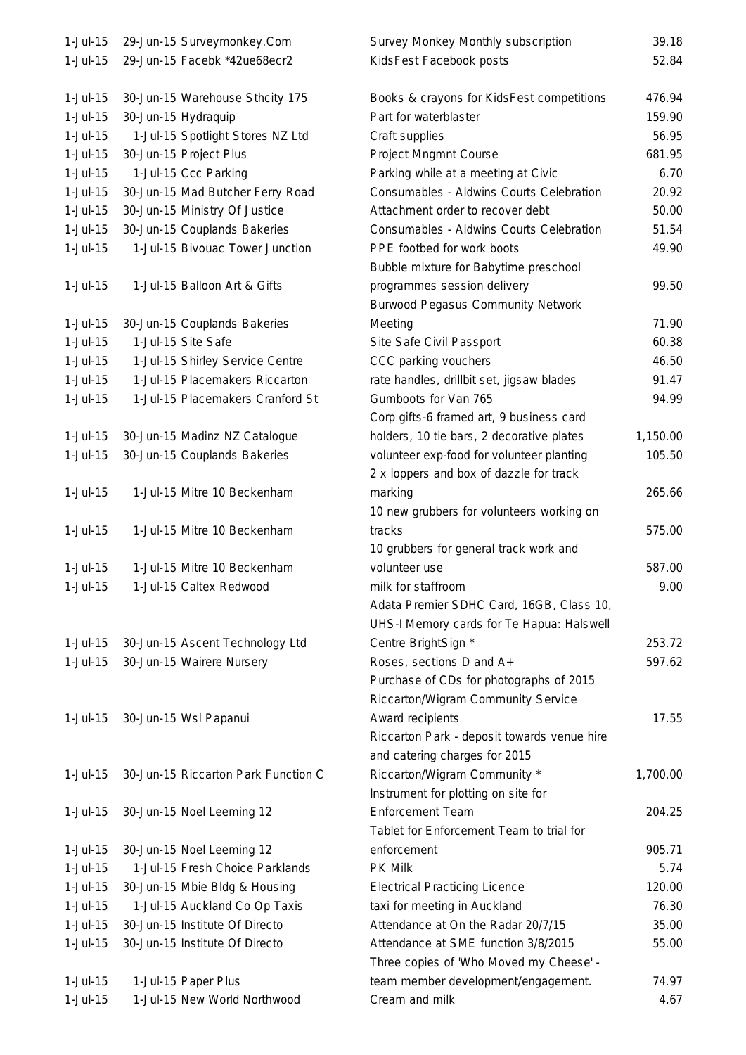| $1-Jul-15$  | 29-Jun-15 Surveymonkey.Com          | Survey Monkey Monthly subscription          | 39.18    |
|-------------|-------------------------------------|---------------------------------------------|----------|
| $1-Jul-15$  | 29-Jun-15 Facebk *42ue68ecr2        | KidsFest Facebook posts                     | 52.84    |
|             |                                     |                                             |          |
| $1-Jul-15$  | 30-Jun-15 Warehouse Sthcity 175     | Books & crayons for KidsFest competitions   | 476.94   |
| $1-Jul-15$  | 30-Jun-15 Hydraquip                 | Part for waterblaster                       | 159.90   |
| $1-Jul-15$  | 1-Jul-15 Spotlight Stores NZ Ltd    | Craft supplies                              | 56.95    |
| $1-Jul-15$  | 30-Jun-15 Project Plus              | Project Mngmnt Course                       | 681.95   |
| $1-Jul-15$  | 1-Jul-15 Ccc Parking                | Parking while at a meeting at Civic         | 6.70     |
| $1-Jul-15$  | 30-Jun-15 Mad Butcher Ferry Road    | Consumables - Aldwins Courts Celebration    | 20.92    |
| $1-Jul-15$  | 30-Jun-15 Ministry Of Justice       | Attachment order to recover debt            | 50.00    |
| $1-Jul-15$  | 30-Jun-15 Couplands Bakeries        | Consumables - Aldwins Courts Celebration    | 51.54    |
| $1-Jul-15$  | 1-Jul-15 Bivouac Tower Junction     | PPE footbed for work boots                  | 49.90    |
|             |                                     | Bubble mixture for Babytime preschool       |          |
| $1-Jul-15$  | 1-Jul-15 Balloon Art & Gifts        | programmes session delivery                 | 99.50    |
|             |                                     | <b>Burwood Pegasus Community Network</b>    |          |
| $1-Jul-15$  | 30-Jun-15 Couplands Bakeries        | Meeting                                     | 71.90    |
| $1-Jul-15$  | 1-Jul-15 Site Safe                  | Site Safe Civil Passport                    | 60.38    |
| $1-Jul-15$  | 1-Jul-15 Shirley Service Centre     | CCC parking vouchers                        | 46.50    |
| $1-Jul-15$  | 1-Jul-15 Placemakers Riccarton      | rate handles, drillbit set, jigsaw blades   | 91.47    |
| 1-Jul-15    | 1-Jul-15 Placemakers Cranford St    | Gumboots for Van 765                        | 94.99    |
|             |                                     | Corp gifts-6 framed art, 9 business card    |          |
| $1-Jul-15$  | 30-Jun-15 Madinz NZ Catalogue       | holders, 10 tie bars, 2 decorative plates   | 1,150.00 |
| $1-Jul-15$  | 30-Jun-15 Couplands Bakeries        | volunteer exp-food for volunteer planting   | 105.50   |
|             |                                     | 2 x loppers and box of dazzle for track     |          |
| $1-Jul-15$  | 1-Jul-15 Mitre 10 Beckenham         | marking                                     | 265.66   |
|             |                                     | 10 new grubbers for volunteers working on   |          |
| $1-Jul-15$  | 1-Jul-15 Mitre 10 Beckenham         | tracks                                      | 575.00   |
|             |                                     | 10 grubbers for general track work and      |          |
| $1-Jul-15$  | 1-Jul-15 Mitre 10 Beckenham         | volunteer use                               | 587.00   |
| 1-Jul-15    | 1-Jul-15 Caltex Redwood             | milk for staffroom                          | 9.00     |
|             |                                     | Adata Premier SDHC Card, 16GB, Class 10,    |          |
|             |                                     | UHS-I Memory cards for Te Hapua: Halswell   |          |
| $1-Jul-15$  | 30-Jun-15 Ascent Technology Ltd     | Centre BrightSign *                         | 253.72   |
| $1-Jul-15$  | 30-Jun-15 Wairere Nursery           | Roses, sections D and A+                    | 597.62   |
|             |                                     | Purchase of CDs for photographs of 2015     |          |
|             |                                     | Riccarton/Wigram Community Service          |          |
| $1-Jul-15$  | 30-Jun-15 Wsl Papanui               | Award recipients                            | 17.55    |
|             |                                     | Riccarton Park - deposit towards venue hire |          |
|             |                                     | and catering charges for 2015               |          |
| $1-Jul-15$  | 30-Jun-15 Riccarton Park Function C | Riccarton/Wigram Community *                | 1,700.00 |
|             |                                     | Instrument for plotting on site for         |          |
| $1$ -Jul-15 | 30-Jun-15 Noel Leeming 12           | <b>Enforcement Team</b>                     | 204.25   |
|             |                                     | Tablet for Enforcement Team to trial for    |          |
| $1-Jul-15$  | 30-Jun-15 Noel Leeming 12           | enforcement                                 | 905.71   |
| $1-Jul-15$  | 1-Jul-15 Fresh Choice Parklands     | <b>PK Milk</b>                              | 5.74     |
| $1-Jul-15$  | 30-Jun-15 Mbie Bldg & Housing       | <b>Electrical Practicing Licence</b>        | 120.00   |
| $1-Jul-15$  | 1-Jul-15 Auckland Co Op Taxis       | taxi for meeting in Auckland                | 76.30    |
| $1-Jul-15$  | 30-Jun-15 Institute Of Directo      | Attendance at On the Radar 20/7/15          | 35.00    |
| $1-Jul-15$  | 30-Jun-15 Institute Of Directo      | Attendance at SME function 3/8/2015         | 55.00    |
|             |                                     | Three copies of 'Who Moved my Cheese' -     |          |
| $1-Jul-15$  | 1-Jul-15 Paper Plus                 | team member development/engagement.         | 74.97    |
| 1-Jul-15    | 1-Jul-15 New World Northwood        | Cream and milk                              | 4.67     |
|             |                                     |                                             |          |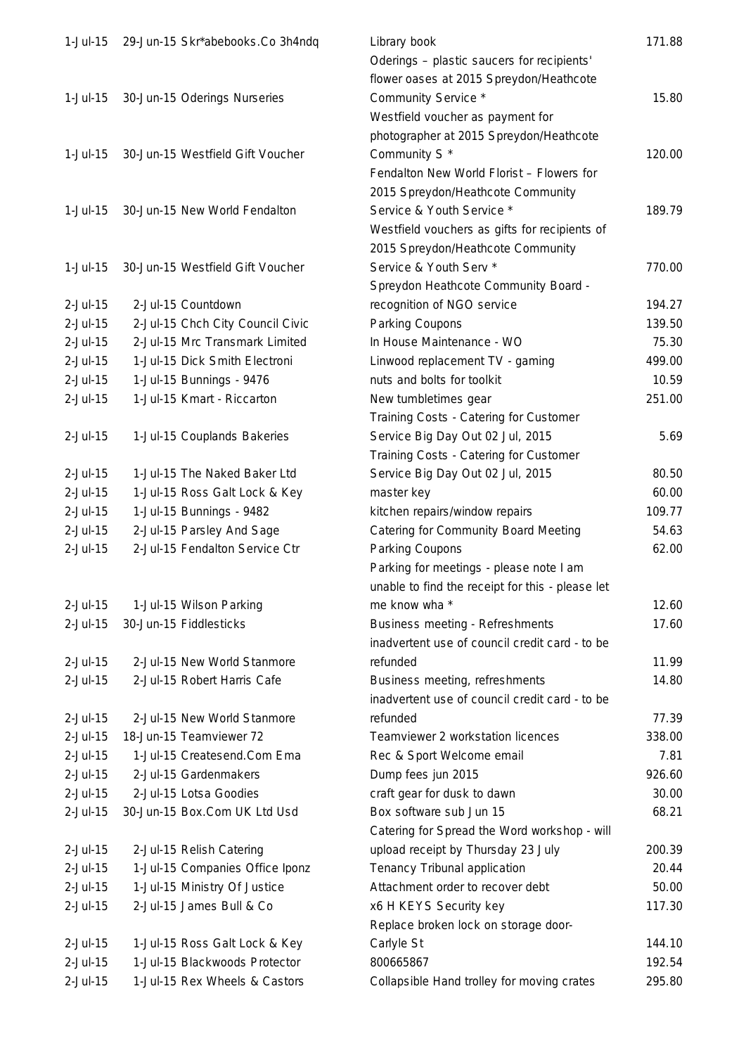| $1-Jul-15$                | 29-Jun-15 Skr*abebooks.Co 3h4ndq | Library book                                                  | 171.88 |
|---------------------------|----------------------------------|---------------------------------------------------------------|--------|
|                           |                                  | Oderings - plastic saucers for recipients'                    |        |
|                           |                                  | flower oases at 2015 Spreydon/Heathcote                       |        |
| $1-Jul-15$                | 30-Jun-15 Oderings Nurseries     | Community Service *                                           | 15.80  |
|                           |                                  | Westfield voucher as payment for                              |        |
|                           |                                  | photographer at 2015 Spreydon/Heathcote                       |        |
| $1-Jul-15$                | 30-Jun-15 Westfield Gift Voucher | Community S <sup>*</sup>                                      | 120.00 |
|                           |                                  | Fendalton New World Florist - Flowers for                     |        |
|                           |                                  | 2015 Spreydon/Heathcote Community                             |        |
| $1-Jul-15$                | 30-Jun-15 New World Fendalton    | Service & Youth Service *                                     | 189.79 |
|                           |                                  | Westfield vouchers as gifts for recipients of                 |        |
|                           |                                  | 2015 Spreydon/Heathcote Community                             |        |
| $1-Jul-15$                | 30-Jun-15 Westfield Gift Voucher | Service & Youth Serv *                                        | 770.00 |
|                           |                                  | Spreydon Heathcote Community Board -                          |        |
| $2$ -Jul-15               | 2-Jul-15 Countdown               | recognition of NGO service                                    | 194.27 |
| $2$ -Jul-15               | 2-Jul-15 Chch City Council Civic | Parking Coupons                                               | 139.50 |
| $2$ -Jul-15               | 2-Jul-15 Mrc Transmark Limited   | In House Maintenance - WO                                     | 75.30  |
| $2$ -Jul-15               | 1-Jul-15 Dick Smith Electroni    |                                                               | 499.00 |
|                           |                                  | Linwood replacement TV - gaming<br>nuts and bolts for toolkit | 10.59  |
| $2$ -Jul-15<br>$2-Jul-15$ | 1-Jul-15 Bunnings - 9476         |                                                               |        |
|                           | 1-Jul-15 Kmart - Riccarton       | New tumbletimes gear                                          | 251.00 |
|                           |                                  | Training Costs - Catering for Customer                        |        |
| $2$ -Jul-15               | 1-Jul-15 Couplands Bakeries      | Service Big Day Out 02 Jul, 2015                              | 5.69   |
|                           |                                  | Training Costs - Catering for Customer                        |        |
| $2$ -Jul-15               | 1-Jul-15 The Naked Baker Ltd     | Service Big Day Out 02 Jul, 2015                              | 80.50  |
| $2$ -Jul-15               | 1-Jul-15 Ross Galt Lock & Key    | master key                                                    | 60.00  |
| $2$ -Jul-15               | 1-Jul-15 Bunnings - 9482         | kitchen repairs/window repairs                                | 109.77 |
| $2$ -Jul-15               | 2-Jul-15 Parsley And Sage        | <b>Catering for Community Board Meeting</b>                   | 54.63  |
| $2$ -Jul-15               | 2-Jul-15 Fendalton Service Ctr   | Parking Coupons                                               | 62.00  |
|                           |                                  | Parking for meetings - please note I am                       |        |
|                           |                                  | unable to find the receipt for this - please let              |        |
| $2$ -Jul-15               | 1-Jul-15 Wilson Parking          | me know wha *                                                 | 12.60  |
| $2$ -Jul-15               | 30-Jun-15 Fiddlesticks           | Business meeting - Refreshments                               | 17.60  |
|                           |                                  | inadvertent use of council credit card - to be                |        |
| $2$ -Jul-15               | 2-Jul-15 New World Stanmore      | refunded                                                      | 11.99  |
| $2$ -Jul-15               | 2-Jul-15 Robert Harris Cafe      | Business meeting, refreshments                                | 14.80  |
|                           |                                  | inadvertent use of council credit card - to be                |        |
| $2$ -Jul-15               | 2-Jul-15 New World Stanmore      | refunded                                                      | 77.39  |
| $2$ -Jul-15               | 18-Jun-15 Teamviewer 72          | Teamviewer 2 workstation licences                             | 338.00 |
| $2$ -Jul-15               | 1-Jul-15 Createsend.Com Ema      | Rec & Sport Welcome email                                     | 7.81   |
| $2$ -Jul-15               | 2-Jul-15 Gardenmakers            | Dump fees jun 2015                                            | 926.60 |
| $2$ -Jul-15               | 2-Jul-15 Lotsa Goodies           | craft gear for dusk to dawn                                   | 30.00  |
| $2$ -Jul-15               | 30-Jun-15 Box.Com UK Ltd Usd     | Box software sub Jun 15                                       | 68.21  |
|                           |                                  | Catering for Spread the Word workshop - will                  |        |
| $2$ -Jul-15               | 2-Jul-15 Relish Catering         | upload receipt by Thursday 23 July                            | 200.39 |
| $2$ -Jul-15               | 1-Jul-15 Companies Office Iponz  | Tenancy Tribunal application                                  | 20.44  |
| $2$ -Jul-15               | 1-Jul-15 Ministry Of Justice     | Attachment order to recover debt                              | 50.00  |
| $2$ -Jul-15               | 2-Jul-15 James Bull & Co         | x6 H KEYS Security key                                        | 117.30 |
|                           |                                  | Replace broken lock on storage door-                          |        |
| $2$ -Jul-15               | 1-Jul-15 Ross Galt Lock & Key    | Carlyle St                                                    | 144.10 |
| $2$ -Jul-15               | 1-Jul-15 Blackwoods Protector    | 800665867                                                     | 192.54 |
| 2-Jul-15                  | 1-Jul-15 Rex Wheels & Castors    | Collapsible Hand trolley for moving crates                    | 295.80 |
|                           |                                  |                                                               |        |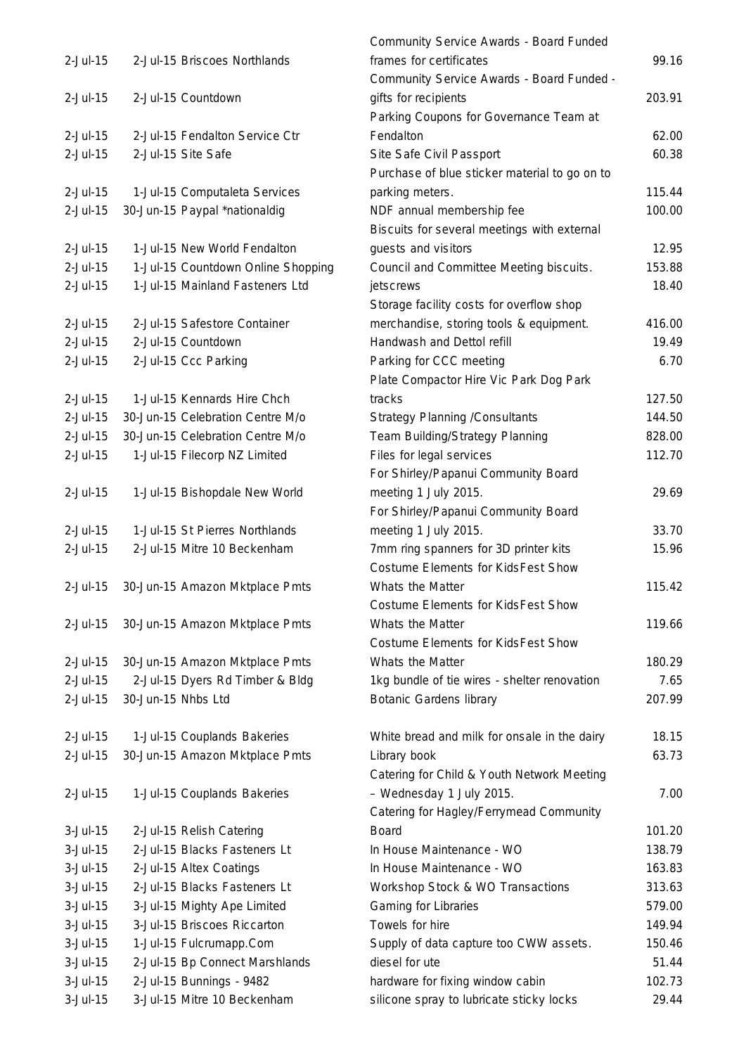| $2$ -Jul-15     |                    | 2-Jul-15 Briscoes Northlands       |
|-----------------|--------------------|------------------------------------|
| $2$ -Jul-15     |                    | 2-Jul-15 Countdown                 |
| $2$ -Jul-15     |                    | 2-Jul-15 Fendalton Service Ctr     |
| $2$ -Jul-15     |                    | 2-Jul-15 Site Safe                 |
| $2$ -Jul-15     |                    | 1-Jul-15 Computaleta Services      |
| $2$ -Jul-15     |                    | 30-Jun-15 Paypal *nationaldig      |
| $2$ -Jul-15     |                    | 1-Jul-15 New World Fendalton       |
| $2$ -Jul-15     |                    | 1-Jul-15 Countdown Online Shopping |
| $2$ -Jul-15     |                    | 1-Jul-15 Mainland Fasteners Ltd    |
| $2$ -Jul-15     |                    | 2-Jul-15 Safestore Container       |
| $2$ -Jul-15     |                    | 2-Jul-15 Countdown                 |
| $2$ -Jul-15     |                    | 2-Jul-15 Ccc Parking               |
|                 |                    |                                    |
| $2 -$ Jul-15    |                    | 1-Jul-15 Kennards Hire Chch        |
| $2$ -Jul-15     |                    | 30-Jun-15 Celebration Centre M/o   |
| $2$ -Jul-15     |                    | 30-Jun-15 Celebration Centre M/o   |
| $2$ -Jul-15     |                    | 1-Jul-15 Filecorp NZ Limited       |
|                 |                    |                                    |
| $2$ -Jul-15     |                    | 1-Jul-15 Bishopdale New World      |
| $2$ -Jul-15     |                    | 1-Jul-15 St Pierres Northlands     |
| $2$ -Jul-15     |                    | 2-Jul-15 Mitre 10 Beckenham        |
|                 |                    |                                    |
| $2$ -Jul-15     |                    | 30-Jun-15 Amazon Mktplace Pmts     |
| 2-Jul-15        |                    | 30-Jun-15 Amazon Mktplace Pmts     |
| $2$ -Jul-15     |                    | 30-Jun-15 Amazon Mktplace Pmts     |
| $2$ -Jul-15     |                    | 2-Jul-15 Dyers Rd Timber & Bldg    |
| $2$ -Jul-15     | 30-Jun-15 Nhbs Ltd |                                    |
|                 |                    |                                    |
| $2$ -Jul-15     |                    | 1-Jul-15 Couplands Bakeries        |
| $2$ -Jul-15     |                    | 30-Jun-15 Amazon Mktplace Pmts     |
|                 |                    |                                    |
| $2$ -Jul-15     |                    | 1-Jul-15 Couplands Bakeries        |
| $3$ -Jul-15     |                    | 2-Jul-15 Relish Catering           |
| $3-Jul-15$      |                    | 2-Jul-15 Blacks Fasteners Lt       |
| $3-Jul-15$      |                    | 2-Jul-15 Altex Coatings            |
| $3-Jul-15$      |                    | 2-Jul-15 Blacks Fasteners Lt       |
| $3 -$ Jul $-15$ |                    | 3-Jul-15 Mighty Ape Limited        |
| $3-Jul-15$      |                    | 3-Jul-15 Briscoes Riccarton        |
| $3-Jul-15$      |                    | 1-Jul-15 Fulcrumapp.Com            |
| $3-Jul-15$      |                    | 2-Jul-15 Bp Connect Marshlands     |
| $3-Jul-15$      |                    | 2-Jul-15 Bunnings - 9482           |
| 3-Jul-15        |                    | 3-Jul-15 Mitre 10 Beckenham        |

|          |                                    | Community Service Awards - Board Funded       |        |
|----------|------------------------------------|-----------------------------------------------|--------|
| 2-Jul-15 | 2-Jul-15 Briscoes Northlands       | frames for certificates                       | 99.16  |
|          |                                    | Community Service Awards - Board Funded -     |        |
| 2-Jul-15 | 2-Jul-15 Countdown                 | gifts for recipients                          | 203.91 |
|          |                                    | Parking Coupons for Governance Team at        |        |
| 2-Jul-15 | 2-Jul-15 Fendalton Service Ctr     | Fendalton                                     | 62.00  |
| 2-Jul-15 | 2-Jul-15 Site Safe                 | Site Safe Civil Passport                      | 60.38  |
|          |                                    | Purchase of blue sticker material to go on to |        |
| 2-Jul-15 | 1-Jul-15 Computaleta Services      | parking meters.                               | 115.44 |
| 2-Jul-15 | 30-Jun-15 Paypal *nationaldig      | NDF annual membership fee                     | 100.00 |
|          |                                    | Biscuits for several meetings with external   |        |
| 2-Jul-15 | 1-Jul-15 New World Fendalton       | guests and visitors                           | 12.95  |
| 2-Jul-15 | 1-Jul-15 Countdown Online Shopping | Council and Committee Meeting biscuits.       | 153.88 |
| 2-Jul-15 | 1-Jul-15 Mainland Fasteners Ltd    | jetscrews                                     | 18.40  |
|          |                                    | Storage facility costs for overflow shop      |        |
| 2-Jul-15 | 2-Jul-15 Safestore Container       | merchandise, storing tools & equipment.       | 416.00 |
| 2-Jul-15 | 2-Jul-15 Countdown                 | Handwash and Dettol refill                    | 19.49  |
| 2-Jul-15 | 2-Jul-15 Ccc Parking               | Parking for CCC meeting                       | 6.70   |
|          |                                    | Plate Compactor Hire Vic Park Dog Park        |        |
| 2-Jul-15 | 1-Jul-15 Kennards Hire Chch        | tracks                                        | 127.50 |
| 2-Jul-15 | 30-Jun-15 Celebration Centre M/o   | <b>Strategy Planning / Consultants</b>        | 144.50 |
| 2-Jul-15 | 30-Jun-15 Celebration Centre M/o   | Team Building/Strategy Planning               | 828.00 |
| 2-Jul-15 | 1-Jul-15 Filecorp NZ Limited       | Files for legal services                      | 112.70 |
|          |                                    | For Shirley/Papanui Community Board           |        |
| 2-Jul-15 | 1-Jul-15 Bishopdale New World      | meeting 1 July 2015.                          | 29.69  |
|          |                                    | For Shirley/Papanui Community Board           |        |
| 2-Jul-15 | 1-Jul-15 St Pierres Northlands     | meeting 1 July 2015.                          | 33.70  |
| 2-Jul-15 | 2-Jul-15 Mitre 10 Beckenham        | 7mm ring spanners for 3D printer kits         | 15.96  |
|          |                                    | <b>Costume Elements for KidsFest Show</b>     |        |
| 2-Jul-15 | 30-Jun-15 Amazon Mktplace Pmts     | Whats the Matter                              | 115.42 |
|          |                                    | <b>Costume Elements for KidsFest Show</b>     |        |
| 2-Jul-15 | 30-Jun-15 Amazon Mktplace Pmts     | Whats the Matter                              | 119.66 |
|          |                                    | Costume Elements for KidsFest Show            |        |
| 2-Jul-15 | 30-Jun-15 Amazon Mktplace Pmts     | Whats the Matter                              | 180.29 |
| 2-Jul-15 | 2-Jul-15 Dyers Rd Timber & Bldg    | 1kg bundle of tie wires - shelter renovation  | 7.65   |
| 2-Jul-15 |                                    |                                               | 207.99 |
|          | 30-Jun-15 Nhbs Ltd                 | <b>Botanic Gardens library</b>                |        |
| 2-Jul-15 | 1-Jul-15 Couplands Bakeries        | White bread and milk for onsale in the dairy  | 18.15  |
| 2-Jul-15 | 30-Jun-15 Amazon Mktplace Pmts     | Library book                                  | 63.73  |
|          |                                    | Catering for Child & Youth Network Meeting    |        |
| 2-Jul-15 |                                    | - Wednesday 1 July 2015.                      | 7.00   |
|          | 1-Jul-15 Couplands Bakeries        | Catering for Hagley/Ferrymead Community       |        |
|          |                                    | <b>Board</b>                                  | 101.20 |
| 3-Jul-15 | 2-Jul-15 Relish Catering           |                                               |        |
| 3-Jul-15 | 2-Jul-15 Blacks Fasteners Lt       | In House Maintenance - WO                     | 138.79 |
| 3-Jul-15 | 2-Jul-15 Altex Coatings            | In House Maintenance - WO                     | 163.83 |
| 3-Jul-15 | 2-Jul-15 Blacks Fasteners Lt       | Workshop Stock & WO Transactions              | 313.63 |
| 3-Jul-15 | 3-Jul-15 Mighty Ape Limited        | Gaming for Libraries                          | 579.00 |
| 3-Jul-15 | 3-Jul-15 Briscoes Riccarton        | Towels for hire                               | 149.94 |
| 3-Jul-15 | 1-Jul-15 Fulcrumapp.Com            | Supply of data capture too CWW assets.        | 150.46 |
| 3-Jul-15 | 2-Jul-15 Bp Connect Marshlands     | diesel for ute                                | 51.44  |
| 3-Jul-15 | 2-Jul-15 Bunnings - 9482           | hardware for fixing window cabin              | 102.73 |
| 3-Jul-15 | 3-Jul-15 Mitre 10 Beckenham        | silicone spray to lubricate sticky locks      | 29.44  |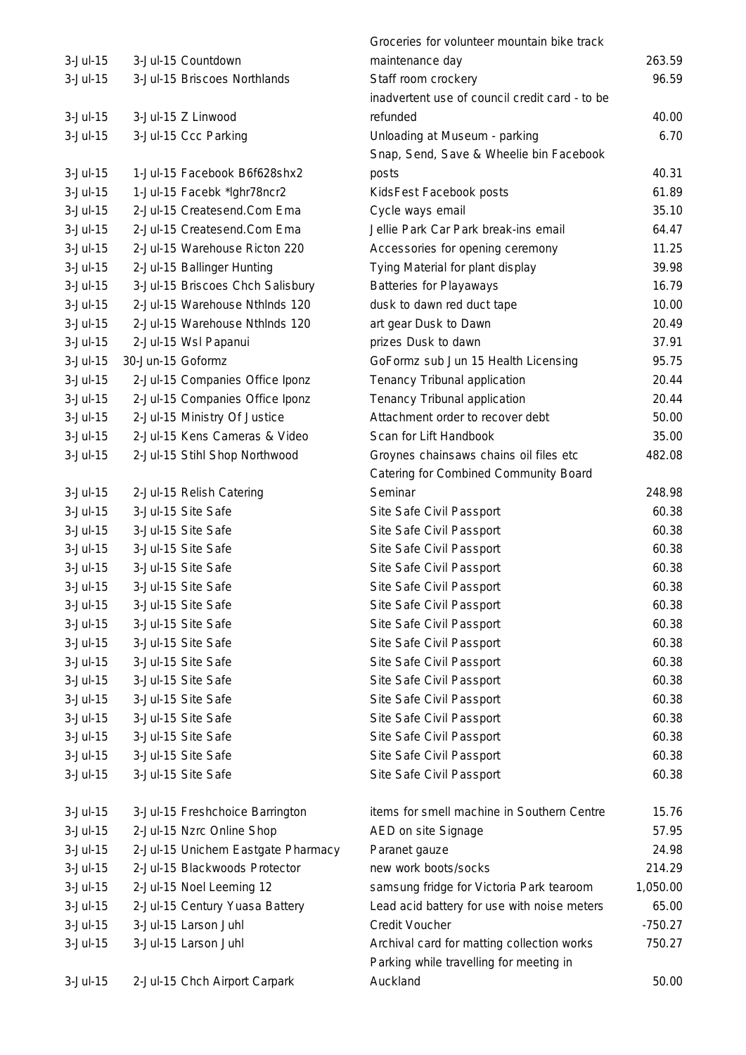|             |                                    | Groceries for volunteer mountain bike track    |           |
|-------------|------------------------------------|------------------------------------------------|-----------|
| $3$ -Jul-15 | 3-Jul-15 Countdown                 | maintenance day                                | 263.59    |
| $3-Jul-15$  | 3-Jul-15 Briscoes Northlands       | Staff room crockery                            | 96.59     |
|             |                                    | inadvertent use of council credit card - to be |           |
| $3-Jul-15$  | 3-Jul-15 Z Linwood                 | refunded                                       | 40.00     |
| $3-Jul-15$  | 3-Jul-15 Ccc Parking               | Unloading at Museum - parking                  | 6.70      |
|             |                                    | Snap, Send, Save & Wheelie bin Facebook        |           |
| $3-Jul-15$  | 1-Jul-15 Facebook B6f628shx2       | posts                                          | 40.31     |
| $3-Jul-15$  | 1-Jul-15 Facebk *lghr78ncr2        | KidsFest Facebook posts                        | 61.89     |
| $3-Jul-15$  | 2-Jul-15 Createsend.Com Ema        | Cycle ways email                               | 35.10     |
| $3-Jul-15$  | 2-Jul-15 Createsend.Com Ema        | Jellie Park Car Park break-ins email           | 64.47     |
| $3-Jul-15$  | 2-Jul-15 Warehouse Ricton 220      | Accessories for opening ceremony               | 11.25     |
| $3-Jul-15$  | 2-Jul-15 Ballinger Hunting         | Tying Material for plant display               | 39.98     |
| $3$ -Jul-15 | 3-Jul-15 Briscoes Chch Salisbury   | <b>Batteries for Playaways</b>                 | 16.79     |
| $3-Jul-15$  | 2-Jul-15 Warehouse Nthinds 120     | dusk to dawn red duct tape                     | 10.00     |
| $3-Jul-15$  | 2-Jul-15 Warehouse Nthinds 120     | art gear Dusk to Dawn                          | 20.49     |
| $3-Jul-15$  | 2-Jul-15 Wsl Papanui               | prizes Dusk to dawn                            | 37.91     |
| $3-Jul-15$  | 30-Jun-15 Goformz                  | GoFormz sub Jun 15 Health Licensing            | 95.75     |
| $3-Jul-15$  | 2-Jul-15 Companies Office Iponz    | Tenancy Tribunal application                   | 20.44     |
| $3$ -Jul-15 | 2-Jul-15 Companies Office Iponz    | Tenancy Tribunal application                   | 20.44     |
| $3-Jul-15$  | 2-Jul-15 Ministry Of Justice       | Attachment order to recover debt               | 50.00     |
| $3$ -Jul-15 | 2-Jul-15 Kens Cameras & Video      | Scan for Lift Handbook                         | 35.00     |
| $3-Jul-15$  | 2-Jul-15 Stihl Shop Northwood      | Groynes chainsaws chains oil files etc         | 482.08    |
|             |                                    | Catering for Combined Community Board          |           |
| $3-Jul-15$  | 2-Jul-15 Relish Catering           | Seminar                                        | 248.98    |
| $3-Jul-15$  | 3-Jul-15 Site Safe                 | Site Safe Civil Passport                       | 60.38     |
| $3-Jul-15$  | 3-Jul-15 Site Safe                 | Site Safe Civil Passport                       | 60.38     |
| $3-Jul-15$  | 3-Jul-15 Site Safe                 | Site Safe Civil Passport                       | 60.38     |
| $3-Jul-15$  | 3-Jul-15 Site Safe                 | Site Safe Civil Passport                       | 60.38     |
| $3-Jul-15$  | 3-Jul-15 Site Safe                 | Site Safe Civil Passport                       | 60.38     |
| $3-Jul-15$  | 3-Jul-15 Site Safe                 | Site Safe Civil Passport                       | 60.38     |
| $3-Jul-15$  | 3-Jul-15 Site Safe                 | Site Safe Civil Passport                       | 60.38     |
| $3-Jul-15$  | 3-Jul-15 Site Safe                 | Site Safe Civil Passport                       | 60.38     |
| $3-Jul-15$  | 3-Jul-15 Site Safe                 | Site Safe Civil Passport                       | 60.38     |
| $3-Jul-15$  | 3-Jul-15 Site Safe                 | Site Safe Civil Passport                       | 60.38     |
| $3-Jul-15$  | 3-Jul-15 Site Safe                 | Site Safe Civil Passport                       | 60.38     |
| 3-Jul-15    | 3-Jul-15 Site Safe                 | Site Safe Civil Passport                       | 60.38     |
| $3-Jul-15$  | 3-Jul-15 Site Safe                 | Site Safe Civil Passport                       | 60.38     |
| $3-Jul-15$  | 3-Jul-15 Site Safe                 | Site Safe Civil Passport                       | 60.38     |
| $3-Jul-15$  | 3-Jul-15 Site Safe                 | Site Safe Civil Passport                       | 60.38     |
| $3-Jul-15$  | 3-Jul-15 Freshchoice Barrington    | items for smell machine in Southern Centre     | 15.76     |
| $3-Jul-15$  | 2-Jul-15 Nzrc Online Shop          | AED on site Signage                            | 57.95     |
| $3-Jul-15$  | 2-Jul-15 Unichem Eastgate Pharmacy | Paranet gauze                                  | 24.98     |
| $3-Jul-15$  | 2-Jul-15 Blackwoods Protector      | new work boots/socks                           | 214.29    |
| $3-Jul-15$  | 2-Jul-15 Noel Leeming 12           | samsung fridge for Victoria Park tearoom       | 1,050.00  |
| $3-Jul-15$  | 2-Jul-15 Century Yuasa Battery     | Lead acid battery for use with noise meters    | 65.00     |
| $3-Jul-15$  | 3-Jul-15 Larson Juhl               | Credit Voucher                                 | $-750.27$ |
| 3-Jul-15    | 3-Jul-15 Larson Juhl               | Archival card for matting collection works     | 750.27    |
|             |                                    | Parking while travelling for meeting in        |           |
| $3-Jul-15$  | 2-Jul-15 Chch Airport Carpark      | Auckland                                       | 50.00     |
|             |                                    |                                                |           |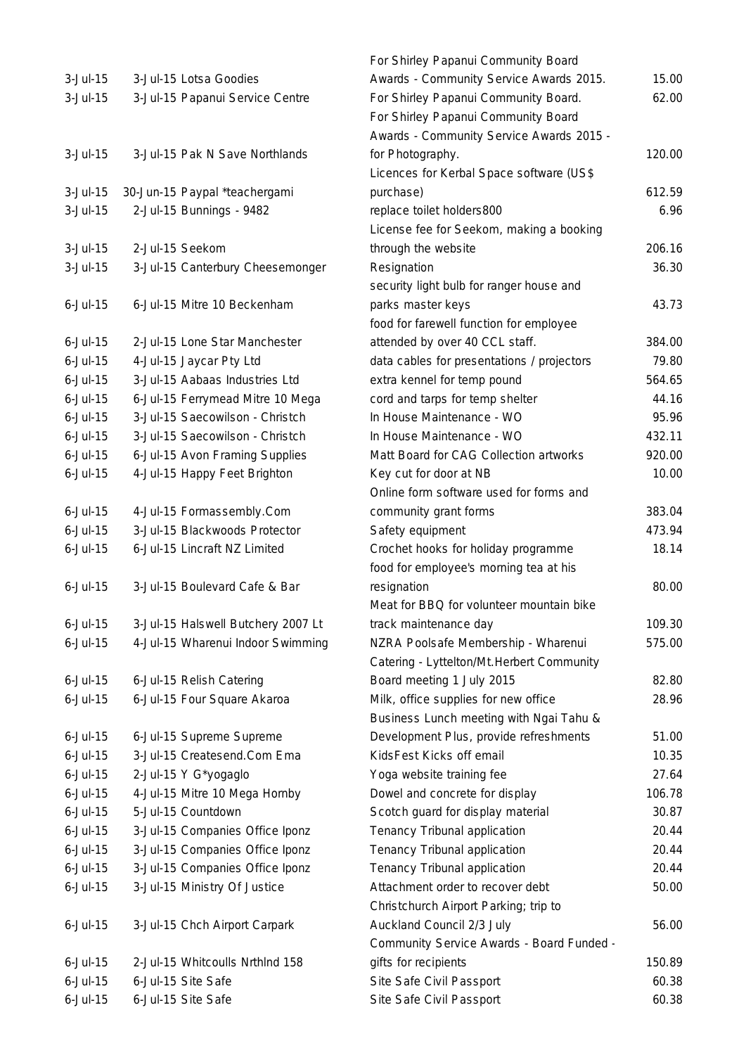| $3-Jul-15$      | 3-Jul-15 Lotsa Goodies             |
|-----------------|------------------------------------|
| $3-Jul-15$      | 3-Jul-15 Papanui Service Centre    |
|                 |                                    |
|                 |                                    |
| $3-Jul-15$      | 3-Jul-15 Pak N Save Northlands     |
|                 |                                    |
| $3-Jul-15$      | 30-Jun-15 Paypal *teachergami      |
| $3-Jul-15$      | 2-Jul-15 Bunnings - 9482           |
|                 |                                    |
| $3-Jul-15$      | 2-Jul-15 Seekom                    |
| $3-Jul-15$      | 3-Jul-15 Canterbury Cheesemonger   |
|                 |                                    |
| $6$ -Jul-15     | 6-Jul-15 Mitre 10 Beckenham        |
|                 |                                    |
| $6$ -Jul-15     |                                    |
|                 | 2-Jul-15 Lone Star Manchester      |
| $6$ -Jul-15     | 4-Jul-15 Jaycar Pty Ltd            |
| $6$ -Jul-15     | 3-Jul-15 Aabaas Industries Ltd     |
| $6$ -Jul-15     | 6-Jul-15 Ferrymead Mitre 10 Mega   |
| $6$ -Jul-15     | 3-Jul-15 Saecowilson - Christch    |
| $6$ -Jul-15     | 3-Jul-15 Saecowilson - Christch    |
| $6$ -Jul-15     | 6-Jul-15 Avon Framing Supplies     |
| $6$ -Jul-15     | 4-Jul-15 Happy Feet Brighton       |
|                 |                                    |
| $6$ -Jul-15     | 4-Jul-15 Formassembly.Com          |
| $6$ -Jul-15     | 3-Jul-15 Blackwoods Protector      |
| $6$ -Jul-15     | 6-Jul-15 Lincraft NZ Limited       |
|                 |                                    |
| $6$ -Jul-15     | 3-Jul-15 Boulevard Cafe & Bar      |
|                 |                                    |
| $6$ -Jul-15     | 3-Jul-15 Halswell Butchery 2007 Lt |
| $6 -$ Jul $-15$ | 4-Jul-15 Wharenui Indoor Swimming  |
|                 |                                    |
| $6$ -Jul-15     | 6-Jul-15 Relish Catering           |
| $6$ -Jul-15     | 6-Jul-15 Four Square Akaroa        |
|                 |                                    |
| $6$ -Jul-15     | 6-Jul-15 Supreme Supreme           |
| $6$ -Jul-15     | 3-Jul-15 Createsend.Com Ema        |
| $6$ -Jul-15     | 2-Jul-15 Y G*yogaglo               |
| $6$ -Jul-15     | 4-Jul-15 Mitre 10 Mega Hornby      |
|                 |                                    |
| $6$ -Jul-15     | 5-Jul-15 Countdown                 |
| $6$ -Jul-15     | 3-Jul-15 Companies Office Iponz    |
| $6$ -Jul-15     | 3-Jul-15 Companies Office Iponz    |
| $6$ -Jul-15     | 3-Jul-15 Companies Office Iponz    |
| $6$ -Jul-15     | 3-Jul-15 Ministry Of Justice       |
|                 |                                    |
| $6$ -Jul-15     | 3-Jul-15 Chch Airport Carpark      |
|                 |                                    |
| $6$ -Jul-15     | 2-Jul-15 Whitcoulls NrthInd 158    |
| $6$ -Jul-15     | 6-Jul-15 Site Safe                 |
| $6$ -Jul-15     | 6-Jul-15 Site Safe                 |

|                         |                                    | For Shirley Papanui Community Board        |        |
|-------------------------|------------------------------------|--------------------------------------------|--------|
| 3-Jul-15                | 3-Jul-15 Lotsa Goodies             | Awards - Community Service Awards 2015.    | 15.00  |
| 3-Jul-15                | 3-Jul-15 Papanui Service Centre    | For Shirley Papanui Community Board.       | 62.00  |
|                         |                                    | For Shirley Papanui Community Board        |        |
|                         |                                    | Awards - Community Service Awards 2015 -   |        |
| 3-Jul-15                | 3-Jul-15 Pak N Save Northlands     | for Photography.                           | 120.00 |
|                         |                                    | Licences for Kerbal Space software (US\$   |        |
| 3-Jul-15                | 30-Jun-15 Paypal *teachergami      | purchase)                                  | 612.59 |
| 3-Jul-15                | 2-Jul-15 Bunnings - 9482           | replace toilet holders800                  | 6.96   |
|                         |                                    | License fee for Seekom, making a booking   |        |
| 3-Jul-15                | 2-Jul-15 Seekom                    | through the website                        | 206.16 |
| 3-Jul-15                | 3-Jul-15 Canterbury Cheesemonger   | Resignation                                | 36.30  |
|                         |                                    | security light bulb for ranger house and   |        |
| 6-Jul-15                | 6-Jul-15 Mitre 10 Beckenham        | parks master keys                          | 43.73  |
|                         |                                    | food for farewell function for employee    |        |
| 6-Jul-15                | 2-Jul-15 Lone Star Manchester      | attended by over 40 CCL staff.             | 384.00 |
| 6-Jul-15                | 4-Jul-15 Jaycar Pty Ltd            | data cables for presentations / projectors | 79.80  |
| 6-Jul-15                | 3-Jul-15 Aabaas Industries Ltd     | extra kennel for temp pound                | 564.65 |
| 6-Jul-15                | 6-Jul-15 Ferrymead Mitre 10 Mega   | cord and tarps for temp shelter            | 44.16  |
| 6-Jul-15                | 3-Jul-15 Saecowilson - Christch    | In House Maintenance - WO                  | 95.96  |
| 6-Jul-15                | 3-Jul-15 Saecowilson - Christch    | In House Maintenance - WO                  | 432.11 |
| 6-Jul-15                | 6-Jul-15 Avon Framing Supplies     | Matt Board for CAG Collection artworks     | 920.00 |
| 6-Jul-15                | 4-Jul-15 Happy Feet Brighton       | Key cut for door at NB                     | 10.00  |
|                         |                                    | Online form software used for forms and    |        |
| 6-Jul-15                | 4-Jul-15 Formassembly.Com          | community grant forms                      | 383.04 |
| 6-Jul-15                | 3-Jul-15 Blackwoods Protector      | Safety equipment                           | 473.94 |
| 6-Jul-15                | 6-Jul-15 Lincraft NZ Limited       | Crochet hooks for holiday programme        | 18.14  |
|                         |                                    |                                            |        |
|                         | 3-Jul-15 Boulevard Cafe & Bar      | food for employee's morning tea at his     |        |
| 6-Jul-15                |                                    | resignation                                | 80.00  |
|                         |                                    | Meat for BBQ for volunteer mountain bike   | 109.30 |
| 6-Jul-15<br>$6$ -Jul-15 | 3-Jul-15 Halswell Butchery 2007 Lt | track maintenance day                      |        |
|                         | 4-Jul-15 Wharenui Indoor Swimming  | NZRA Poolsafe Membership - Wharenui        | 575.00 |
|                         |                                    | Catering - Lyttelton/Mt. Herbert Community |        |
| 6-Jul-15                | 6-Jul-15 Relish Catering           | Board meeting 1 July 2015                  | 82.80  |
| 6-Jul-15                | 6-Jul-15 Four Square Akaroa        | Milk, office supplies for new office       | 28.96  |
|                         |                                    | Business Lunch meeting with Ngai Tahu &    |        |
| 6-Jul-15                | 6-Jul-15 Supreme Supreme           | Development Plus, provide refreshments     | 51.00  |
| 6-Jul-15                | 3-Jul-15 Createsend.Com Ema        | KidsFest Kicks off email                   | 10.35  |
| 6-Jul-15                | 2-Jul-15 Y G*yogaglo               | Yoga website training fee                  | 27.64  |
| 6-Jul-15                | 4-Jul-15 Mitre 10 Mega Hornby      | Dowel and concrete for display             | 106.78 |
| 6-Jul-15                | 5-Jul-15 Countdown                 | Scotch guard for display material          | 30.87  |
| 6-Jul-15                | 3-Jul-15 Companies Office Iponz    | Tenancy Tribunal application               | 20.44  |
| 6-Jul-15                | 3-Jul-15 Companies Office Iponz    | Tenancy Tribunal application               | 20.44  |
| 6-Jul-15                | 3-Jul-15 Companies Office Iponz    | Tenancy Tribunal application               | 20.44  |
| 6-Jul-15                | 3-Jul-15 Ministry Of Justice       | Attachment order to recover debt           | 50.00  |
|                         |                                    | Christchurch Airport Parking; trip to      |        |
| 6-Jul-15                | 3-Jul-15 Chch Airport Carpark      | Auckland Council 2/3 July                  | 56.00  |
|                         |                                    | Community Service Awards - Board Funded -  |        |
| 6-Jul-15                | 2-Jul-15 Whitcoulls Nrthlnd 158    | gifts for recipients                       | 150.89 |
| 6-Jul-15                | 6-Jul-15 Site Safe                 | Site Safe Civil Passport                   | 60.38  |
| 6-Jul-15                | 6-Jul-15 Site Safe                 | Site Safe Civil Passport                   | 60.38  |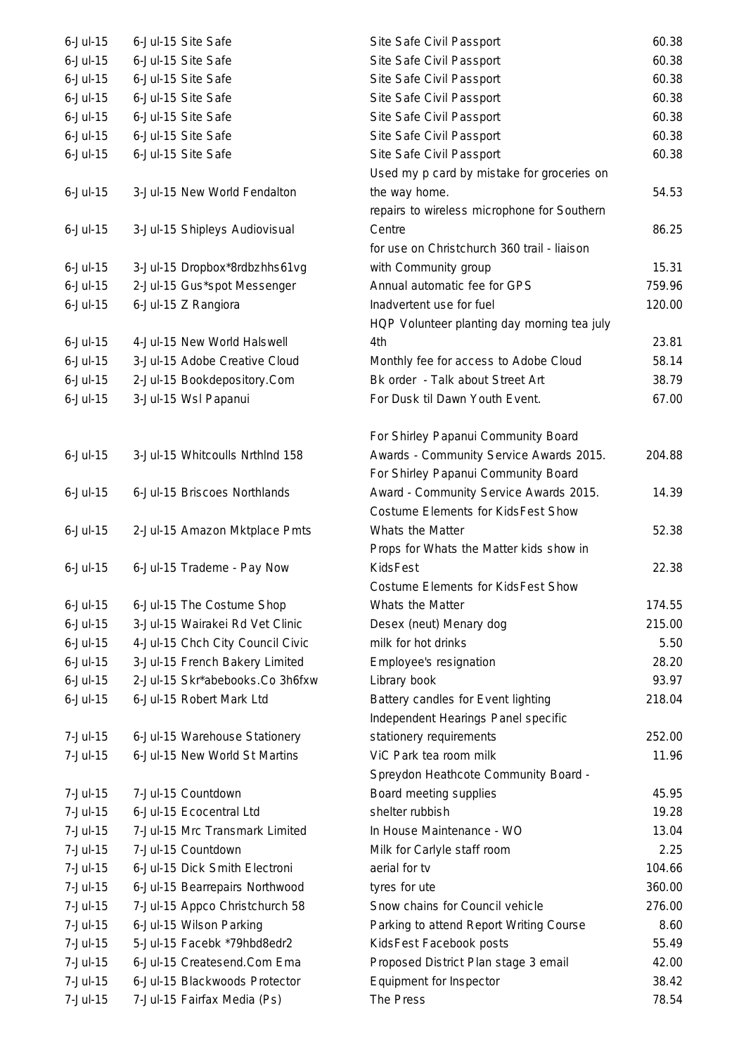| $6$ -Jul-15 | 6-Jul-15 Site Safe               | Site Safe Civil Passport                    | 60.38  |
|-------------|----------------------------------|---------------------------------------------|--------|
| $6$ -Jul-15 | 6-Jul-15 Site Safe               | Site Safe Civil Passport                    | 60.38  |
| $6$ -Jul-15 | 6-Jul-15 Site Safe               | Site Safe Civil Passport                    | 60.38  |
| $6$ -Jul-15 | 6-Jul-15 Site Safe               | Site Safe Civil Passport                    | 60.38  |
| $6$ -Jul-15 | 6-Jul-15 Site Safe               | Site Safe Civil Passport                    | 60.38  |
| $6$ -Jul-15 | 6-Jul-15 Site Safe               | Site Safe Civil Passport                    | 60.38  |
| $6$ -Jul-15 | 6-Jul-15 Site Safe               | Site Safe Civil Passport                    | 60.38  |
|             |                                  | Used my p card by mistake for groceries on  |        |
| $6$ -Jul-15 | 3-Jul-15 New World Fendalton     | the way home.                               | 54.53  |
|             |                                  | repairs to wireless microphone for Southern |        |
| $6$ -Jul-15 | 3-Jul-15 Shipleys Audiovisual    | Centre                                      | 86.25  |
|             |                                  | for use on Christchurch 360 trail - liaison |        |
| $6$ -Jul-15 | 3-Jul-15 Dropbox*8rdbzhhs61vg    | with Community group                        | 15.31  |
| $6$ -Jul-15 | 2-Jul-15 Gus*spot Messenger      | Annual automatic fee for GPS                | 759.96 |
| $6$ -Jul-15 | 6-Jul-15 Z Rangiora              | Inadvertent use for fuel                    | 120.00 |
|             |                                  | HQP Volunteer planting day morning tea july |        |
| $6$ -Jul-15 | 4-Jul-15 New World Halswell      | 4th                                         | 23.81  |
| $6$ -Jul-15 | 3-Jul-15 Adobe Creative Cloud    | Monthly fee for access to Adobe Cloud       | 58.14  |
| $6$ -Jul-15 | 2-Jul-15 Bookdepository.Com      | Bk order - Talk about Street Art            | 38.79  |
| $6$ -Jul-15 | 3-Jul-15 Wsl Papanui             | For Dusk til Dawn Youth Event.              | 67.00  |
|             |                                  |                                             |        |
|             |                                  | For Shirley Papanui Community Board         |        |
| $6$ -Jul-15 | 3-Jul-15 Whitcoulls Nrthlnd 158  | Awards - Community Service Awards 2015.     | 204.88 |
|             |                                  | For Shirley Papanui Community Board         |        |
| $6$ -Jul-15 | 6-Jul-15 Briscoes Northlands     | Award - Community Service Awards 2015.      | 14.39  |
|             |                                  | Costume Elements for KidsFest Show          |        |
| $6$ -Jul-15 | 2-Jul-15 Amazon Mktplace Pmts    | Whats the Matter                            | 52.38  |
|             |                                  | Props for Whats the Matter kids show in     |        |
| $6$ -Jul-15 | 6-Jul-15 Trademe - Pay Now       | <b>KidsFest</b>                             | 22.38  |
|             |                                  | Costume Elements for KidsFest Show          |        |
| $6$ -Jul-15 | 6-Jul-15 The Costume Shop        | Whats the Matter                            | 174.55 |
| $6$ -Jul-15 | 3-Jul-15 Wairakei Rd Vet Clinic  | Desex (neut) Menary dog                     | 215.00 |
| $6$ -Jul-15 | 4-Jul-15 Chch City Council Civic | milk for hot drinks                         | 5.50   |
| $6$ -Jul-15 | 3-Jul-15 French Bakery Limited   | Employee's resignation                      | 28.20  |
| $6$ -Jul-15 | 2-Jul-15 Skr*abebooks.Co 3h6fxw  | Library book                                | 93.97  |
| $6$ -Jul-15 | 6-Jul-15 Robert Mark Ltd         | Battery candles for Event lighting          | 218.04 |
|             |                                  | Independent Hearings Panel specific         |        |
| 7-Jul-15    | 6-Jul-15 Warehouse Stationery    | stationery requirements                     | 252.00 |
| 7-Jul-15    | 6-Jul-15 New World St Martins    | ViC Park tea room milk                      | 11.96  |
|             |                                  | Spreydon Heathcote Community Board -        |        |
| 7-Jul-15    | 7-Jul-15 Countdown               | Board meeting supplies                      | 45.95  |
| 7-Jul-15    | 6-Jul-15 Ecocentral Ltd          | shelter rubbish                             | 19.28  |
| 7-Jul-15    | 7-Jul-15 Mrc Transmark Limited   | In House Maintenance - WO                   | 13.04  |
| 7-Jul-15    | 7-Jul-15 Countdown               | Milk for Carlyle staff room                 | 2.25   |
| 7-Jul-15    | 6-Jul-15 Dick Smith Electroni    | aerial for tv                               | 104.66 |
| 7-Jul-15    | 6-Jul-15 Bearrepairs Northwood   | tyres for ute                               | 360.00 |
| 7-Jul-15    | 7-Jul-15 Appco Christchurch 58   | Snow chains for Council vehicle             | 276.00 |
| 7-Jul-15    | 6-Jul-15 Wilson Parking          | Parking to attend Report Writing Course     | 8.60   |
| 7-Jul-15    | 5-Jul-15 Facebk *79hbd8edr2      | KidsFest Facebook posts                     | 55.49  |
| 7-Jul-15    | 6-Jul-15 Createsend.Com Ema      | Proposed District Plan stage 3 email        | 42.00  |
| 7-Jul-15    | 6-Jul-15 Blackwoods Protector    | Equipment for Inspector                     | 38.42  |
| 7-Jul-15    | 7-Jul-15 Fairfax Media (Ps)      | The Press                                   | 78.54  |
|             |                                  |                                             |        |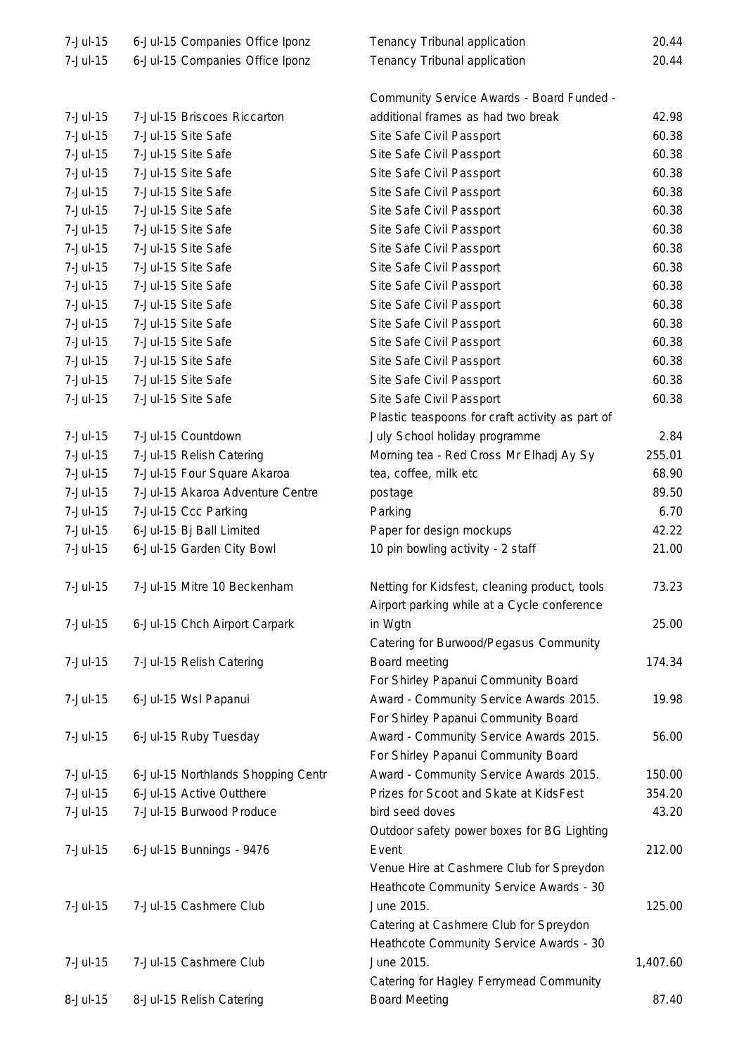| 7-Jul-15 | 6-Jul-15 Companies Office Iponz    | Tenancy Tribunal application                    | 20.44    |
|----------|------------------------------------|-------------------------------------------------|----------|
| 7-Jul-15 | 6-Jul-15 Companies Office Iponz    | Tenancy Tribunal application                    | 20.44    |
|          |                                    |                                                 |          |
|          |                                    | Community Service Awards - Board Funded -       |          |
| 7-Jul-15 | 7-Jul-15 Briscoes Riccarton        | additional frames as had two break              | 42.98    |
| 7-Jul-15 | 7-Jul-15 Site Safe                 | Site Safe Civil Passport                        | 60.38    |
| 7-Jul-15 | 7-Jul-15 Site Safe                 | Site Safe Civil Passport                        | 60.38    |
| 7-Jul-15 | 7-Jul-15 Site Safe                 | Site Safe Civil Passport                        | 60.38    |
| 7-Jul-15 | 7-Jul-15 Site Safe                 | Site Safe Civil Passport                        | 60.38    |
| 7-Jul-15 | 7-Jul-15 Site Safe                 | Site Safe Civil Passport                        | 60.38    |
| 7-Jul-15 | 7-Jul-15 Site Safe                 | Site Safe Civil Passport                        | 60.38    |
| 7-Jul-15 | 7-Jul-15 Site Safe                 | Site Safe Civil Passport                        | 60.38    |
| 7-Jul-15 | 7-Jul-15 Site Safe                 | Site Safe Civil Passport                        | 60.38    |
| 7-Jul-15 | 7-Jul-15 Site Safe                 | Site Safe Civil Passport                        | 60.38    |
| 7-Jul-15 | 7-Jul-15 Site Safe                 | Site Safe Civil Passport                        | 60.38    |
| 7-Jul-15 | 7-Jul-15 Site Safe                 | Site Safe Civil Passport                        | 60.38    |
| 7-Jul-15 | 7-Jul-15 Site Safe                 | Site Safe Civil Passport                        | 60.38    |
| 7-Jul-15 | 7-Jul-15 Site Safe                 | Site Safe Civil Passport                        | 60.38    |
| 7-Jul-15 | 7-Jul-15 Site Safe                 | Site Safe Civil Passport                        | 60.38    |
| 7-Jul-15 | 7-Jul-15 Site Safe                 | Site Safe Civil Passport                        | 60.38    |
|          |                                    | Plastic teaspoons for craft activity as part of |          |
| 7-Jul-15 | 7-Jul-15 Countdown                 |                                                 | 2.84     |
|          |                                    | July School holiday programme                   | 255.01   |
| 7-Jul-15 | 7-Jul-15 Relish Catering           | Morning tea - Red Cross Mr Elhadj Ay Sy         |          |
| 7-Jul-15 | 7-Jul-15 Four Square Akaroa        | tea, coffee, milk etc                           | 68.90    |
| 7-Jul-15 | 7-Jul-15 Akaroa Adventure Centre   | postage                                         | 89.50    |
| 7-Jul-15 | 7-Jul-15 Ccc Parking               | Parking                                         | 6.70     |
| 7-Jul-15 | 6-Jul-15 Bj Ball Limited           | Paper for design mockups                        | 42.22    |
| 7-Jul-15 | 6-Jul-15 Garden City Bowl          | 10 pin bowling activity - 2 staff               | 21.00    |
|          |                                    |                                                 |          |
| 7-Jul-15 | 7-Jul-15 Mitre 10 Beckenham        | Netting for Kidsfest, cleaning product, tools   | 73.23    |
|          |                                    | Airport parking while at a Cycle conference     |          |
| 7-Jul-15 | 6-Jul-15 Chch Airport Carpark      | in Wgtn                                         | 25.00    |
|          |                                    | Catering for Burwood/Pegasus Community          |          |
| 7-Jul-15 | 7-Jul-15 Relish Catering           | Board meeting                                   | 174.34   |
|          |                                    | For Shirley Papanui Community Board             |          |
| 7-Jul-15 | 6-Jul-15 Wsl Papanui               | Award - Community Service Awards 2015.          | 19.98    |
|          |                                    | For Shirley Papanui Community Board             |          |
| 7-Jul-15 | 6-Jul-15 Ruby Tuesday              | Award - Community Service Awards 2015.          | 56.00    |
|          |                                    | For Shirley Papanui Community Board             |          |
| 7-Jul-15 | 6-Jul-15 Northlands Shopping Centr | Award - Community Service Awards 2015.          | 150.00   |
| 7-Jul-15 | 6-Jul-15 Active Outthere           | Prizes for Scoot and Skate at KidsFest          | 354.20   |
| 7-Jul-15 | 7-Jul-15 Burwood Produce           | bird seed doves                                 | 43.20    |
|          |                                    | Outdoor safety power boxes for BG Lighting      |          |
| 7-Jul-15 | 6-Jul-15 Bunnings - 9476           | Event                                           | 212.00   |
|          |                                    | Venue Hire at Cashmere Club for Spreydon        |          |
|          |                                    | Heathcote Community Service Awards - 30         |          |
| 7-Jul-15 | 7-Jul-15 Cashmere Club             | June 2015.                                      | 125.00   |
|          |                                    | Catering at Cashmere Club for Spreydon          |          |
|          |                                    | Heathcote Community Service Awards - 30         |          |
| 7-Jul-15 | 7-Jul-15 Cashmere Club             | June 2015.                                      | 1,407.60 |
|          |                                    | Catering for Hagley Ferrymead Community         |          |
| 8-Jul-15 | 8-Jul-15 Relish Catering           | <b>Board Meeting</b>                            | 87.40    |
|          |                                    |                                                 |          |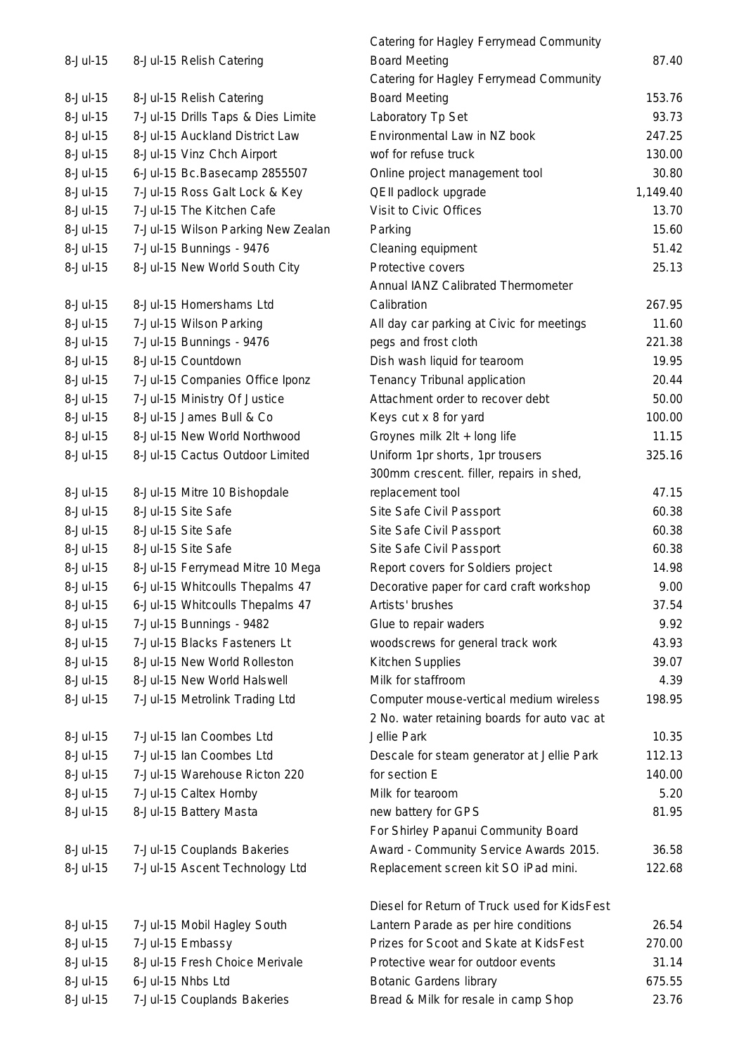|                      |                                                    | Catering for Hagley Ferrymead Community                                         |                 |
|----------------------|----------------------------------------------------|---------------------------------------------------------------------------------|-----------------|
| 8-Jul-15             | 8-Jul-15 Relish Catering                           | <b>Board Meeting</b>                                                            | 87.40           |
|                      |                                                    | Catering for Hagley Ferrymead Community                                         |                 |
| 8-Jul-15             | 8-Jul-15 Relish Catering                           | <b>Board Meeting</b>                                                            | 153.76          |
| 8-Jul-15             | 7-Jul-15 Drills Taps & Dies Limite                 | Laboratory Tp Set                                                               | 93.73           |
| 8-Jul-15             | 8-Jul-15 Auckland District Law                     | Environmental Law in NZ book                                                    | 247.25          |
| 8-Jul-15             | 8-Jul-15 Vinz Chch Airport                         | wof for refuse truck                                                            | 130.00          |
| 8-Jul-15             | 6-Jul-15 Bc.Basecamp 2855507                       | Online project management tool                                                  | 30.80           |
| 8-Jul-15             | 7-Jul-15 Ross Galt Lock & Key                      | QEII padlock upgrade                                                            | 1,149.40        |
| 8-Jul-15             | 7-Jul-15 The Kitchen Cafe                          | Visit to Civic Offices                                                          | 13.70           |
| 8-Jul-15             | 7-Jul-15 Wilson Parking New Zealan                 | Parking                                                                         | 15.60           |
| 8-Jul-15             | 7-Jul-15 Bunnings - 9476                           | Cleaning equipment                                                              | 51.42           |
| 8-Jul-15             | 8-Jul-15 New World South City                      | Protective covers                                                               | 25.13           |
|                      |                                                    | Annual IANZ Calibrated Thermometer                                              |                 |
| 8-Jul-15             | 8-Jul-15 Homershams Ltd                            | Calibration                                                                     | 267.95          |
| 8-Jul-15             | 7-Jul-15 Wilson Parking                            | All day car parking at Civic for meetings                                       | 11.60           |
| 8-Jul-15             | 7-Jul-15 Bunnings - 9476                           | pegs and frost cloth                                                            | 221.38          |
| 8-Jul-15             | 8-Jul-15 Countdown                                 | Dish wash liquid for tearoom                                                    | 19.95           |
| 8-Jul-15             | 7-Jul-15 Companies Office Iponz                    | Tenancy Tribunal application                                                    | 20.44           |
| 8-Jul-15             | 7-Jul-15 Ministry Of Justice                       | Attachment order to recover debt                                                | 50.00           |
| 8-Jul-15             | 8-Jul-15 James Bull & Co                           | Keys cut x 8 for yard                                                           | 100.00          |
| 8-Jul-15             | 8-Jul-15 New World Northwood                       | Groynes milk 2lt + long life                                                    | 11.15           |
| 8-Jul-15             | 8-Jul-15 Cactus Outdoor Limited                    | Uniform 1pr shorts, 1pr trousers                                                | 325.16          |
|                      |                                                    | 300mm crescent. filler, repairs in shed,                                        |                 |
| 8-Jul-15             | 8-Jul-15 Mitre 10 Bishopdale                       | replacement tool                                                                | 47.15           |
| 8-Jul-15             | 8-Jul-15 Site Safe                                 | Site Safe Civil Passport                                                        | 60.38           |
| 8-Jul-15             | 8-Jul-15 Site Safe                                 | Site Safe Civil Passport                                                        | 60.38           |
| 8-Jul-15             | 8-Jul-15 Site Safe                                 | Site Safe Civil Passport                                                        | 60.38           |
| 8-Jul-15             | 8-Jul-15 Ferrymead Mitre 10 Mega                   | Report covers for Soldiers project                                              | 14.98           |
| 8-Jul-15             | 6-Jul-15 Whitcoulls Thepalms 47                    | Decorative paper for card craft workshop                                        | 9.00            |
| 8-Jul-15             | 6-Jul-15 Whitcoulls Thepalms 47                    | Artists' brushes                                                                | 37.54           |
| 8-Jul-15             | 7-Jul-15 Bunnings - 9482                           | Glue to repair waders                                                           | 9.92            |
| 8-Jul-15             | 7-Jul-15 Blacks Fasteners Lt                       | woodscrews for general track work                                               | 43.93           |
| 8-Jul-15             | 8-Jul-15 New World Rolleston                       | Kitchen Supplies                                                                | 39.07           |
| 8-Jul-15             | 8-Jul-15 New World Halswell                        | Milk for staffroom                                                              | 4.39            |
| 8-Jul-15             | 7-Jul-15 Metrolink Trading Ltd                     | Computer mouse-vertical medium wireless                                         | 198.95          |
|                      |                                                    | 2 No. water retaining boards for auto vac at                                    |                 |
| 8-Jul-15             | 7-Jul-15 lan Coombes Ltd                           | Jellie Park                                                                     | 10.35           |
| 8-Jul-15             | 7-Jul-15 Ian Coombes Ltd                           | Descale for steam generator at Jellie Park                                      | 112.13          |
| 8-Jul-15             | 7-Jul-15 Warehouse Ricton 220                      | for section E                                                                   | 140.00          |
| 8-Jul-15             | 7-Jul-15 Caltex Hornby                             | Milk for tearoom                                                                | 5.20            |
| 8-Jul-15             | 8-Jul-15 Battery Masta                             | new battery for GPS                                                             | 81.95           |
|                      |                                                    | For Shirley Papanui Community Board                                             |                 |
| 8-Jul-15             | 7-Jul-15 Couplands Bakeries                        | Award - Community Service Awards 2015.                                          | 36.58           |
| 8-Jul-15             | 7-Jul-15 Ascent Technology Ltd                     | Replacement screen kit SO iPad mini.                                            | 122.68          |
|                      |                                                    |                                                                                 |                 |
|                      |                                                    | Diesel for Return of Truck used for KidsFest                                    |                 |
| 8-Jul-15<br>8-Jul-15 | 7-Jul-15 Mobil Hagley South                        | Lantern Parade as per hire conditions<br>Prizes for Scoot and Skate at KidsFest | 26.54<br>270.00 |
| 8-Jul-15             | 7-Jul-15 Embassy<br>8-Jul-15 Fresh Choice Merivale | Protective wear for outdoor events                                              | 31.14           |
| 8-Jul-15             | 6-Jul-15 Nhbs Ltd                                  |                                                                                 |                 |
|                      |                                                    | <b>Botanic Gardens library</b>                                                  | 675.55          |
| 8-Jul-15             | 7-Jul-15 Couplands Bakeries                        | Bread & Milk for resale in camp Shop                                            | 23.76           |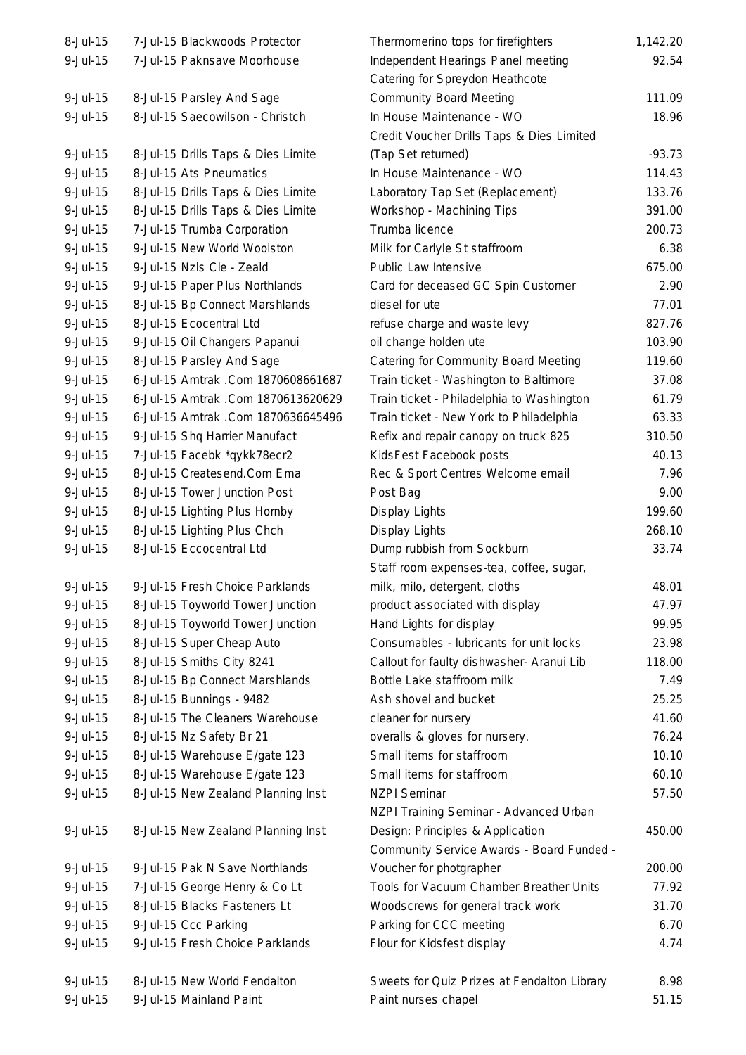| 8-Jul-15                    | 7-Jul-15 Blackwoods Protector                                 | Thermomerino tops for firefighters          | 1,142.20      |
|-----------------------------|---------------------------------------------------------------|---------------------------------------------|---------------|
| $9 -$ Jul $-15$             | 7-Jul-15 Paknsave Moorhouse                                   | Independent Hearings Panel meeting          | 92.54         |
|                             |                                                               | Catering for Spreydon Heathcote             |               |
| $9$ -Jul-15                 | 8-Jul-15 Parsley And Sage                                     | <b>Community Board Meeting</b>              | 111.09        |
| $9 -$ Jul $-15$             | 8-Jul-15 Saecowilson - Christch                               | In House Maintenance - WO                   | 18.96         |
|                             |                                                               | Credit Voucher Drills Taps & Dies Limited   |               |
| $9 -$ Jul $-15$             | 8-Jul-15 Drills Taps & Dies Limite                            | (Tap Set returned)                          | $-93.73$      |
| 9-Jul-15                    | 8-Jul-15 Ats Pneumatics                                       | In House Maintenance - WO                   | 114.43        |
| 9-Jul-15                    | 8-Jul-15 Drills Taps & Dies Limite                            | Laboratory Tap Set (Replacement)            | 133.76        |
| $9 -$ Jul $-15$             | 8-Jul-15 Drills Taps & Dies Limite                            | Workshop - Machining Tips                   | 391.00        |
| $9 -$ Jul $-15$             | 7-Jul-15 Trumba Corporation                                   | Trumba licence                              | 200.73        |
| $9 -$ Jul $-15$             | 9-Jul-15 New World Woolston                                   | Milk for Carlyle St staffroom               | 6.38          |
| 9-Jul-15                    | 9-Jul-15 Nzls Cle - Zeald                                     | Public Law Intensive                        | 675.00        |
| 9-Jul-15                    | 9-Jul-15 Paper Plus Northlands                                | Card for deceased GC Spin Customer          | 2.90          |
| $9 -$ Jul $-15$             | 8-Jul-15 Bp Connect Marshlands                                | diesel for ute                              | 77.01         |
| 9-Jul-15                    | 8-Jul-15 Ecocentral Ltd                                       | refuse charge and waste levy                | 827.76        |
| 9-Jul-15                    | 9-Jul-15 Oil Changers Papanui                                 | oil change holden ute                       | 103.90        |
| $9 -$ Jul $-15$             | 8-Jul-15 Parsley And Sage                                     | Catering for Community Board Meeting        | 119.60        |
| $9 -$ Jul $-15$             | 6-Jul-15 Amtrak .Com 1870608661687                            | Train ticket - Washington to Baltimore      | 37.08         |
| $9 -$ Jul $-15$             | 6-Jul-15 Amtrak .Com 1870613620629                            | Train ticket - Philadelphia to Washington   | 61.79         |
| $9 -$ Jul $-15$             | 6-Jul-15 Amtrak .Com 1870636645496                            | Train ticket - New York to Philadelphia     | 63.33         |
| 9-Jul-15                    | 9-Jul-15 Shq Harrier Manufact                                 | Refix and repair canopy on truck 825        | 310.50        |
| 9-Jul-15                    | 7-Jul-15 Facebk *qykk78ecr2                                   | KidsFest Facebook posts                     | 40.13         |
| 9-Jul-15                    | 8-Jul-15 Createsend.Com Ema                                   | Rec & Sport Centres Welcome email           | 7.96          |
| 9-Jul-15                    | 8-Jul-15 Tower Junction Post                                  | Post Bag                                    | 9.00          |
| $9 -$ Jul $-15$             | 8-Jul-15 Lighting Plus Hornby                                 | Display Lights                              | 199.60        |
| $9 -$ Jul $-15$             | 8-Jul-15 Lighting Plus Chch                                   | Display Lights                              | 268.10        |
| 9-Jul-15                    | 8-Jul-15 Eccocentral Ltd                                      | Dump rubbish from Sockburn                  | 33.74         |
|                             |                                                               | Staff room expenses-tea, coffee, sugar,     |               |
| $9$ -Jul-15                 | 9-Jul-15 Fresh Choice Parklands                               | milk, milo, detergent, cloths               | 48.01         |
| $9$ -Jul-15                 | 8-Jul-15 Toyworld Tower Junction                              | product associated with display             | 47.97         |
| $9$ -Jul-15                 | 8-Jul-15 Toyworld Tower Junction                              | Hand Lights for display                     | 99.95         |
| $9 -$ Jul $-15$             | 8-Jul-15 Super Cheap Auto                                     | Consumables - lubricants for unit locks     | 23.98         |
| 9-Jul-15                    | 8-Jul-15 Smiths City 8241                                     | Callout for faulty dishwasher- Aranui Lib   | 118.00        |
| 9-Jul-15                    | 8-Jul-15 Bp Connect Marshlands                                | Bottle Lake staffroom milk                  | 7.49          |
| 9-Jul-15                    | 8-Jul-15 Bunnings - 9482                                      | Ash shovel and bucket                       | 25.25         |
| $9 -$ Jul $-15$             | 8-Jul-15 The Cleaners Warehouse                               | cleaner for nursery                         | 41.60         |
| 9-Jul-15                    | 8-Jul-15 Nz Safety Br 21                                      | overalls & gloves for nursery.              | 76.24         |
| 9-Jul-15                    | 8-Jul-15 Warehouse E/gate 123                                 | Small items for staffroom                   | 10.10         |
| $9 -$ Jul $-15$             | 8-Jul-15 Warehouse E/gate 123                                 | Small items for staffroom                   | 60.10         |
| $9 -$ Jul $-15$             | 8-Jul-15 New Zealand Planning Inst                            | <b>NZPI Seminar</b>                         | 57.50         |
|                             |                                                               | NZPI Training Seminar - Advanced Urban      |               |
| $9 -$ Jul $-15$             | 8-Jul-15 New Zealand Planning Inst                            | Design: Principles & Application            | 450.00        |
|                             |                                                               | Community Service Awards - Board Funded -   |               |
| $9 -$ Jul $-15$             | 9-Jul-15 Pak N Save Northlands                                | Voucher for photgrapher                     | 200.00        |
| $9 -$ Jul $-15$             |                                                               | Tools for Vacuum Chamber Breather Units     | 77.92         |
|                             | 7-Jul-15 George Henry & Co Lt<br>8-Jul-15 Blacks Fasteners Lt |                                             |               |
| 9-Jul-15<br>$9 -$ Jul $-15$ |                                                               | Woodscrews for general track work           | 31.70<br>6.70 |
| 9-Jul-15                    | 9-Jul-15 Ccc Parking<br>9-Jul-15 Fresh Choice Parklands       | Parking for CCC meeting                     | 4.74          |
|                             |                                                               | Flour for Kidsfest display                  |               |
| $9$ -Jul-15                 | 8-Jul-15 New World Fendalton                                  | Sweets for Quiz Prizes at Fendalton Library | 8.98          |
| 9-Jul-15                    | 9-Jul-15 Mainland Paint                                       | Paint nurses chapel                         | 51.15         |
|                             |                                                               |                                             |               |

| 8-JUI-15 | 7-JUI-15 BIACKWOODS Protector      | Thermomerino tops for firefighters          | 1,142.20 |
|----------|------------------------------------|---------------------------------------------|----------|
| 9-Jul-15 | 7-Jul-15 Paknsave Moorhouse        | Independent Hearings Panel meeting          | 92.54    |
|          |                                    | Catering for Spreydon Heathcote             |          |
| 9-Jul-15 | 8-Jul-15 Parsley And Sage          | <b>Community Board Meeting</b>              | 111.09   |
| 9-Jul-15 | 8-Jul-15 Saecowilson - Christch    | In House Maintenance - WO                   | 18.96    |
|          |                                    | Credit Voucher Drills Taps & Dies Limited   |          |
| 9-Jul-15 | 8-Jul-15 Drills Taps & Dies Limite | (Tap Set returned)                          | $-93.73$ |
| 9-Jul-15 | 8-Jul-15 Ats Pneumatics            | In House Maintenance - WO                   | 114.43   |
| 9-Jul-15 | 8-Jul-15 Drills Taps & Dies Limite | Laboratory Tap Set (Replacement)            | 133.76   |
| 9-Jul-15 | 8-Jul-15 Drills Taps & Dies Limite | Workshop - Machining Tips                   | 391.00   |
| 9-Jul-15 | 7-Jul-15 Trumba Corporation        | Trumba licence                              | 200.73   |
| 9-Jul-15 | 9-Jul-15 New World Woolston        | Milk for Carlyle St staffroom               | 6.38     |
| 9-Jul-15 | 9-Jul-15 Nzls Cle - Zeald          | Public Law Intensive                        | 675.00   |
| 9-Jul-15 | 9-Jul-15 Paper Plus Northlands     | Card for deceased GC Spin Customer          | 2.90     |
| 9-Jul-15 | 8-Jul-15 Bp Connect Marshlands     | diesel for ute                              | 77.01    |
| 9-Jul-15 | 8-Jul-15 Ecocentral Ltd            | refuse charge and waste levy                | 827.76   |
| 9-Jul-15 | 9-Jul-15 Oil Changers Papanui      | oil change holden ute                       | 103.90   |
| 9-Jul-15 | 8-Jul-15 Parsley And Sage          | <b>Catering for Community Board Meeting</b> | 119.60   |
| 9-Jul-15 | 6-Jul-15 Amtrak .Com 1870608661687 | Train ticket - Washington to Baltimore      | 37.08    |
| 9-Jul-15 | 6-Jul-15 Amtrak .Com 1870613620629 | Train ticket - Philadelphia to Washington   | 61.79    |
| 9-Jul-15 | 6-Jul-15 Amtrak .Com 1870636645496 | Train ticket - New York to Philadelphia     | 63.33    |
| 9-Jul-15 | 9-Jul-15 Shq Harrier Manufact      | Refix and repair canopy on truck 825        | 310.50   |
| 9-Jul-15 | 7-Jul-15 Facebk *qykk78ecr2        | KidsFest Facebook posts                     | 40.13    |
| 9-Jul-15 | 8-Jul-15 Createsend.Com Ema        | Rec & Sport Centres Welcome email           | 7.96     |
| 9-Jul-15 | 8-Jul-15 Tower Junction Post       | Post Bag                                    | 9.00     |
| 9-Jul-15 | 8-Jul-15 Lighting Plus Hornby      | Display Lights                              | 199.60   |
| 9-Jul-15 | 8-Jul-15 Lighting Plus Chch        | Display Lights                              | 268.10   |
| 9-Jul-15 | 8-Jul-15 Eccocentral Ltd           | Dump rubbish from Sockburn                  | 33.74    |
|          |                                    | Staff room expenses-tea, coffee, sugar,     |          |
| 9-Jul-15 | 9-Jul-15 Fresh Choice Parklands    | milk, milo, detergent, cloths               | 48.01    |
| 9-Jul-15 | 8-Jul-15 Toyworld Tower Junction   | product associated with display             | 47.97    |
| 9-Jul-15 | 8-Jul-15 Toyworld Tower Junction   | Hand Lights for display                     | 99.95    |
| 9-Jul-15 | 8-Jul-15 Super Cheap Auto          | Consumables - lubricants for unit locks     | 23.98    |
| 9-Jul-15 | 8-Jul-15 Smiths City 8241          | Callout for faulty dishwasher- Aranui Lib   | 118.00   |
| 9-Jul-15 | 8-Jul-15 Bp Connect Marshlands     | Bottle Lake staffroom milk                  | 7.49     |
| 9-Jul-15 | 8-Jul-15 Bunnings - 9482           | Ash shovel and bucket                       | 25.25    |
| 9-Jul-15 | 8-Jul-15 The Cleaners Warehouse    | cleaner for nursery                         | 41.60    |
| 9-Jul-15 | 8-Jul-15 Nz Safety Br 21           | overalls & gloves for nursery.              | 76.24    |
| 9-Jul-15 | 8-Jul-15 Warehouse E/gate 123      | Small items for staffroom                   | 10.10    |
| 9-Jul-15 | 8-Jul-15 Warehouse E/gate 123      | Small items for staffroom                   | 60.10    |
| 9-Jul-15 | 8-Jul-15 New Zealand Planning Inst | <b>NZPI Seminar</b>                         | 57.50    |
|          |                                    | NZPI Training Seminar - Advanced Urban      |          |
| 9-Jul-15 | 8-Jul-15 New Zealand Planning Inst | Design: Principles & Application            | 450.00   |
|          |                                    | Community Service Awards - Board Funded -   |          |
| 9-Jul-15 | 9-Jul-15 Pak N Save Northlands     | Voucher for photgrapher                     | 200.00   |
| 9-Jul-15 | 7-Jul-15 George Henry & Co Lt      | Tools for Vacuum Chamber Breather Units     | 77.92    |
| 9-Jul-15 | 8-Jul-15 Blacks Fasteners Lt       | Woodscrews for general track work           | 31.70    |
| 9-Jul-15 | 9-Jul-15 Ccc Parking               | Parking for CCC meeting                     | 6.70     |
| 9-Jul-15 | 9-Jul-15 Fresh Choice Parklands    | Flour for Kidsfest display                  | 4.74     |
| 9-Jul-15 | 8-Jul-15 New World Fendalton       | Sweets for Quiz Prizes at Fendalton Library | 8.98     |
| 9-Jul-15 | 9-Jul-15 Mainland Paint            | Paint nurses chapel                         | 51.15    |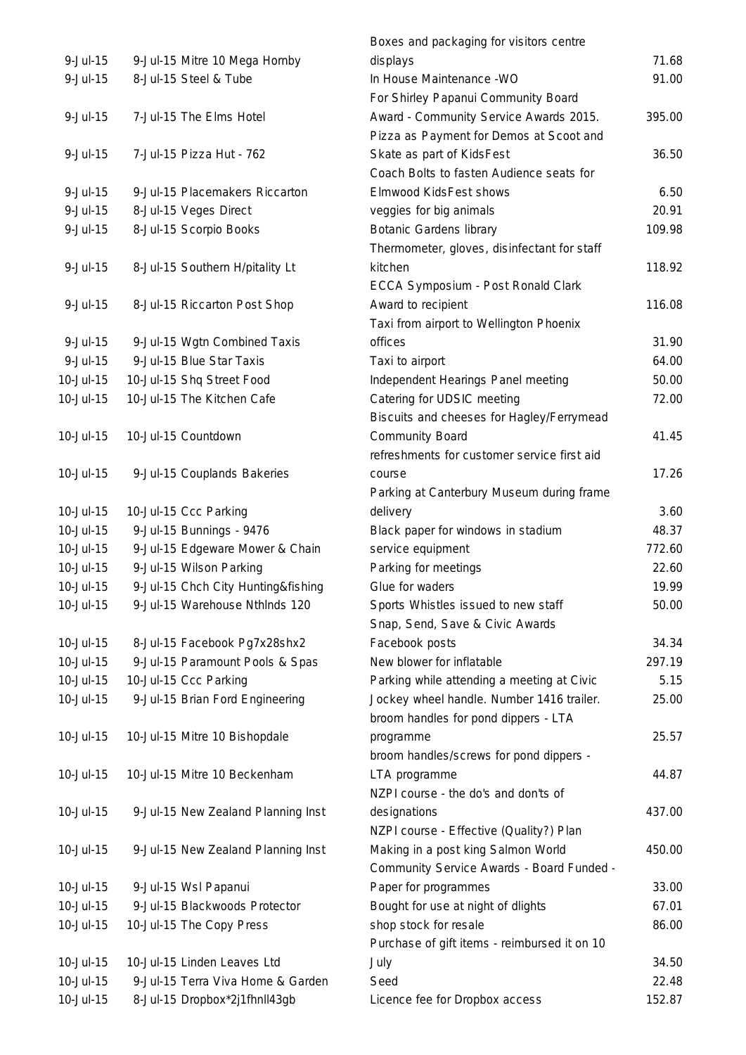| $9 -$ Jul $-15$ | 9-Jul-15 Mitre 10 Mega Hornby      | displays                                     | 71.68  |
|-----------------|------------------------------------|----------------------------------------------|--------|
| $9 -$ Jul $-15$ | 8-Jul-15 Steel & Tube              | In House Maintenance - WO                    | 91.00  |
|                 |                                    | For Shirley Papanui Community Board          |        |
| $9 -$ Jul $-15$ | 7-Jul-15 The Elms Hotel            | Award - Community Service Awards 2015.       | 395.00 |
|                 |                                    | Pizza as Payment for Demos at Scoot and      |        |
| $9 -$ Jul $-15$ | 7-Jul-15 Pizza Hut - 762           | Skate as part of KidsFest                    | 36.50  |
|                 |                                    | Coach Bolts to fasten Audience seats for     |        |
| $9 -$ Jul $-15$ | 9-Jul-15 Placemakers Riccarton     | Elmwood KidsFest shows                       | 6.50   |
| $9 -$ Jul $-15$ | 8-Jul-15 Veges Direct              | veggies for big animals                      | 20.91  |
| 9-Jul-15        | 8-Jul-15 Scorpio Books             | <b>Botanic Gardens library</b>               | 109.98 |
|                 |                                    | Thermometer, gloves, disinfectant for staff  |        |
| $9 -$ Jul $-15$ | 8-Jul-15 Southern H/pitality Lt    | kitchen                                      | 118.92 |
|                 |                                    | ECCA Symposium - Post Ronald Clark           |        |
| $9 -$ Jul $-15$ | 8-Jul-15 Riccarton Post Shop       | Award to recipient                           | 116.08 |
|                 |                                    | Taxi from airport to Wellington Phoenix      |        |
| $9 -$ Jul $-15$ | 9-Jul-15 Wgtn Combined Taxis       | offices                                      | 31.90  |
| $9 -$ Jul $-15$ | 9-Jul-15 Blue Star Taxis           | Taxi to airport                              | 64.00  |
| 10-Jul-15       | 10-Jul-15 Shq Street Food          | Independent Hearings Panel meeting           | 50.00  |
| 10-Jul-15       | 10-Jul-15 The Kitchen Cafe         | Catering for UDSIC meeting                   | 72.00  |
|                 |                                    | Biscuits and cheeses for Hagley/Ferrymead    |        |
| 10-Jul-15       | 10-Jul-15 Countdown                | <b>Community Board</b>                       | 41.45  |
|                 |                                    | refreshments for customer service first aid  |        |
| 10-Jul-15       | 9-Jul-15 Couplands Bakeries        | course                                       | 17.26  |
|                 |                                    | Parking at Canterbury Museum during frame    |        |
| 10-Jul-15       | 10-Jul-15 Ccc Parking              | delivery                                     | 3.60   |
| 10-Jul-15       | 9-Jul-15 Bunnings - 9476           | Black paper for windows in stadium           | 48.37  |
| 10-Jul-15       | 9-Jul-15 Edgeware Mower & Chain    | service equipment                            | 772.60 |
| 10-Jul-15       | 9-Jul-15 Wilson Parking            | Parking for meetings                         | 22.60  |
| 10-Jul-15       | 9-Jul-15 Chch City Hunting&fishing | Glue for waders                              | 19.99  |
| 10-Jul-15       | 9-Jul-15 Warehouse Nthinds 120     | Sports Whistles issued to new staff          | 50.00  |
|                 |                                    | Snap, Send, Save & Civic Awards              |        |
| 10-Jul-15       | 8-Jul-15 Facebook Pg7x28shx2       | Facebook posts                               | 34.34  |
| 10-Jul-15       | 9-Jul-15 Paramount Pools & Spas    | New blower for inflatable                    | 297.19 |
| 10-Jul-15       | 10-Jul-15 Ccc Parking              | Parking while attending a meeting at Civic   | 5.15   |
| 10-Jul-15       | 9-Jul-15 Brian Ford Engineering    | Jockey wheel handle. Number 1416 trailer.    | 25.00  |
|                 |                                    | broom handles for pond dippers - LTA         |        |
| 10-Jul-15       | 10-Jul-15 Mitre 10 Bishopdale      | programme                                    | 25.57  |
|                 |                                    | broom handles/screws for pond dippers -      |        |
| 10-Jul-15       | 10-Jul-15 Mitre 10 Beckenham       | LTA programme                                | 44.87  |
|                 |                                    | NZPI course - the do's and don'ts of         |        |
| 10-Jul-15       | 9-Jul-15 New Zealand Planning Inst | designations                                 | 437.00 |
|                 |                                    | NZPI course - Effective (Quality?) Plan      |        |
| 10-Jul-15       | 9-Jul-15 New Zealand Planning Inst | Making in a post king Salmon World           | 450.00 |
|                 |                                    | Community Service Awards - Board Funded -    |        |
| 10-Jul-15       | 9-Jul-15 Wsl Papanui               | Paper for programmes                         | 33.00  |
| 10-Jul-15       | 9-Jul-15 Blackwoods Protector      | Bought for use at night of dlights           | 67.01  |
| 10-Jul-15       | 10-Jul-15 The Copy Press           | shop stock for resale                        | 86.00  |
|                 |                                    | Purchase of gift items - reimbursed it on 10 |        |
| 10-Jul-15       | 10-Jul-15 Linden Leaves Ltd        | July                                         | 34.50  |
| 10-Jul-15       | 9-Jul-15 Terra Viva Home & Garden  | Seed                                         | 22.48  |
| 10-Jul-15       | 8-Jul-15 Dropbox*2j1fhnll43gb      | Licence fee for Dropbox access               | 152.87 |
|                 |                                    |                                              |        |

| Boxes and packaging for visitors centre      |        |
|----------------------------------------------|--------|
| displays                                     | 71.68  |
| In House Maintenance - WO                    | 91.00  |
| For Shirley Papanui Community Board          | 395.00 |
| Award - Community Service Awards 2015.       |        |
| Pizza as Payment for Demos at Scoot and      |        |
| Skate as part of KidsFest                    | 36.50  |
| Coach Bolts to fasten Audience seats for     |        |
| <b>Elmwood KidsFest shows</b>                | 6.50   |
| veggies for big animals                      | 20.91  |
| <b>Botanic Gardens library</b>               | 109.98 |
| Thermometer, gloves, disinfectant for staff  |        |
| kitchen                                      | 118.92 |
| ECCA Symposium - Post Ronald Clark           |        |
| Award to recipient                           | 116.08 |
| Taxi from airport to Wellington Phoenix      |        |
| offices                                      | 31.90  |
| Taxi to airport                              | 64.00  |
| Independent Hearings Panel meeting           | 50.00  |
| Catering for UDSIC meeting                   | 72.00  |
| Biscuits and cheeses for Hagley/Ferrymead    |        |
| <b>Community Board</b>                       | 41.45  |
| refreshments for customer service first aid  |        |
| course                                       | 17.26  |
| Parking at Canterbury Museum during frame    |        |
| delivery                                     | 3.60   |
| Black paper for windows in stadium           | 48.37  |
| service equipment                            | 772.60 |
| Parking for meetings                         | 22.60  |
| Glue for waders                              | 19.99  |
| Sports Whistles issued to new staff          | 50.00  |
| Snap, Send, Save & Civic Awards              |        |
| Facebook posts                               | 34.34  |
| New blower for inflatable                    | 297.19 |
| Parking while attending a meeting at Civic   | 5.15   |
| Jockey wheel handle. Number 1416 trailer.    | 25.00  |
| broom handles for pond dippers - LTA         |        |
| programme                                    | 25.57  |
| broom handles/screws for pond dippers -      |        |
| LTA programme                                | 44.87  |
| NZPI course - the do's and don'ts of         |        |
| designations                                 | 437.00 |
| NZPI course - Effective (Quality?) Plan      |        |
| Making in a post king Salmon World           | 450.00 |
| Community Service Awards - Board Funded -    |        |
| Paper for programmes                         | 33.00  |
| Bought for use at night of dlights           | 67.01  |
| shop stock for resale                        | 86.00  |
| Purchase of gift items - reimbursed it on 10 |        |
| July                                         | 34.50  |
| Seed                                         | 22.48  |
| Licence fee for Dropbox access               | 152.87 |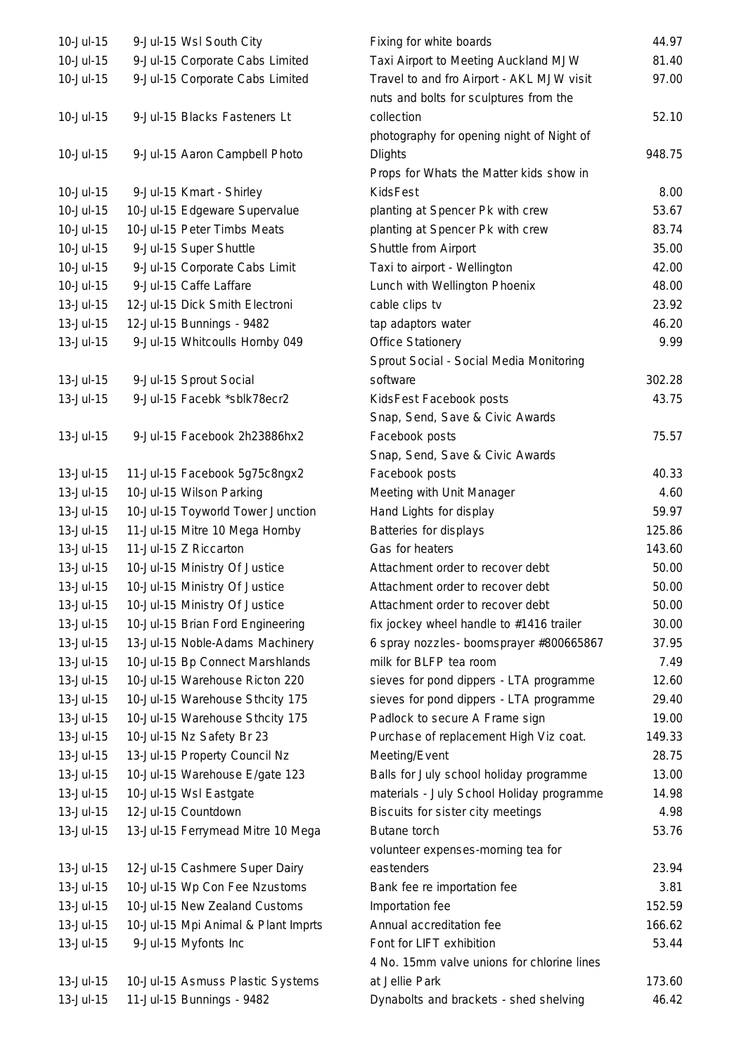| 10-Jul-15        | 9-Jul-15 Wsl South City             |  |
|------------------|-------------------------------------|--|
| $10 -$ Jul $-15$ | 9-Jul-15 Corporate Cabs Limited     |  |
| 10-Jul-15        | 9-Jul-15 Corporate Cabs Limited     |  |
|                  |                                     |  |
| 10-Jul-15        | 9-Jul-15 Blacks Fasteners Lt        |  |
|                  |                                     |  |
| 10-Jul-15        | 9-Jul-15 Aaron Campbell Photo       |  |
|                  |                                     |  |
| 10-Jul-15        | 9-Jul-15 Kmart - Shirley            |  |
| 10-Jul-15        | 10-Jul-15 Edgeware Supervalue       |  |
| 10-Jul-15        | 10-Jul-15 Peter Timbs Meats         |  |
| 10-Jul-15        | 9-Jul-15 Super Shuttle              |  |
| 10-Jul-15        | 9-Jul-15 Corporate Cabs Limit       |  |
| $10 -$ Jul $-15$ | 9-Jul-15 Caffe Laffare              |  |
| $13 -$ Jul $-15$ | 12-Jul-15 Dick Smith Electroni      |  |
| 13-Jul-15        | 12-Jul-15 Bunnings - 9482           |  |
| 13-Jul-15        | 9-Jul-15 Whitcoulls Hornby 049      |  |
|                  |                                     |  |
| 13-Jul-15        | 9-Jul-15 Sprout Social              |  |
| 13-Jul-15        | 9-Jul-15 Facebk *sblk78ecr2         |  |
|                  |                                     |  |
| 13-Jul-15        | 9-Jul-15 Facebook 2h23886hx2        |  |
|                  |                                     |  |
| 13-Jul-15        | 11-Jul-15 Facebook 5g75c8ngx2       |  |
| 13-Jul-15        | 10-Jul-15 Wilson Parking            |  |
| 13-Jul-15        | 10-Jul-15 Toyworld Tower Junction   |  |
| 13-Jul-15        | 11-Jul-15 Mitre 10 Mega Hornby      |  |
| 13-Jul-15        | 11-Jul-15 Z Riccarton               |  |
| 13-Jul-15        | 10-Jul-15 Ministry Of Justice       |  |
| 13-Jul-15        | 10-Jul-15 Ministry Of Justice       |  |
| 13-Jul-15        | 10-Jul-15 Ministry Of Justice       |  |
| 13-Jul-15        | 10-Jul-15 Brian Ford Engineering    |  |
| 13-Jul-15        | 13-Jul-15 Noble-Adams Machinery     |  |
| 13-Jul-15        | 10-Jul-15 Bp Connect Marshlands     |  |
| 13-Jul-15        | 10-Jul-15 Warehouse Ricton 220      |  |
| 13-Jul-15        | 10-Jul-15 Warehouse Sthcity 175     |  |
| 13-Jul-15        | 10-Jul-15 Warehouse Sthcity 175     |  |
| 13-Jul-15        | 10-Jul-15 Nz Safety Br 23           |  |
| 13-Jul-15        | 13-Jul-15 Property Council Nz       |  |
| 13-Jul-15        | 10-Jul-15 Warehouse E/gate 123      |  |
| 13-Jul-15        | 10-Jul-15 Wsl Eastgate              |  |
| 13-Jul-15        | 12-Jul-15 Countdown                 |  |
| 13-Jul-15        | 13-Jul-15 Ferrymead Mitre 10 Mega   |  |
|                  |                                     |  |
| 13-Jul-15        | 12-Jul-15 Cashmere Super Dairy      |  |
| 13-Jul-15        | 10-Jul-15 Wp Con Fee Nzustoms       |  |
| 13-Jul-15        | 10-Jul-15 New Zealand Customs       |  |
| 13-Jul-15        | 10-Jul-15 Mpi Animal & Plant Imprts |  |
| 13-Jul-15        | 9-Jul-15 Myfonts Inc                |  |
|                  |                                     |  |
| 13-Jul-15        | 10-Jul-15 Asmuss Plastic Systems    |  |
| 13-Jul-15        | 11-Jul-15 Bunnings - 9482           |  |

| 10-Jul-15 | 9-Jul-15 Wsl South City             | Fixing for white boards                                                             | 44.97  |
|-----------|-------------------------------------|-------------------------------------------------------------------------------------|--------|
| 10-Jul-15 | 9-Jul-15 Corporate Cabs Limited     | Taxi Airport to Meeting Auckland MJW                                                | 81.40  |
| 10-Jul-15 | 9-Jul-15 Corporate Cabs Limited     | Travel to and fro Airport - AKL MJW visit<br>nuts and bolts for sculptures from the | 97.00  |
| 10-Jul-15 | 9-Jul-15 Blacks Fasteners Lt        | collection                                                                          | 52.10  |
|           |                                     | photography for opening night of Night of                                           |        |
| 10-Jul-15 | 9-Jul-15 Aaron Campbell Photo       | <b>Dlights</b>                                                                      | 948.75 |
|           |                                     | Props for Whats the Matter kids show in                                             |        |
| 10-Jul-15 | 9-Jul-15 Kmart - Shirley            | <b>KidsFest</b>                                                                     | 8.00   |
| 10-Jul-15 | 10-Jul-15 Edgeware Supervalue       | planting at Spencer Pk with crew                                                    | 53.67  |
| 10-Jul-15 | 10-Jul-15 Peter Timbs Meats         | planting at Spencer Pk with crew                                                    | 83.74  |
| 10-Jul-15 | 9-Jul-15 Super Shuttle              | Shuttle from Airport                                                                | 35.00  |
| 10-Jul-15 | 9-Jul-15 Corporate Cabs Limit       | Taxi to airport - Wellington                                                        | 42.00  |
| 10-Jul-15 | 9-Jul-15 Caffe Laffare              | Lunch with Wellington Phoenix                                                       | 48.00  |
| 13-Jul-15 | 12-Jul-15 Dick Smith Electroni      | cable clips tv                                                                      | 23.92  |
| 13-Jul-15 | 12-Jul-15 Bunnings - 9482           | tap adaptors water                                                                  | 46.20  |
| 13-Jul-15 | 9-Jul-15 Whitcoulls Hornby 049      | <b>Office Stationery</b>                                                            | 9.99   |
|           |                                     | Sprout Social - Social Media Monitoring                                             |        |
| 13-Jul-15 | 9-Jul-15 Sprout Social              | software                                                                            | 302.28 |
| 13-Jul-15 | 9-Jul-15 Facebk *sblk78ecr2         | KidsFest Facebook posts                                                             | 43.75  |
|           |                                     | Snap, Send, Save & Civic Awards                                                     |        |
| 13-Jul-15 | 9-Jul-15 Facebook 2h23886hx2        | Facebook posts                                                                      | 75.57  |
|           |                                     | Snap, Send, Save & Civic Awards                                                     |        |
| 13-Jul-15 | 11-Jul-15 Facebook 5g75c8ngx2       | Facebook posts                                                                      | 40.33  |
| 13-Jul-15 | 10-Jul-15 Wilson Parking            | Meeting with Unit Manager                                                           | 4.60   |
| 13-Jul-15 | 10-Jul-15 Toyworld Tower Junction   | Hand Lights for display                                                             | 59.97  |
| 13-Jul-15 | 11-Jul-15 Mitre 10 Mega Hornby      | Batteries for displays                                                              | 125.86 |
| 13-Jul-15 | 11-Jul-15 Z Riccarton               | Gas for heaters                                                                     | 143.60 |
| 13-Jul-15 | 10-Jul-15 Ministry Of Justice       | Attachment order to recover debt                                                    | 50.00  |
| 13-Jul-15 | 10-Jul-15 Ministry Of Justice       | Attachment order to recover debt                                                    | 50.00  |
| 13-Jul-15 | 10-Jul-15 Ministry Of Justice       | Attachment order to recover debt                                                    | 50.00  |
| 13-Jul-15 | 10-Jul-15 Brian Ford Engineering    | fix jockey wheel handle to #1416 trailer                                            | 30.00  |
| 13-Jul-15 | 13-Jul-15 Noble-Adams Machinery     | 6 spray nozzles- boomsprayer #800665867                                             | 37.95  |
| 13-Jul-15 | 10-Jul-15 Bp Connect Marshlands     | milk for BLFP tea room                                                              | 7.49   |
| 13-Jul-15 | 10-Jul-15 Warehouse Ricton 220      | sieves for pond dippers - LTA programme                                             | 12.60  |
| 13-Jul-15 | 10-Jul-15 Warehouse Sthcity 175     | sieves for pond dippers - LTA programme                                             | 29.40  |
| 13-Jul-15 | 10-Jul-15 Warehouse Sthcity 175     | Padlock to secure A Frame sign                                                      | 19.00  |
| 13-Jul-15 | 10-Jul-15 Nz Safety Br 23           | Purchase of replacement High Viz coat.                                              | 149.33 |
| 13-Jul-15 | 13-Jul-15 Property Council Nz       | Meeting/Event                                                                       | 28.75  |
| 13-Jul-15 | 10-Jul-15 Warehouse E/gate 123      | Balls for July school holiday programme                                             | 13.00  |
| 13-Jul-15 | 10-Jul-15 Wsl Eastgate              | materials - July School Holiday programme                                           | 14.98  |
| 13-Jul-15 | 12-Jul-15 Countdown                 | Biscuits for sister city meetings                                                   | 4.98   |
| 13-Jul-15 | 13-Jul-15 Ferrymead Mitre 10 Mega   | Butane torch                                                                        | 53.76  |
|           |                                     | volunteer expenses-morning tea for                                                  |        |
| 13-Jul-15 | 12-Jul-15 Cashmere Super Dairy      | eastenders                                                                          | 23.94  |
| 13-Jul-15 | 10-Jul-15 Wp Con Fee Nzustoms       | Bank fee re importation fee                                                         | 3.81   |
| 13-Jul-15 | 10-Jul-15 New Zealand Customs       | Importation fee                                                                     | 152.59 |
| 13-Jul-15 | 10-Jul-15 Mpi Animal & Plant Imprts | Annual accreditation fee                                                            | 166.62 |
| 13-Jul-15 | 9-Jul-15 Myfonts Inc                | Font for LIFT exhibition                                                            | 53.44  |
|           |                                     | 4 No. 15mm valve unions for chlorine lines                                          |        |
| 13-Jul-15 | 10-Jul-15 Asmuss Plastic Systems    | at Jellie Park                                                                      | 173.60 |
| 13-Jul-15 | 11-Jul-15 Bunnings - 9482           | Dynabolts and brackets - shed shelving                                              | 46.42  |
|           |                                     |                                                                                     |        |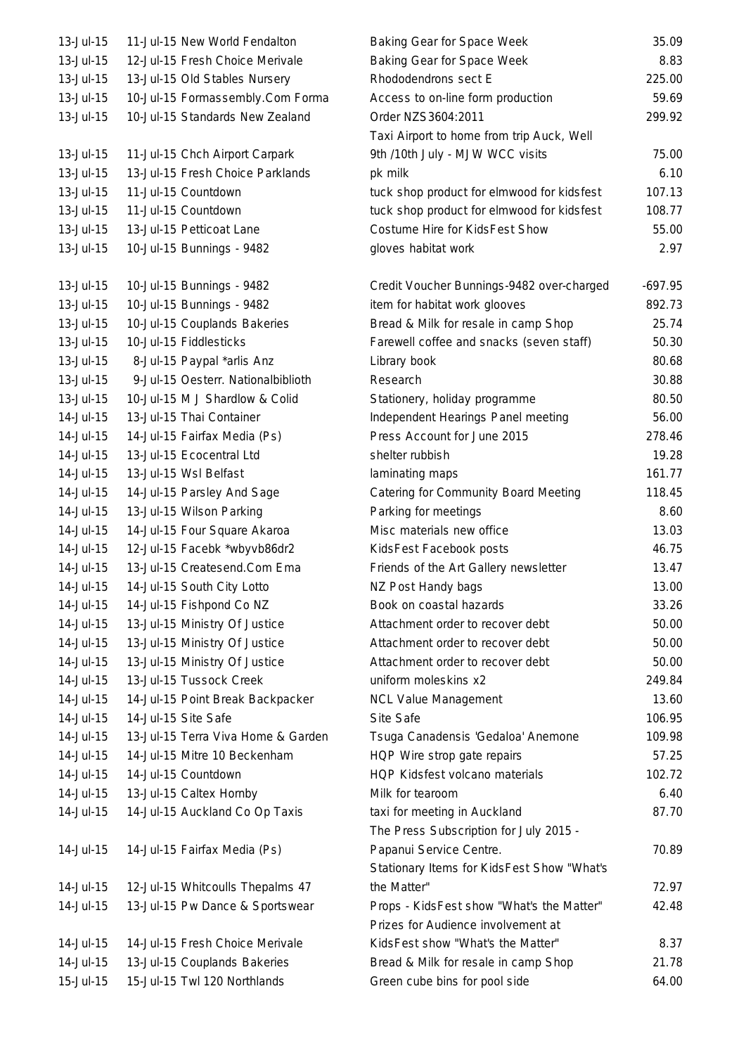13-Jul-15 11-Jul-15 New World Fendalton 13-Jul-15 12-Jul-15 Fresh Choice Merivale 13-Jul-15 13-Jul-15 Old Stables Nursery 13-Jul-15 10-Jul-15 Formassembly.Com Forma 13-Jul-15 10-Jul-15 Standards New Zealand 13-Jul-15 11-Jul-15 Chch Airport Carpark 13-Jul-15 13-Jul-15 Fresh Choice Parklands 13-Jul-15 11-Jul-15 Countdown 13-Jul-15 11-Jul-15 Countdown 13-Jul-15 13-Jul-15 Petticoat Lane 13-Jul-15 10-Jul-15 Bunnings - 9482 13-Jul-15 10-Jul-15 Bunnings - 9482 13-Jul-15 10-Jul-15 Bunnings - 9482 13-Jul-15 10-Jul-15 Couplands Bakeries 13-Jul-15 10-Jul-15 Fiddlesticks 13-Jul-15 8-Jul-15 Paypal \*arlis Anz 13-Jul-15 9-Jul-15 Oesterr. National biblioth 13-Jul-15  $10$ -Jul-15 M J Shardlow & Colid 14-Jul-15 13-Jul-15 Thai Container 14-Jul-15  $-$  14-Jul-15 Fairfax Media (Ps). 14-Jul-15 13-Jul-15 Ecocentral Ltd 14-Jul-15 13-Jul-15 Wsl Belfast 14-Jul-15 14-Jul-15 Parsley And Sage 14-Jul-15 13-Jul-15 Wilson Parking 14-Jul-15 14-Jul-15 Four Square Akaroa 14-Jul-15 12-Jul-15 Facebk \*wbyvb86dr2 14-Jul-15 13-Jul-15 Createsend.Com Ema 14-Jul-15 14-Jul-15 South City Lotto 14-Jul-15 14-Jul-15 Fishpond Co NZ 14-Jul-15 13-Jul-15 Ministry Of Justice 14-Jul-15 13-Jul-15 Ministry Of Justice 14-Jul-15 13-Jul-15 Ministry Of Justice 14-Jul-15 13-Jul-15 Tussock Creek 14-Jul-15 14-Jul-15 Point Break Backpacker 14-Jul-15 14-Jul-15 Site Safe 14-Jul-15 13-Jul-15 Terra Viva Home & Garden 14-Jul-15 14-Jul-15 Mitre 10 Beckenham 14-Jul-15 14-Jul-15 Countdown 14-Jul-15 13-Jul-15 Caltex Hornby 14-Jul-15 14-Jul-15 Auckland Co Op Taxis 14-Jul-15 14-Jul-15 Fairfax Media (Ps) 14-Jul-15 12-Jul-15 Whitcoulls Thepalms 47 14-Jul-15 13-Jul-15 Pw Dance & Sportswear 14-Jul-15 14-Jul-15 Fresh Choice Merivale 14-Jul-15 13-Jul-15 Couplands Bakeries 15-Jul-15 15-Jul-15 Twl 120 Northlands

| <b>Baking Gear for Space Week</b>          | 35.09     |
|--------------------------------------------|-----------|
| Baking Gear for Space Week                 | 8.83      |
| Rhododendrons sect E                       | 225.00    |
| Access to on-line form production          | 59.69     |
| Order NZS3604:2011                         | 299.92    |
| Taxi Airport to home from trip Auck, Well  |           |
| 9th /10th July - MJW WCC visits            | 75.00     |
| pk milk                                    | 6.10      |
| tuck shop product for elmwood for kidsfest | 107.13    |
| tuck shop product for elmwood for kidsfest | 108.77    |
| Costume Hire for KidsFest Show             | 55.00     |
| gloves habitat work                        | 2.97      |
| Credit Voucher Bunnings-9482 over-charged  | $-697.95$ |
| item for habitat work glooves              | 892.73    |
| Bread & Milk for resale in camp Shop       | 25.74     |
| Farewell coffee and snacks (seven staff)   | 50.30     |
| Library book                               | 80.68     |
| Research                                   | 30.88     |
| Stationery, holiday programme              | 80.50     |
| Independent Hearings Panel meeting         | 56.00     |
| Press Account for June 2015                | 278.46    |
| shelter rubbish                            | 19.28     |
| laminating maps                            | 161.77    |
| Catering for Community Board Meeting       | 118.45    |
| Parking for meetings                       | 8.60      |
| Misc materials new office                  | 13.03     |
| KidsFest Facebook posts                    | 46.75     |
| Friends of the Art Gallery newsletter      | 13.47     |
| NZ Post Handy bags                         | 13.00     |
| Book on coastal hazards                    | 33.26     |
| Attachment order to recover debt           | 50.00     |
| Attachment order to recover debt           | 50.00     |
| Attachment order to recover debt           | 50.00     |
| uniform moleskins x2                       | 249.84    |
| <b>NCL Value Management</b>                | 13.60     |
| Site Safe                                  | 106.95    |
| Tsuga Canadensis 'Gedaloa' Anemone         | 109.98    |
| HQP Wire strop gate repairs                | 57.25     |
| HQP Kidsfest volcano materials             | 102.72    |
| Milk for tearoom                           | 6.40      |
| taxi for meeting in Auckland               | 87.70     |
| The Press Subscription for July 2015 -     |           |
| Papanui Service Centre.                    | 70.89     |
| Stationary Items for KidsFest Show "What's |           |
| the Matter"                                | 72.97     |
| Props - KidsFest show "What's the Matter"  | 42.48     |
| Prizes for Audience involvement at         |           |
| KidsFest show "What's the Matter"          | 8.37      |
| Bread & Milk for resale in camp Shop       | 21.78     |
|                                            | 64.00     |
| Green cube bins for pool side              |           |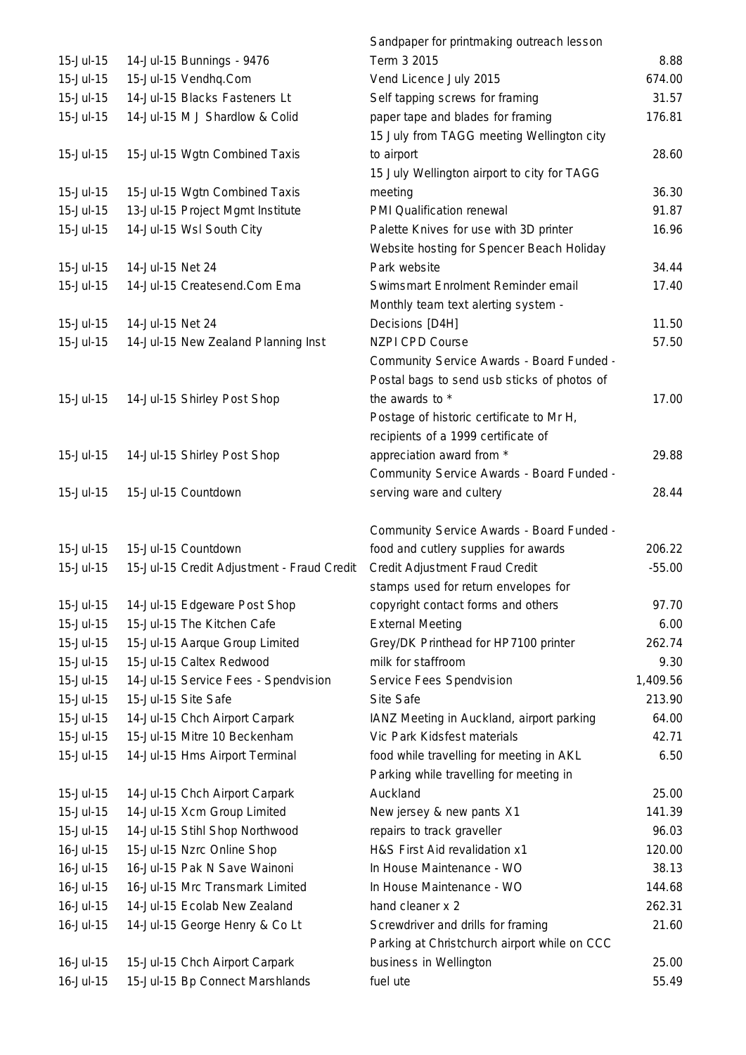|           |                                            | Sandpaper for printmaking outreach lesson    |          |
|-----------|--------------------------------------------|----------------------------------------------|----------|
| 15-Jul-15 | 14-Jul-15 Bunnings - 9476                  | Term 3 2015                                  | 8.88     |
| 15-Jul-15 | 15-Jul-15 Vendhq.Com                       | Vend Licence July 2015                       | 674.00   |
| 15-Jul-15 | 14-Jul-15 Blacks Fasteners Lt              | Self tapping screws for framing              | 31.57    |
| 15-Jul-15 | 14-Jul-15 M J Shardlow & Colid             | paper tape and blades for framing            | 176.81   |
|           |                                            | 15 July from TAGG meeting Wellington city    |          |
| 15-Jul-15 | 15-Jul-15 Wgtn Combined Taxis              | to airport                                   | 28.60    |
|           |                                            | 15 July Wellington airport to city for TAGG  |          |
| 15-Jul-15 | 15-Jul-15 Wgtn Combined Taxis              | meeting                                      | 36.30    |
| 15-Jul-15 | 13-Jul-15 Project Mgmt Institute           | PMI Qualification renewal                    | 91.87    |
| 15-Jul-15 | 14-Jul-15 Wsl South City                   | Palette Knives for use with 3D printer       | 16.96    |
|           |                                            | Website hosting for Spencer Beach Holiday    |          |
| 15-Jul-15 | 14-Jul-15 Net 24                           | Park website                                 | 34.44    |
| 15-Jul-15 | 14-Jul-15 Createsend.Com Ema               | Swimsmart Enrolment Reminder email           | 17.40    |
|           |                                            | Monthly team text alerting system -          |          |
| 15-Jul-15 | 14-Jul-15 Net 24                           | Decisions [D4H]                              | 11.50    |
| 15-Jul-15 | 14-Jul-15 New Zealand Planning Inst        | <b>NZPI CPD Course</b>                       | 57.50    |
|           |                                            | Community Service Awards - Board Funded -    |          |
|           |                                            | Postal bags to send usb sticks of photos of  |          |
| 15-Jul-15 | 14-Jul-15 Shirley Post Shop                | the awards to *                              | 17.00    |
|           |                                            | Postage of historic certificate to Mr H,     |          |
|           |                                            | recipients of a 1999 certificate of          |          |
| 15-Jul-15 | 14-Jul-15 Shirley Post Shop                | appreciation award from *                    | 29.88    |
|           |                                            | Community Service Awards - Board Funded -    |          |
| 15-Jul-15 | 15-Jul-15 Countdown                        | serving ware and cultery                     | 28.44    |
|           |                                            |                                              |          |
|           |                                            | Community Service Awards - Board Funded -    |          |
| 15-Jul-15 | 15-Jul-15 Countdown                        | food and cutlery supplies for awards         | 206.22   |
| 15-Jul-15 | 15-Jul-15 Credit Adjustment - Fraud Credit | Credit Adjustment Fraud Credit               | $-55.00$ |
|           |                                            | stamps used for return envelopes for         |          |
| 15-Jul-15 | 14-Jul-15 Edgeware Post Shop               | copyright contact forms and others           | 97.70    |
| 15-Jul-15 | 15-Jul-15 The Kitchen Cafe                 | <b>External Meeting</b>                      | 6.00     |
| 15-Jul-15 | 15-Jul-15 Aarque Group Limited             | Grey/DK Printhead for HP7100 printer         | 262.74   |
| 15-Jul-15 | 15-Jul-15 Caltex Redwood                   | milk for staffroom                           | 9.30     |
| 15-Jul-15 | 14-Jul-15 Service Fees - Spendvision       | Service Fees Spendvision                     | 1,409.56 |
| 15-Jul-15 | 15-Jul-15 Site Safe                        | Site Safe                                    | 213.90   |
| 15-Jul-15 | 14-Jul-15 Chch Airport Carpark             | IANZ Meeting in Auckland, airport parking    | 64.00    |
| 15-Jul-15 | 15-Jul-15 Mitre 10 Beckenham               | Vic Park Kidsfest materials                  | 42.71    |
| 15-Jul-15 | 14-Jul-15 Hms Airport Terminal             | food while travelling for meeting in AKL     | 6.50     |
|           |                                            | Parking while travelling for meeting in      |          |
| 15-Jul-15 | 14-Jul-15 Chch Airport Carpark             | Auckland                                     | 25.00    |
| 15-Jul-15 | 14-Jul-15 Xcm Group Limited                | New jersey & new pants X1                    | 141.39   |
| 15-Jul-15 | 14-Jul-15 Stihl Shop Northwood             | repairs to track graveller                   | 96.03    |
| 16-Jul-15 | 15-Jul-15 Nzrc Online Shop                 | H&S First Aid revalidation x1                | 120.00   |
| 16-Jul-15 | 16-Jul-15 Pak N Save Wainoni               | In House Maintenance - WO                    | 38.13    |
| 16-Jul-15 | 16-Jul-15 Mrc Transmark Limited            | In House Maintenance - WO                    | 144.68   |
| 16-Jul-15 | 14-Jul-15 Ecolab New Zealand               | hand cleaner x 2                             | 262.31   |
| 16-Jul-15 | 14-Jul-15 George Henry & Co Lt             | Screwdriver and drills for framing           | 21.60    |
|           |                                            | Parking at Christchurch airport while on CCC |          |
| 16-Jul-15 | 15-Jul-15 Chch Airport Carpark             | business in Wellington                       | 25.00    |
| 16-Jul-15 | 15-Jul-15 Bp Connect Marshlands            | fuel ute                                     | 55.49    |
|           |                                            |                                              |          |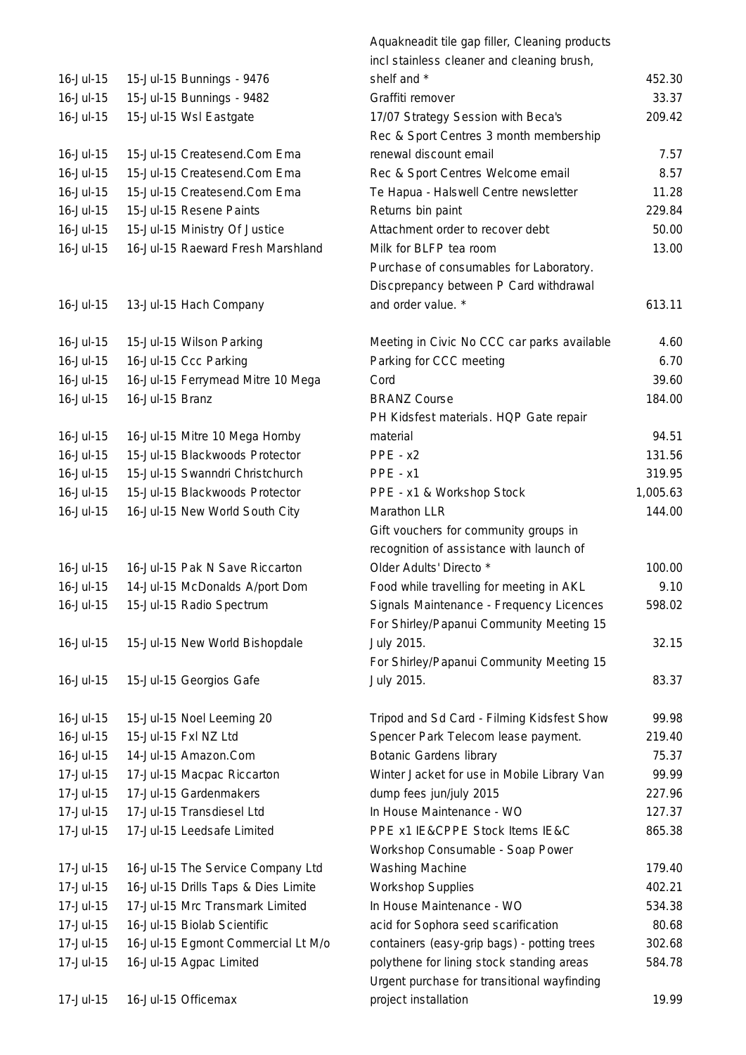| $16 -$ Jul $-15$              | 15-Jul-15 Bunnings - 9476                    |
|-------------------------------|----------------------------------------------|
| $16 -$ Jul $-15$              | 15-Jul-15 Bunnings - 9482                    |
| 16-Jul-15                     | 15-Jul-15 Wsl Eastgate                       |
|                               |                                              |
| $16 -$ Jul $-15$              | 15-Jul-15 Createsend.Com Ema                 |
| 16-Jul-15                     | 15-Jul-15 Createsend.Com Ema                 |
| 16-Jul-15                     | 15-Jul-15 Createsend.Com Ema                 |
| 16-Jul-15                     | 15-Jul-15 Resene Paints                      |
| 16-Jul-15                     | 15-Jul-15 Ministry Of Justice                |
| 16-Jul-15                     | 16-Jul-15 Raeward Fresh Marshland            |
|                               |                                              |
|                               |                                              |
| $16 -$ Jul $-15$              | 13-Jul-15 Hach Company                       |
|                               |                                              |
| 16-Jul-15                     | 15-Jul-15 Wilson Parking                     |
| 16-Jul-15                     | 16-Jul-15 Ccc Parking                        |
| $16 -$ Jul $-15$              | 16-Jul-15 Ferrymead Mitre 10 Mega            |
| 16-Jul-15                     | 16-Jul-15 Branz                              |
|                               |                                              |
| 16-Jul-15                     | 16-Jul-15 Mitre 10 Mega Hornby               |
| $16 -$ Jul $-15$              | 15-Jul-15 Blackwoods Protector               |
| 16-Jul-15                     | 15-Jul-15 Swanndri Christchurch              |
| 16-Jul-15                     | 15-Jul-15 Blackwoods Protector               |
| 16-Jul-15                     | 16-Jul-15 New World South City               |
|                               |                                              |
|                               |                                              |
| $16 -$ Jul- $15$              | 16-Jul-15 Pak N Save Riccarton               |
| 16-Jul-15                     | 14-Jul-15 McDonalds A/port Dom               |
| $16 -$ Jul- $15$              | 15-Jul-15 Radio Spectrum                     |
|                               |                                              |
| 16-Jul-15                     | 15-Jul-15 New World Bishopdale               |
|                               |                                              |
| $16 -$ Jul $-15$              | 15-Jul-15 Georgios Gafe                      |
|                               |                                              |
| 16-Jul-15<br>$16 -$ Jul- $15$ | 15-Jul-15 Noel Leeming 20                    |
| $16 -$ Jul $-15$              | 15-Jul-15 Fxl NZ Ltd<br>14-Jul-15 Amazon.Com |
| 17-Jul-15                     | 17-Jul-15 Macpac Riccarton                   |
| 17-Jul-15                     | 17-Jul-15 Gardenmakers                       |
| 17-Jul-15                     | 17-Jul-15 Transdiesel Ltd                    |
| 17-Jul-15                     | 17-Jul-15 Leedsafe Limited                   |
|                               |                                              |
| 17-Jul-15                     | 16-Jul-15 The Service Company Ltd            |
| 17-Jul-15                     | 16-Jul-15 Drills Taps & Dies Limite          |
| 17-Jul-15                     | 17-Jul-15 Mrc Transmark Limited              |
| 17-Jul-15                     | 16-Jul-15 Biolab Scientific                  |
| 17-Jul-15                     | 16-Jul-15 Egmont Commercial Lt M/o           |
| 17-Jul-15                     | 16-Jul-15 Agpac Limited                      |
|                               |                                              |
| 17-Jul-15                     | 16-Jul-15 Officemax                          |

|                  |                                     | Aquakneadit tile gap filler, Cleaning products |          |
|------------------|-------------------------------------|------------------------------------------------|----------|
|                  |                                     | incl stainless cleaner and cleaning brush,     |          |
| 16-Jul-15        | 15-Jul-15 Bunnings - 9476           | shelf and *                                    | 452.30   |
| 16-Jul-15        | 15-Jul-15 Bunnings - 9482           | Graffiti remover                               | 33.37    |
| 16-Jul-15        | 15-Jul-15 Wsl Eastgate              | 17/07 Strategy Session with Beca's             | 209.42   |
|                  |                                     | Rec & Sport Centres 3 month membership         |          |
| 16-Jul-15        | 15-Jul-15 Createsend.Com Ema        | renewal discount email                         | 7.57     |
| 16-Jul-15        | 15-Jul-15 Createsend.Com Ema        | Rec & Sport Centres Welcome email              | 8.57     |
| 16-Jul-15        | 15-Jul-15 Createsend.Com Ema        | Te Hapua - Halswell Centre newsletter          | 11.28    |
| 16-Jul-15        | 15-Jul-15 Resene Paints             | Returns bin paint                              | 229.84   |
| 16-Jul-15        | 15-Jul-15 Ministry Of Justice       | Attachment order to recover debt               | 50.00    |
| 16-Jul-15        | 16-Jul-15 Raeward Fresh Marshland   | Milk for BLFP tea room                         | 13.00    |
|                  |                                     | Purchase of consumables for Laboratory.        |          |
|                  |                                     | Discprepancy between P Card withdrawal         |          |
| $16 -$ Jul $-15$ | 13-Jul-15 Hach Company              | and order value. *                             | 613.11   |
| 16-Jul-15        | 15-Jul-15 Wilson Parking            | Meeting in Civic No CCC car parks available    | 4.60     |
| 16-Jul-15        | 16-Jul-15 Ccc Parking               | Parking for CCC meeting                        | 6.70     |
| 16-Jul-15        | 16-Jul-15 Ferrymead Mitre 10 Mega   | Cord                                           | 39.60    |
| 16-Jul-15        | 16-Jul-15 Branz                     | <b>BRANZ Course</b>                            | 184.00   |
|                  |                                     | PH Kidsfest materials. HQP Gate repair         |          |
| 16-Jul-15        | 16-Jul-15 Mitre 10 Mega Hornby      | material                                       | 94.51    |
| 16-Jul-15        | 15-Jul-15 Blackwoods Protector      | $PPE - x2$                                     | 131.56   |
| 16-Jul-15        | 15-Jul-15 Swanndri Christchurch     | PPE - x1                                       | 319.95   |
| 16-Jul-15        | 15-Jul-15 Blackwoods Protector      | PPE - x1 & Workshop Stock                      | 1,005.63 |
| 16-Jul-15        | 16-Jul-15 New World South City      | Marathon LLR                                   | 144.00   |
|                  |                                     | Gift vouchers for community groups in          |          |
|                  |                                     | recognition of assistance with launch of       |          |
| 16-Jul-15        | 16-Jul-15 Pak N Save Riccarton      | Older Adults' Directo *                        | 100.00   |
| 16-Jul-15        | 14-Jul-15 McDonalds A/port Dom      | Food while travelling for meeting in AKL       | 9.10     |
| 16-Jul-15        | 15-Jul-15 Radio Spectrum            | Signals Maintenance - Frequency Licences       | 598.02   |
|                  |                                     | For Shirley/Papanui Community Meeting 15       |          |
| 16-Jul-15        | 15-Jul-15 New World Bishopdale      | July 2015.                                     | 32.15    |
|                  |                                     | For Shirley/Papanui Community Meeting 15       |          |
| 16-Jul-15        | 15-Jul-15 Georgios Gafe             | July 2015.                                     | 83.37    |
| 16-Jul-15        | 15-Jul-15 Noel Leeming 20           | Tripod and Sd Card - Filming Kidsfest Show     | 99.98    |
| $16 -$ Jul $-15$ | 15-Jul-15 Fxl NZ Ltd                | Spencer Park Telecom lease payment.            | 219.40   |
| 16-Jul-15        | 14-Jul-15 Amazon.Com                | <b>Botanic Gardens library</b>                 | 75.37    |
| 17-Jul-15        | 17-Jul-15 Macpac Riccarton          | Winter Jacket for use in Mobile Library Van    | 99.99    |
| 17-Jul-15        | 17-Jul-15 Gardenmakers              | dump fees jun/july 2015                        | 227.96   |
| 17-Jul-15        | 17-Jul-15 Transdiesel Ltd           | In House Maintenance - WO                      | 127.37   |
| 17-Jul-15        | 17-Jul-15 Leedsafe Limited          | PPE x1 IE&CPPE Stock Items IE&C                | 865.38   |
|                  |                                     | Workshop Consumable - Soap Power               |          |
| 17-Jul-15        | 16-Jul-15 The Service Company Ltd   | <b>Washing Machine</b>                         | 179.40   |
| 17-Jul-15        | 16-Jul-15 Drills Taps & Dies Limite | <b>Workshop Supplies</b>                       | 402.21   |
| 17-Jul-15        | 17-Jul-15 Mrc Transmark Limited     | In House Maintenance - WO                      | 534.38   |
| 17-Jul-15        | 16-Jul-15 Biolab Scientific         | acid for Sophora seed scarification            | 80.68    |
| 17-Jul-15        | 16-Jul-15 Egmont Commercial Lt M/o  | containers (easy-grip bags) - potting trees    | 302.68   |
| 17-Jul-15        | 16-Jul-15 Agpac Limited             | polythene for lining stock standing areas      | 584.78   |
|                  |                                     | Urgent purchase for transitional wayfinding    |          |
| 17-Jul-15        | 16-Jul-15 Officemax                 | project installation                           | 19.99    |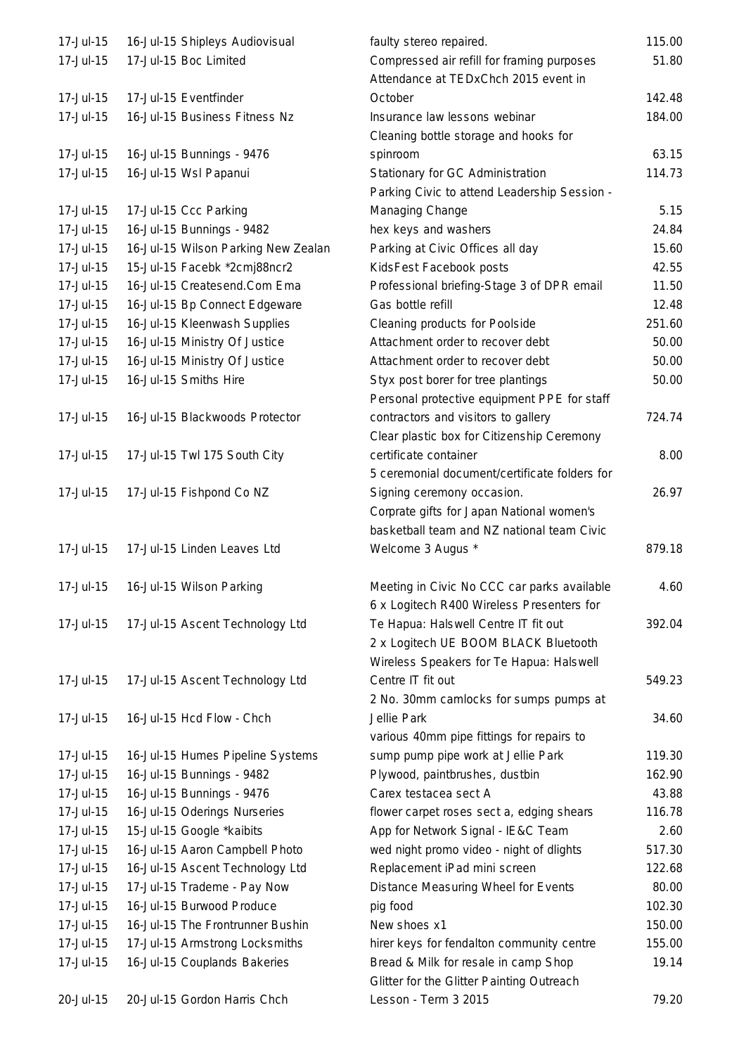| 17-Jul-15 | 16-Jul-15 Shipleys Audiovisual      | faulty stereo repaired.                       | 115.00 |
|-----------|-------------------------------------|-----------------------------------------------|--------|
| 17-Jul-15 | 17-Jul-15 Boc Limited               | Compressed air refill for framing purposes    | 51.80  |
|           |                                     | Attendance at TEDxChch 2015 event in          |        |
| 17-Jul-15 | 17-Jul-15 Eventfinder               | October                                       | 142.48 |
| 17-Jul-15 | 16-Jul-15 Business Fitness Nz       | Insurance law lessons webinar                 | 184.00 |
|           |                                     | Cleaning bottle storage and hooks for         |        |
| 17-Jul-15 | 16-Jul-15 Bunnings - 9476           | spinroom                                      | 63.15  |
| 17-Jul-15 | 16-Jul-15 Wsl Papanui               | Stationary for GC Administration              | 114.73 |
|           |                                     | Parking Civic to attend Leadership Session -  |        |
| 17-Jul-15 | 17-Jul-15 Ccc Parking               | Managing Change                               | 5.15   |
| 17-Jul-15 | 16-Jul-15 Bunnings - 9482           | hex keys and washers                          | 24.84  |
| 17-Jul-15 | 16-Jul-15 Wilson Parking New Zealan | Parking at Civic Offices all day              | 15.60  |
| 17-Jul-15 | 15-Jul-15 Facebk *2cmj88ncr2        | KidsFest Facebook posts                       | 42.55  |
| 17-Jul-15 | 16-Jul-15 Createsend.Com Ema        | Professional briefing-Stage 3 of DPR email    | 11.50  |
| 17-Jul-15 | 16-Jul-15 Bp Connect Edgeware       | Gas bottle refill                             | 12.48  |
| 17-Jul-15 | 16-Jul-15 Kleenwash Supplies        | Cleaning products for Poolside                | 251.60 |
| 17-Jul-15 | 16-Jul-15 Ministry Of Justice       | Attachment order to recover debt              | 50.00  |
| 17-Jul-15 | 16-Jul-15 Ministry Of Justice       | Attachment order to recover debt              | 50.00  |
| 17-Jul-15 | 16-Jul-15 Smiths Hire               | Styx post borer for tree plantings            | 50.00  |
|           |                                     | Personal protective equipment PPE for staff   |        |
| 17-Jul-15 | 16-Jul-15 Blackwoods Protector      | contractors and visitors to gallery           | 724.74 |
|           |                                     | Clear plastic box for Citizenship Ceremony    |        |
| 17-Jul-15 | 17-Jul-15 Twl 175 South City        | certificate container                         | 8.00   |
|           |                                     | 5 ceremonial document/certificate folders for |        |
| 17-Jul-15 | 17-Jul-15 Fishpond Co NZ            | Signing ceremony occasion.                    | 26.97  |
|           |                                     | Corprate gifts for Japan National women's     |        |
|           |                                     | basketball team and NZ national team Civic    |        |
| 17-Jul-15 | 17-Jul-15 Linden Leaves Ltd         | Welcome 3 Augus *                             | 879.18 |
| 17-Jul-15 | 16-Jul-15 Wilson Parking            | Meeting in Civic No CCC car parks available   | 4.60   |
|           |                                     | 6 x Logitech R400 Wireless Presenters for     |        |
| 17-Jul-15 | 17-Jul-15 Ascent Technology Ltd     | Te Hapua: Halswell Centre IT fit out          | 392.04 |
|           |                                     | 2 x Logitech UE BOOM BLACK Bluetooth          |        |
|           |                                     | Wireless Speakers for Te Hapua: Halswell      |        |
| 17-Jul-15 | 17-Jul-15 Ascent Technology Ltd     | Centre IT fit out                             | 549.23 |
|           |                                     | 2 No. 30mm camlocks for sumps pumps at        |        |
| 17-Jul-15 | 16-Jul-15 Hcd Flow - Chch           | Jellie Park                                   | 34.60  |
|           |                                     | various 40mm pipe fittings for repairs to     |        |
| 17-Jul-15 | 16-Jul-15 Humes Pipeline Systems    | sump pump pipe work at Jellie Park            | 119.30 |
| 17-Jul-15 | 16-Jul-15 Bunnings - 9482           | Plywood, paintbrushes, dustbin                | 162.90 |
| 17-Jul-15 | 16-Jul-15 Bunnings - 9476           | Carex testacea sect A                         | 43.88  |
| 17-Jul-15 | 16-Jul-15 Oderings Nurseries        | flower carpet roses sect a, edging shears     | 116.78 |
| 17-Jul-15 | 15-Jul-15 Google *kaibits           | App for Network Signal - IE&C Team            | 2.60   |
| 17-Jul-15 | 16-Jul-15 Aaron Campbell Photo      | wed night promo video - night of dlights      | 517.30 |
| 17-Jul-15 | 16-Jul-15 Ascent Technology Ltd     | Replacement iPad mini screen                  | 122.68 |
| 17-Jul-15 | 17-Jul-15 Trademe - Pay Now         | Distance Measuring Wheel for Events           | 80.00  |
| 17-Jul-15 | 16-Jul-15 Burwood Produce           | pig food                                      | 102.30 |
| 17-Jul-15 | 16-Jul-15 The Frontrunner Bushin    | New shoes x1                                  | 150.00 |
| 17-Jul-15 | 17-Jul-15 Armstrong Locksmiths      | hirer keys for fendalton community centre     | 155.00 |
| 17-Jul-15 | 16-Jul-15 Couplands Bakeries        | Bread & Milk for resale in camp Shop          | 19.14  |
|           |                                     | Glitter for the Glitter Painting Outreach     |        |
| 20-Jul-15 | 20-Jul-15 Gordon Harris Chch        | Lesson - Term 3 2015                          | 79.20  |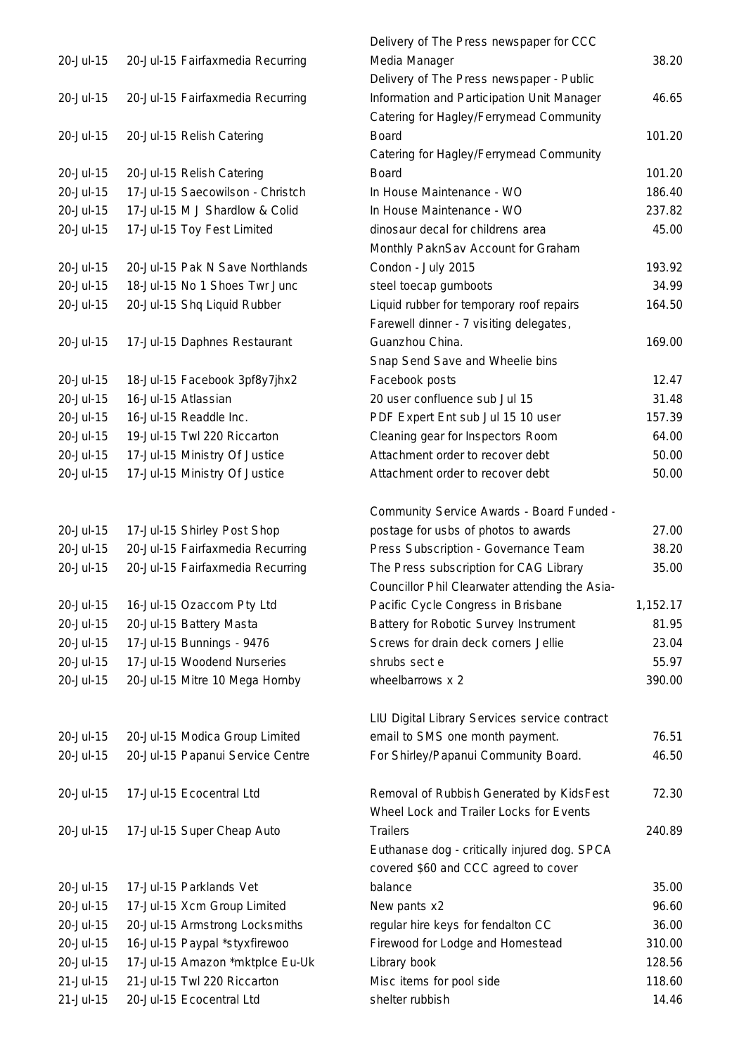|           |                                                                | Delivery of The Press newspaper for CCC        |          |
|-----------|----------------------------------------------------------------|------------------------------------------------|----------|
| 20-Jul-15 | 20-Jul-15 Fairfaxmedia Recurring                               | Media Manager                                  | 38.20    |
|           |                                                                | Delivery of The Press newspaper - Public       |          |
| 20-Jul-15 | 20-Jul-15 Fairfaxmedia Recurring                               | Information and Participation Unit Manager     | 46.65    |
|           |                                                                | Catering for Hagley/Ferrymead Community        |          |
| 20-Jul-15 | 20-Jul-15 Relish Catering                                      | <b>Board</b>                                   | 101.20   |
|           |                                                                | Catering for Hagley/Ferrymead Community        |          |
| 20-Jul-15 | 20-Jul-15 Relish Catering                                      | <b>Board</b>                                   | 101.20   |
| 20-Jul-15 | 17-Jul-15 Saecowilson - Christch                               | In House Maintenance - WO                      | 186.40   |
| 20-Jul-15 | 17-Jul-15 M J Shardlow & Colid                                 | In House Maintenance - WO                      | 237.82   |
| 20-Jul-15 | 17-Jul-15 Toy Fest Limited                                     | dinosaur decal for childrens area              | 45.00    |
|           |                                                                | Monthly PaknSav Account for Graham             |          |
| 20-Jul-15 | 20-Jul-15 Pak N Save Northlands                                | Condon - July 2015                             | 193.92   |
| 20-Jul-15 | 18-Jul-15 No 1 Shoes Twr Junc                                  | steel toecap gumboots                          | 34.99    |
| 20-Jul-15 | 20-Jul-15 Shq Liquid Rubber                                    | Liquid rubber for temporary roof repairs       | 164.50   |
|           |                                                                | Farewell dinner - 7 visiting delegates,        |          |
| 20-Jul-15 | 17-Jul-15 Daphnes Restaurant                                   | Guanzhou China.                                | 169.00   |
|           |                                                                | Snap Send Save and Wheelie bins                |          |
| 20-Jul-15 | 18-Jul-15 Facebook 3pf8y7jhx2                                  | Facebook posts                                 | 12.47    |
| 20-Jul-15 | 16-Jul-15 Atlassian                                            | 20 user confluence sub Jul 15                  | 31.48    |
| 20-Jul-15 | 16-Jul-15 Readdle Inc.                                         | PDF Expert Ent sub Jul 15 10 user              | 157.39   |
| 20-Jul-15 | 19-Jul-15 Twl 220 Riccarton                                    | Cleaning gear for Inspectors Room              | 64.00    |
| 20-Jul-15 | 17-Jul-15 Ministry Of Justice                                  | Attachment order to recover debt               | 50.00    |
| 20-Jul-15 | 17-Jul-15 Ministry Of Justice                                  | Attachment order to recover debt               | 50.00    |
|           |                                                                |                                                |          |
|           |                                                                | Community Service Awards - Board Funded -      |          |
| 20-Jul-15 | 17-Jul-15 Shirley Post Shop                                    | postage for usbs of photos to awards           | 27.00    |
| 20-Jul-15 | 20-Jul-15 Fairfaxmedia Recurring                               | Press Subscription - Governance Team           | 38.20    |
| 20-Jul-15 | 20-Jul-15 Fairfaxmedia Recurring                               | The Press subscription for CAG Library         | 35.00    |
|           |                                                                | Councillor Phil Clearwater attending the Asia- |          |
| 20-Jul-15 | 16-Jul-15 Ozaccom Pty Ltd                                      | Pacific Cycle Congress in Brisbane             | 1,152.17 |
| 20-Jul-15 | 20-Jul-15 Battery Masta                                        | Battery for Robotic Survey Instrument          | 81.95    |
| 20-Jul-15 | 17-Jul-15 Bunnings - 9476                                      | Screws for drain deck corners Jellie           | 23.04    |
| 20-Jul-15 | 17-Jul-15 Woodend Nurseries                                    | shrubs sect e                                  | 55.97    |
| 20-Jul-15 | 20-Jul-15 Mitre 10 Mega Hornby                                 | wheelbarrows x 2                               | 390.00   |
|           |                                                                |                                                |          |
|           |                                                                | LIU Digital Library Services service contract  |          |
| 20-Jul-15 | 20-Jul-15 Modica Group Limited                                 | email to SMS one month payment.                | 76.51    |
| 20-Jul-15 | 20-Jul-15 Papanui Service Centre                               | For Shirley/Papanui Community Board.           | 46.50    |
|           |                                                                |                                                |          |
| 20-Jul-15 | 17-Jul-15 Ecocentral Ltd                                       | Removal of Rubbish Generated by KidsFest       | 72.30    |
|           |                                                                | Wheel Lock and Trailer Locks for Events        |          |
| 20-Jul-15 | 17-Jul-15 Super Cheap Auto                                     | <b>Trailers</b>                                | 240.89   |
|           |                                                                | Euthanase dog - critically injured dog. SPCA   |          |
|           |                                                                | covered \$60 and CCC agreed to cover           |          |
| 20-Jul-15 | 17-Jul-15 Parklands Vet                                        | balance                                        | 35.00    |
| 20-Jul-15 | 17-Jul-15 Xcm Group Limited                                    |                                                | 96.60    |
| 20-Jul-15 |                                                                | New pants x2                                   | 36.00    |
| 20-Jul-15 | 20-Jul-15 Armstrong Locksmiths                                 | regular hire keys for fendalton CC             |          |
|           | 16-Jul-15 Paypal *styxfirewoo                                  | Firewood for Lodge and Homestead               | 310.00   |
| 20-Jul-15 | 17-Jul-15 Amazon *mktplce Eu-Uk<br>21-Jul-15 Twl 220 Riccarton | Library book                                   | 128.56   |
| 21-Jul-15 |                                                                | Misc items for pool side                       | 118.60   |
| 21-Jul-15 | 20-Jul-15 Ecocentral Ltd                                       | shelter rubbish                                | 14.46    |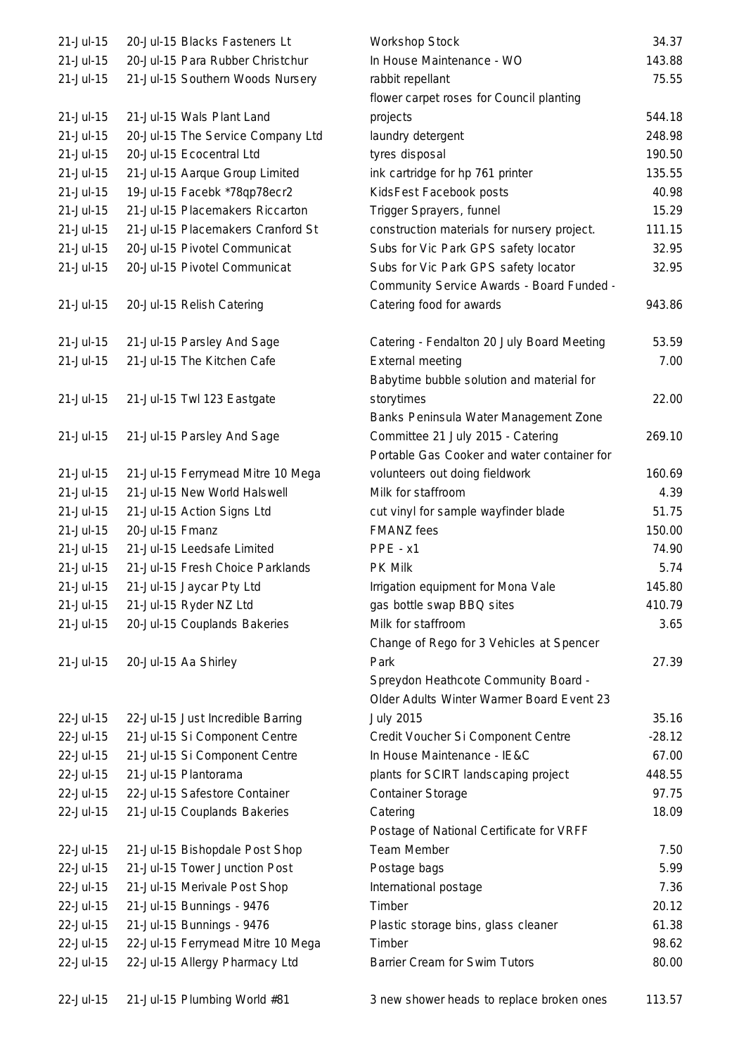| 21-Jul-15   | 20-Jul-15 Blacks Fasteners Lt     | Workshop Stock                                                                    | 34.37    |
|-------------|-----------------------------------|-----------------------------------------------------------------------------------|----------|
| 21-Jul-15   | 20-Jul-15 Para Rubber Christchur  | In House Maintenance - WO                                                         | 143.88   |
| 21-Jul-15   | 21-Jul-15 Southern Woods Nursery  | rabbit repellant                                                                  | 75.55    |
|             |                                   | flower carpet roses for Council planting                                          |          |
| $21-Jul-15$ | 21-Jul-15 Wals Plant Land         | projects                                                                          | 544.18   |
| 21-Jul-15   | 20-Jul-15 The Service Company Ltd | laundry detergent                                                                 | 248.98   |
| 21-Jul-15   | 20-Jul-15 Ecocentral Ltd          | tyres disposal                                                                    | 190.50   |
| 21-Jul-15   | 21-Jul-15 Aarque Group Limited    | ink cartridge for hp 761 printer                                                  | 135.55   |
| 21-Jul-15   | 19-Jul-15 Facebk *78qp78ecr2      | KidsFest Facebook posts                                                           | 40.98    |
| $21-Jul-15$ | 21-Jul-15 Placemakers Riccarton   | Trigger Sprayers, funnel                                                          | 15.29    |
| 21-Jul-15   | 21-Jul-15 Placemakers Cranford St | construction materials for nursery project.                                       | 111.15   |
| 21-Jul-15   | 20-Jul-15 Pivotel Communicat      | Subs for Vic Park GPS safety locator                                              | 32.95    |
| $21-Jul-15$ | 20-Jul-15 Pivotel Communicat      | Subs for Vic Park GPS safety locator                                              | 32.95    |
|             |                                   | Community Service Awards - Board Funded -                                         |          |
| 21-Jul-15   | 20-Jul-15 Relish Catering         | Catering food for awards                                                          | 943.86   |
|             |                                   |                                                                                   |          |
| 21-Jul-15   | 21-Jul-15 Parsley And Sage        | Catering - Fendalton 20 July Board Meeting                                        | 53.59    |
| 21-Jul-15   | 21-Jul-15 The Kitchen Cafe        | <b>External meeting</b>                                                           | 7.00     |
|             |                                   | Babytime bubble solution and material for                                         |          |
| 21-Jul-15   | 21-Jul-15 Twl 123 Eastgate        | storytimes                                                                        | 22.00    |
|             |                                   | Banks Peninsula Water Management Zone                                             |          |
| 21-Jul-15   | 21-Jul-15 Parsley And Sage        | Committee 21 July 2015 - Catering                                                 | 269.10   |
|             |                                   | Portable Gas Cooker and water container for                                       |          |
| 21-Jul-15   | 21-Jul-15 Ferrymead Mitre 10 Mega | volunteers out doing fieldwork                                                    | 160.69   |
| 21-Jul-15   | 21-Jul-15 New World Halswell      | Milk for staffroom                                                                | 4.39     |
| 21-Jul-15   | 21-Jul-15 Action Signs Ltd        | cut vinyl for sample wayfinder blade                                              | 51.75    |
| 21-Jul-15   | 20-Jul-15 Fmanz                   | <b>FMANZ</b> fees                                                                 | 150.00   |
| 21-Jul-15   | 21-Jul-15 Leedsafe Limited        | PPE - x1                                                                          | 74.90    |
| $21-Jul-15$ | 21-Jul-15 Fresh Choice Parklands  | <b>PK Milk</b>                                                                    | 5.74     |
| 21-Jul-15   | 21-Jul-15 Jaycar Pty Ltd          | Irrigation equipment for Mona Vale                                                | 145.80   |
| 21-Jul-15   | 21-Jul-15 Ryder NZ Ltd            | gas bottle swap BBQ sites                                                         | 410.79   |
| 21-Jul-15   | 20-Jul-15 Couplands Bakeries      | Milk for staffroom                                                                | 3.65     |
|             |                                   | Change of Rego for 3 Vehicles at Spencer                                          |          |
| 21-Jul-15   | 20-Jul-15 Aa Shirley              | Park                                                                              | 27.39    |
|             |                                   |                                                                                   |          |
|             |                                   | Spreydon Heathcote Community Board -<br>Older Adults Winter Warmer Board Event 23 |          |
|             |                                   |                                                                                   | 35.16    |
| 22-Jul-15   | 22-Jul-15 Just Incredible Barring | <b>July 2015</b>                                                                  |          |
| 22-Jul-15   | 21-Jul-15 Si Component Centre     | Credit Voucher Si Component Centre                                                | $-28.12$ |
| 22-Jul-15   | 21-Jul-15 Si Component Centre     | In House Maintenance - IE&C                                                       | 67.00    |
| 22-Jul-15   | 21-Jul-15 Plantorama              | plants for SCIRT landscaping project                                              | 448.55   |
| 22-Jul-15   | 22-Jul-15 Safestore Container     | <b>Container Storage</b>                                                          | 97.75    |
| 22-Jul-15   | 21-Jul-15 Couplands Bakeries      | Catering                                                                          | 18.09    |
|             |                                   | Postage of National Certificate for VRFF                                          |          |
| 22-Jul-15   | 21-Jul-15 Bishopdale Post Shop    | Team Member                                                                       | 7.50     |
| 22-Jul-15   | 21-Jul-15 Tower Junction Post     | Postage bags                                                                      | 5.99     |
| 22-Jul-15   | 21-Jul-15 Merivale Post Shop      | International postage                                                             | 7.36     |
| 22-Jul-15   | 21-Jul-15 Bunnings - 9476         | Timber                                                                            | 20.12    |
| 22-Jul-15   | 21-Jul-15 Bunnings - 9476         | Plastic storage bins, glass cleaner                                               | 61.38    |
| 22-Jul-15   | 22-Jul-15 Ferrymead Mitre 10 Mega | Timber                                                                            | 98.62    |
| 22-Jul-15   | 22-Jul-15 Allergy Pharmacy Ltd    | Barrier Cream for Swim Tutors                                                     | 80.00    |
|             |                                   |                                                                                   |          |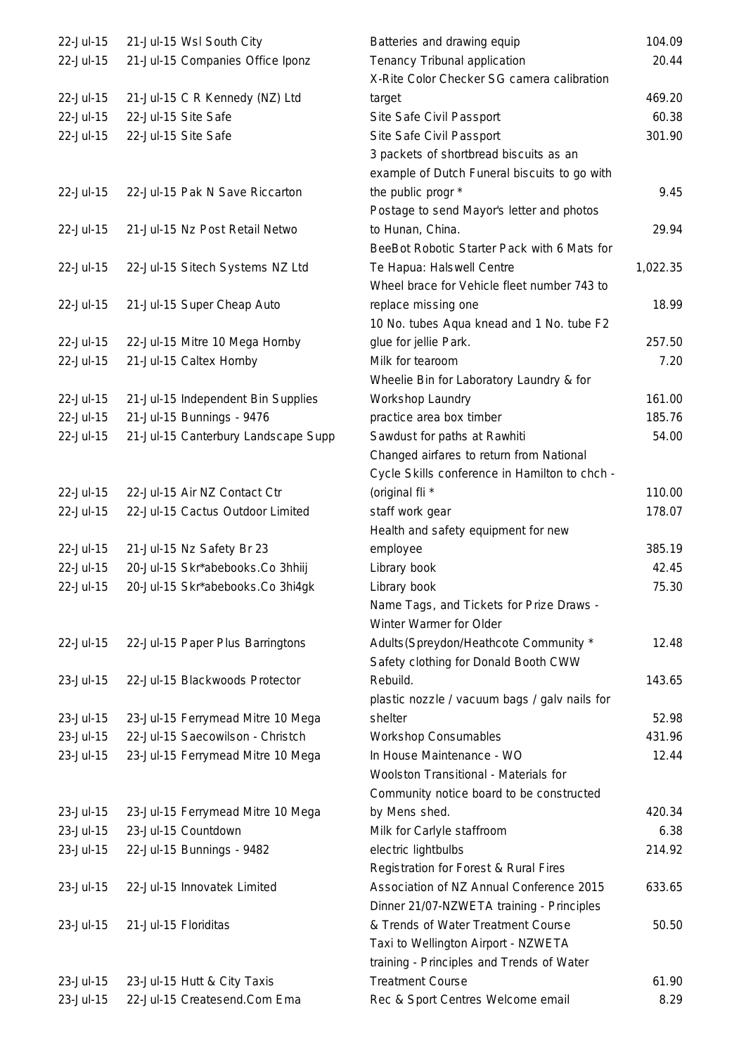| 22-Jul-15 | 21-Jul-15 Wsl South City            | Batteries and drawing equip                   | 104.09   |
|-----------|-------------------------------------|-----------------------------------------------|----------|
| 22-Jul-15 | 21-Jul-15 Companies Office Iponz    | Tenancy Tribunal application                  | 20.44    |
|           |                                     | X-Rite Color Checker SG camera calibration    |          |
| 22-Jul-15 | 21-Jul-15 C R Kennedy (NZ) Ltd      | target                                        | 469.20   |
| 22-Jul-15 | 22-Jul-15 Site Safe                 | Site Safe Civil Passport                      | 60.38    |
| 22-Jul-15 | 22-Jul-15 Site Safe                 | Site Safe Civil Passport                      | 301.90   |
|           |                                     | 3 packets of shortbread biscuits as an        |          |
|           |                                     | example of Dutch Funeral biscuits to go with  |          |
| 22-Jul-15 | 22-Jul-15 Pak N Save Riccarton      | the public progr *                            | 9.45     |
|           |                                     | Postage to send Mayor's letter and photos     |          |
| 22-Jul-15 | 21-Jul-15 Nz Post Retail Netwo      | to Hunan, China.                              | 29.94    |
|           |                                     | BeeBot Robotic Starter Pack with 6 Mats for   |          |
|           |                                     |                                               |          |
| 22-Jul-15 | 22-Jul-15 Sitech Systems NZ Ltd     | Te Hapua: Halswell Centre                     | 1,022.35 |
|           |                                     | Wheel brace for Vehicle fleet number 743 to   |          |
| 22-Jul-15 | 21-Jul-15 Super Cheap Auto          | replace missing one                           | 18.99    |
|           |                                     | 10 No. tubes Aqua knead and 1 No. tube F2     |          |
| 22-Jul-15 | 22-Jul-15 Mitre 10 Mega Hornby      | glue for jellie Park.                         | 257.50   |
| 22-Jul-15 | 21-Jul-15 Caltex Hornby             | Milk for tearoom                              | 7.20     |
|           |                                     | Wheelie Bin for Laboratory Laundry & for      |          |
| 22-Jul-15 | 21-Jul-15 Independent Bin Supplies  | Workshop Laundry                              | 161.00   |
| 22-Jul-15 | 21-Jul-15 Bunnings - 9476           | practice area box timber                      | 185.76   |
| 22-Jul-15 | 21-Jul-15 Canterbury Landscape Supp | Sawdust for paths at Rawhiti                  | 54.00    |
|           |                                     | Changed airfares to return from National      |          |
|           |                                     | Cycle Skills conference in Hamilton to chch - |          |
| 22-Jul-15 | 22-Jul-15 Air NZ Contact Ctr        | (original fli *                               | 110.00   |
| 22-Jul-15 | 22-Jul-15 Cactus Outdoor Limited    | staff work gear                               | 178.07   |
|           |                                     | Health and safety equipment for new           |          |
| 22-Jul-15 | 21-Jul-15 Nz Safety Br 23           | employee                                      | 385.19   |
| 22-Jul-15 | 20-Jul-15 Skr*abebooks.Co 3hhiij    | Library book                                  | 42.45    |
| 22-Jul-15 | 20-Jul-15 Skr*abebooks.Co 3hi4gk    | Library book                                  | 75.30    |
|           |                                     | Name Tags, and Tickets for Prize Draws -      |          |
|           |                                     | Winter Warmer for Older                       |          |
| 22-Jul-15 | 22-Jul-15 Paper Plus Barringtons    | Adults (Spreydon/Heathcote Community *        | 12.48    |
|           |                                     | Safety clothing for Donald Booth CWW          |          |
| 23-Jul-15 | 22-Jul-15 Blackwoods Protector      | Rebuild.                                      | 143.65   |
|           |                                     | plastic nozzle / vacuum bags / galv nails for |          |
| 23-Jul-15 | 23-Jul-15 Ferrymead Mitre 10 Mega   | shelter                                       | 52.98    |
| 23-Jul-15 | 22-Jul-15 Saecowilson - Christch    | <b>Workshop Consumables</b>                   | 431.96   |
| 23-Jul-15 | 23-Jul-15 Ferrymead Mitre 10 Mega   | In House Maintenance - WO                     | 12.44    |
|           |                                     | Woolston Transitional - Materials for         |          |
|           |                                     |                                               |          |
|           |                                     | Community notice board to be constructed      |          |
| 23-Jul-15 | 23-Jul-15 Ferrymead Mitre 10 Mega   | by Mens shed.                                 | 420.34   |
| 23-Jul-15 | 23-Jul-15 Countdown                 | Milk for Carlyle staffroom                    | 6.38     |
| 23-Jul-15 | 22-Jul-15 Bunnings - 9482           | electric lightbulbs                           | 214.92   |
|           |                                     | Registration for Forest & Rural Fires         |          |
| 23-Jul-15 | 22-Jul-15 Innovatek Limited         | Association of NZ Annual Conference 2015      | 633.65   |
|           |                                     | Dinner 21/07-NZWETA training - Principles     |          |
| 23-Jul-15 | 21-Jul-15 Floriditas                | & Trends of Water Treatment Course            | 50.50    |
|           |                                     | Taxi to Wellington Airport - NZWETA           |          |
|           |                                     | training - Principles and Trends of Water     |          |
| 23-Jul-15 | 23-Jul-15 Hutt & City Taxis         | <b>Treatment Course</b>                       | 61.90    |
| 23-Jul-15 | 22-Jul-15 Createsend.Com Ema        | Rec & Sport Centres Welcome email             | 8.29     |
|           |                                     |                                               |          |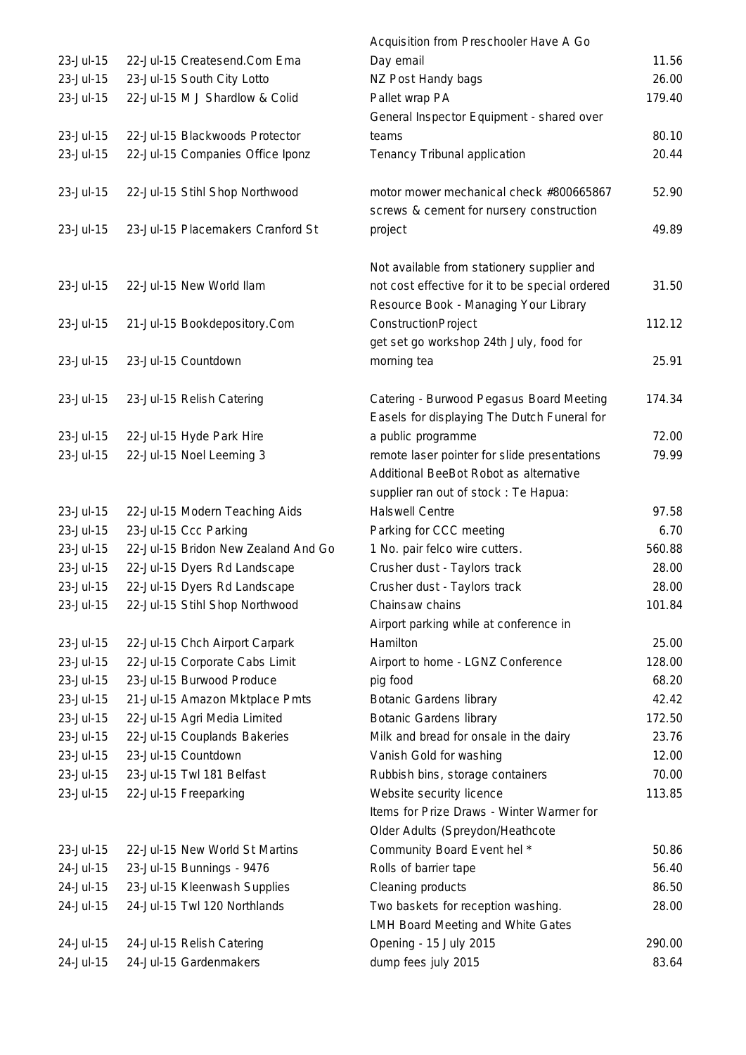|                        |                                                           | Acquisition from Preschooler Have A Go                                |                |
|------------------------|-----------------------------------------------------------|-----------------------------------------------------------------------|----------------|
| 23-Jul-15              | 22-Jul-15 Createsend.Com Ema                              | Day email                                                             | 11.56          |
| 23-Jul-15              | 23-Jul-15 South City Lotto                                | NZ Post Handy bags                                                    | 26.00          |
| 23-Jul-15              | 22-Jul-15 M J Shardlow & Colid                            | Pallet wrap PA                                                        | 179.40         |
|                        |                                                           | General Inspector Equipment - shared over                             |                |
| 23-Jul-15              | 22-Jul-15 Blackwoods Protector                            | teams                                                                 | 80.10          |
| 23-Jul-15              | 22-Jul-15 Companies Office Iponz                          | Tenancy Tribunal application                                          | 20.44          |
|                        |                                                           |                                                                       |                |
| 23-Jul-15              | 22-Jul-15 Stihl Shop Northwood                            | motor mower mechanical check #800665867                               | 52.90          |
|                        |                                                           | screws & cement for nursery construction                              |                |
| 23-Jul-15              | 23-Jul-15 Placemakers Cranford St                         | project                                                               | 49.89          |
|                        |                                                           | Not available from stationery supplier and                            |                |
| 23-Jul-15              | 22-Jul-15 New World Ilam                                  | not cost effective for it to be special ordered                       | 31.50          |
|                        |                                                           | Resource Book - Managing Your Library                                 |                |
| 23-Jul-15              | 21-Jul-15 Bookdepository.Com                              | ConstructionProject                                                   | 112.12         |
|                        |                                                           | get set go workshop 24th July, food for                               |                |
| 23-Jul-15              | 23-Jul-15 Countdown                                       | morning tea                                                           | 25.91          |
|                        |                                                           |                                                                       |                |
| 23-Jul-15              | 23-Jul-15 Relish Catering                                 | Catering - Burwood Pegasus Board Meeting                              | 174.34         |
|                        |                                                           | Easels for displaying The Dutch Funeral for                           |                |
| 23-Jul-15              | 22-Jul-15 Hyde Park Hire                                  | a public programme                                                    | 72.00          |
| 23-Jul-15              | 22-Jul-15 Noel Leeming 3                                  | remote laser pointer for slide presentations                          | 79.99          |
|                        |                                                           | Additional BeeBot Robot as alternative                                |                |
|                        |                                                           | supplier ran out of stock: Te Hapua:                                  |                |
| 23-Jul-15              | 22-Jul-15 Modern Teaching Aids                            | <b>Halswell Centre</b>                                                | 97.58          |
| 23-Jul-15              | 23-Jul-15 Ccc Parking                                     | Parking for CCC meeting                                               | 6.70           |
| 23-Jul-15              | 22-Jul-15 Bridon New Zealand And Go                       | 1 No. pair felco wire cutters.                                        | 560.88         |
| 23-Jul-15              | 22-Jul-15 Dyers Rd Landscape                              | Crusher dust - Taylors track                                          | 28.00          |
| 23-Jul-15              | 22-Jul-15 Dyers Rd Landscape                              | Crusher dust - Taylors track                                          | 28.00          |
| 23-Jul-15              | 22-Jul-15 Stihl Shop Northwood                            | Chainsaw chains                                                       | 101.84         |
|                        |                                                           | Airport parking while at conference in                                |                |
| 23-Jul-15              | 22-Jul-15 Chch Airport Carpark                            | Hamilton                                                              | 25.00          |
| 23-Jul-15              | 22-Jul-15 Corporate Cabs Limit                            | Airport to home - LGNZ Conference                                     | 128.00         |
| 23-Jul-15              | 23-Jul-15 Burwood Produce                                 | pig food                                                              | 68.20          |
| 23-Jul-15              | 21-Jul-15 Amazon Mktplace Pmts                            | <b>Botanic Gardens library</b>                                        | 42.42          |
| 23-Jul-15              | 22-Jul-15 Agri Media Limited                              | <b>Botanic Gardens library</b>                                        | 172.50         |
| 23-Jul-15<br>23-Jul-15 | 22-Jul-15 Couplands Bakeries<br>23-Jul-15 Countdown       | Milk and bread for onsale in the dairy                                | 23.76<br>12.00 |
| 23-Jul-15              | 23-Jul-15 Twl 181 Belfast                                 | Vanish Gold for washing                                               | 70.00          |
| 23-Jul-15              |                                                           | Rubbish bins, storage containers                                      | 113.85         |
|                        | 22-Jul-15 Freeparking                                     | Website security licence<br>Items for Prize Draws - Winter Warmer for |                |
|                        |                                                           |                                                                       |                |
| 23-Jul-15              |                                                           | Older Adults (Spreydon/Heathcote                                      |                |
| 24-Jul-15              | 22-Jul-15 New World St Martins                            | Community Board Event hel *<br>Rolls of barrier tape                  | 50.86<br>56.40 |
| 24-Jul-15              | 23-Jul-15 Bunnings - 9476<br>23-Jul-15 Kleenwash Supplies | Cleaning products                                                     | 86.50          |
| 24-Jul-15              | 24-Jul-15 Twl 120 Northlands                              | Two baskets for reception washing.                                    | 28.00          |
|                        |                                                           | LMH Board Meeting and White Gates                                     |                |
| 24-Jul-15              | 24-Jul-15 Relish Catering                                 | Opening - 15 July 2015                                                | 290.00         |
| 24-Jul-15              | 24-Jul-15 Gardenmakers                                    | dump fees july 2015                                                   | 83.64          |
|                        |                                                           |                                                                       |                |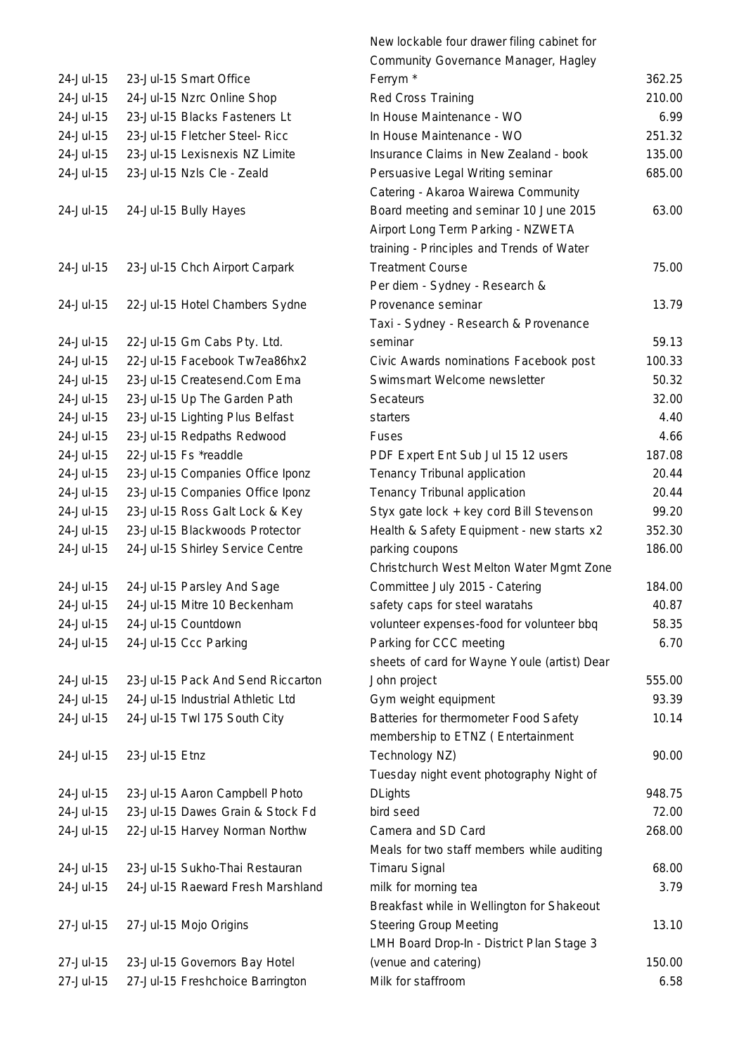| 24-Jul-15 |                | 23-Jul-15 Smart Office                     | f                                      |
|-----------|----------------|--------------------------------------------|----------------------------------------|
| 24-Jul-15 |                | 24-Jul-15 Nzrc Online Shop                 | F                                      |
| 24-Jul-15 |                | 23-Jul-15 Blacks Fasteners Lt              | ı                                      |
| 24-Jul-15 |                | 23-Jul-15 Fletcher Steel- Ricc             | I                                      |
|           |                |                                            |                                        |
| 24-Jul-15 |                | 23-Jul-15 Lexisnexis NZ Limite             | ı                                      |
| 24-Jul-15 |                | 23-Jul-15 Nzls Cle - Zeald                 | F                                      |
|           |                |                                            | $\mathcal{L}_{\mathcal{L}}$            |
| 24-Jul-15 |                | 24-Jul-15 Bully Hayes                      | E                                      |
|           |                |                                            | $\overline{1}$                         |
|           |                |                                            | t                                      |
| 24-Jul-15 |                | 23-Jul-15 Chch Airport Carpark             | $\begin{array}{c} \n\end{array}$       |
|           |                |                                            | F                                      |
| 24-Jul-15 |                | 22-Jul-15 Hotel Chambers Sydne             | F                                      |
|           |                |                                            | $\begin{array}{c} \square \end{array}$ |
| 24-Jul-15 |                | 22-Jul-15 Gm Cabs Pty. Ltd.                | $\tilde{\phantom{a}}$                  |
| 24-Jul-15 |                | 22-Jul-15 Facebook Tw7ea86hx2              | $\overline{\phantom{a}}$               |
| 24-Jul-15 |                | 23-Jul-15 Createsend.Com Ema               |                                        |
| 24-Jul-15 |                | 23-Jul-15 Up The Garden Path               | ŗ                                      |
|           |                |                                            | $\ddot{\phantom{0}}$                   |
| 24-Jul-15 |                | 23-Jul-15 Lighting Plus Belfast            | $\tilde{\phantom{a}}$                  |
| 24-Jul-15 |                | 23-Jul-15 Redpaths Redwood                 | f                                      |
| 24-Jul-15 |                | 22-Jul-15 Fs *readdle                      | F                                      |
| 24-Jul-15 |                | 23-Jul-15 Companies Office Iponz           | $\begin{array}{c} \n\end{array}$       |
| 24-Jul-15 |                | 23-Jul-15 Companies Office Iponz           | $\begin{array}{c} \n\end{array}$       |
| 24-Jul-15 |                | 23-Jul-15 Ross Galt Lock & Key             | Î                                      |
| 24-Jul-15 |                | 23-Jul-15 Blackwoods Protector             | $\mathbf{r}$                           |
| 24-Jul-15 |                | 24-Jul-15 Shirley Service Centre           | $\mathfrak{r}$                         |
|           |                |                                            | $\overline{\phantom{a}}$               |
| 24-Jul-15 |                | 24-Jul-15 Parsley And Sage                 | $\mathbf$                              |
| 24-Jul-15 |                | 24-Jul-15 Mitre 10 Beckenham               | S                                      |
| 24-Jul-15 |                | 24-Jul-15 Countdown                        |                                        |
|           |                | 24-Jul-15 24-Jul-15 Ccc Parking            | F                                      |
|           |                |                                            |                                        |
| 24-Jul-15 |                | 23-Jul-15 Pack And Send Riccarton          | S                                      |
|           |                |                                            |                                        |
| 24-Jul-15 |                | 24-Jul-15 Industrial Athletic Ltd          | $\mathcal{L}_{\mathcal{L}}$            |
| 24-Jul-15 |                | 24-Jul-15 Twl 175 South City               | E                                      |
|           |                |                                            | ľ                                      |
| 24-Jul-15 | 23-Jul-15 Etnz |                                            |                                        |
|           |                |                                            |                                        |
| 24-Jul-15 |                | 23-Jul-15 Aaron Campbell Photo             | I                                      |
| 24-Jul-15 |                | 23-Jul-15 Dawes Grain & Stock Fd           | ł                                      |
| 24-Jul-15 |                | 22-Jul-15 Harvey Norman Northw             | $\mathbf$                              |
|           |                |                                            | ľ                                      |
| 24-Jul-15 |                | 23-Jul-15 Sukho-Thai Restauran             |                                        |
| 24-Jul-15 |                | 24-Jul-15 Raeward Fresh Marshland          | ľ                                      |
|           |                |                                            | E                                      |
| 27-Jul-15 |                | 27-Jul-15 Mojo Origins                     | î                                      |
|           |                |                                            | Ļ                                      |
| 27-Jul-15 |                | 23-Jul-15 Governors Bay Hotel              | (                                      |
|           |                | 27-Jul-15 27-Jul-15 Freshchoice Barrington |                                        |
|           |                |                                            |                                        |

|           |                                   | New lockable four drawer filing cabinet for  |        |
|-----------|-----------------------------------|----------------------------------------------|--------|
|           |                                   | Community Governance Manager, Hagley         |        |
| 24-Jul-15 | 23-Jul-15 Smart Office            | Ferrym <sup>*</sup>                          | 362.25 |
| 24-Jul-15 | 24-Jul-15 Nzrc Online Shop        | Red Cross Training                           | 210.00 |
| 24-Jul-15 | 23-Jul-15 Blacks Fasteners Lt     | In House Maintenance - WO                    | 6.99   |
| 24-Jul-15 | 23-Jul-15 Fletcher Steel- Ricc    | In House Maintenance - WO                    | 251.32 |
| 24-Jul-15 | 23-Jul-15 Lexisnexis NZ Limite    | Insurance Claims in New Zealand - book       | 135.00 |
| 24-Jul-15 | 23-Jul-15 Nzls Cle - Zeald        | Persuasive Legal Writing seminar             | 685.00 |
|           |                                   | Catering - Akaroa Wairewa Community          |        |
| 24-Jul-15 | 24-Jul-15 Bully Hayes             | Board meeting and seminar 10 June 2015       | 63.00  |
|           |                                   | Airport Long Term Parking - NZWETA           |        |
|           |                                   | training - Principles and Trends of Water    |        |
| 24-Jul-15 | 23-Jul-15 Chch Airport Carpark    | <b>Treatment Course</b>                      | 75.00  |
|           |                                   | Per diem - Sydney - Research &               |        |
| 24-Jul-15 | 22-Jul-15 Hotel Chambers Sydne    | Provenance seminar                           | 13.79  |
|           |                                   | Taxi - Sydney - Research & Provenance        |        |
| 24-Jul-15 | 22-Jul-15 Gm Cabs Pty. Ltd.       | seminar                                      | 59.13  |
| 24-Jul-15 | 22-Jul-15 Facebook Tw7ea86hx2     | Civic Awards nominations Facebook post       | 100.33 |
| 24-Jul-15 | 23-Jul-15 Createsend.Com Ema      | Swimsmart Welcome newsletter                 | 50.32  |
| 24-Jul-15 | 23-Jul-15 Up The Garden Path      | Secateurs                                    | 32.00  |
| 24-Jul-15 | 23-Jul-15 Lighting Plus Belfast   | starters                                     | 4.40   |
| 24-Jul-15 | 23-Jul-15 Redpaths Redwood        | <b>Fuses</b>                                 | 4.66   |
| 24-Jul-15 | 22-Jul-15 Fs *readdle             | PDF Expert Ent Sub Jul 15 12 users           | 187.08 |
| 24-Jul-15 | 23-Jul-15 Companies Office Iponz  | Tenancy Tribunal application                 | 20.44  |
| 24-Jul-15 | 23-Jul-15 Companies Office Iponz  | Tenancy Tribunal application                 | 20.44  |
| 24-Jul-15 | 23-Jul-15 Ross Galt Lock & Key    | Styx gate lock + key cord Bill Stevenson     | 99.20  |
| 24-Jul-15 | 23-Jul-15 Blackwoods Protector    | Health & Safety Equipment - new starts x2    | 352.30 |
| 24-Jul-15 | 24-Jul-15 Shirley Service Centre  | parking coupons                              | 186.00 |
|           |                                   | Christchurch West Melton Water Mgmt Zone     |        |
| 24-Jul-15 | 24-Jul-15 Parsley And Sage        | Committee July 2015 - Catering               | 184.00 |
| 24-Jul-15 | 24-Jul-15 Mitre 10 Beckenham      | safety caps for steel waratahs               | 40.87  |
| 24-Jul-15 | 24-Jul-15 Countdown               | volunteer expenses-food for volunteer bbq    | 58.35  |
| 24-Jul-15 | 24-Jul-15 Ccc Parking             | Parking for CCC meeting                      | 6.70   |
|           |                                   | sheets of card for Wayne Youle (artist) Dear |        |
| 24-Jul-15 | 23-Jul-15 Pack And Send Riccarton | John project                                 | 555.00 |
| 24-Jul-15 | 24-Jul-15 Industrial Athletic Ltd | Gym weight equipment                         | 93.39  |
| 24-Jul-15 | 24-Jul-15 Twl 175 South City      | Batteries for thermometer Food Safety        | 10.14  |
|           |                                   | membership to ETNZ (Entertainment            |        |
| 24-Jul-15 | 23-Jul-15 Etnz                    | Technology NZ)                               | 90.00  |
|           |                                   | Tuesday night event photography Night of     |        |
| 24-Jul-15 | 23-Jul-15 Aaron Campbell Photo    | <b>DLights</b>                               | 948.75 |
| 24-Jul-15 | 23-Jul-15 Dawes Grain & Stock Fd  | bird seed                                    | 72.00  |
| 24-Jul-15 | 22-Jul-15 Harvey Norman Northw    | Camera and SD Card                           | 268.00 |
|           |                                   | Meals for two staff members while auditing   |        |
| 24-Jul-15 | 23-Jul-15 Sukho-Thai Restauran    | <b>Timaru Signal</b>                         | 68.00  |
| 24-Jul-15 | 24-Jul-15 Raeward Fresh Marshland | milk for morning tea                         | 3.79   |
|           |                                   | Breakfast while in Wellington for Shakeout   |        |
| 27-Jul-15 | 27-Jul-15 Mojo Origins            | <b>Steering Group Meeting</b>                | 13.10  |
|           |                                   | LMH Board Drop-In - District Plan Stage 3    |        |
| 27-Jul-15 | 23-Jul-15 Governors Bay Hotel     | (venue and catering)                         | 150.00 |
| 27-Jul-15 | 27-Jul-15 Freshchoice Barrington  | Milk for staffroom                           | 6.58   |
|           |                                   |                                              |        |